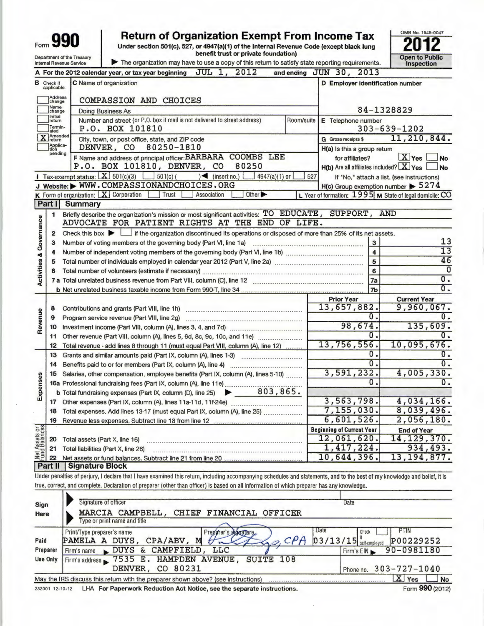|                                    |                                  | <b>Return of Organization Exempt From Income Tax</b><br>990<br>Under section 501(c), 527, or 4947(a)(1) of the Internal Revenue Code (except black lung                    |            |                                                                | OMB No. 1545-0047                                       |
|------------------------------------|----------------------------------|----------------------------------------------------------------------------------------------------------------------------------------------------------------------------|------------|----------------------------------------------------------------|---------------------------------------------------------|
|                                    |                                  | benefit trust or private foundation)<br>Department of the Treasury                                                                                                         |            |                                                                | <b>Open to Public</b>                                   |
|                                    |                                  | The organization may have to use a copy of this return to satisfy state reporting requirements.<br><b>Internal Revenue Service</b><br>JUL 1.<br>2012                       |            |                                                                | Inspection                                              |
|                                    |                                  | A For the 2012 calendar year, or tax year beginning                                                                                                                        |            | and ending JUN 30, 2013                                        |                                                         |
|                                    | <b>B</b> Check if<br>applicable: | C Name of organization                                                                                                                                                     |            | D Employer identification number                               |                                                         |
|                                    | Address<br>change                | <b>COMPASSION AND CHOICES</b>                                                                                                                                              |            |                                                                |                                                         |
|                                    | Name<br>change                   | <b>Doing Business As</b>                                                                                                                                                   |            |                                                                | 84-1328829                                              |
|                                    | Initial<br>return                | Number and street (or P.O. box if mail is not delivered to street address)                                                                                                 | Room/suite | E Telephone number                                             |                                                         |
|                                    | Termin-<br>ated<br>Amended       | P.O. BOX 101810                                                                                                                                                            |            |                                                                | $303 - 639 - 1202$                                      |
|                                    | Jreturn<br>Applica-              | City, town, or post office, state, and ZIP code<br>DENVER, CO 80250-1810                                                                                                   |            | <b>G</b> Gross receipts \$                                     | 11,210,844.                                             |
|                                    | tion<br>pending                  | F Name and address of principal officer: BARBARA COOMBS LEE                                                                                                                |            | H(a) is this a group retum                                     | $X$ Yes                                                 |
|                                    |                                  | P.O. BOX 101810, DENVER, CO<br>80250                                                                                                                                       |            | for affiliates?<br>$H(b)$ Are all affiliates included? $X$ Yes | <b>No</b><br>N <sub>o</sub>                             |
|                                    |                                  | Tax-exempt status: $X$ 501(c)(3)<br>$-$ 501(c) (<br>$\sqrt{\frac{2}{1}}$ (insert no.)<br>4947(a)(1) or                                                                     | 527        |                                                                | If "No," attach a list. (see instructions)              |
|                                    |                                  | J Website: WWW.COMPASSIONANDCHOICES.ORG                                                                                                                                    |            | $H(c)$ Group exemption number $\triangleright$ 5274            |                                                         |
|                                    |                                  | <b>K</b> Form of organization: $X$ Corporation<br>Trust<br>Other <sup>&gt;</sup><br>Association                                                                            |            |                                                                | L Year of formation: 1995 M State of legal domicile: CO |
|                                    | Part I                           | Summary                                                                                                                                                                    |            |                                                                |                                                         |
|                                    | 1                                | Briefly describe the organization's mission or most significant activities: TO EDUCATE, SUPPORT, AND                                                                       |            |                                                                |                                                         |
| <b>Activities &amp; Governance</b> |                                  | ADVOCATE FOR PATIENT RIGHTS AT THE END OF LIFE.                                                                                                                            |            |                                                                |                                                         |
|                                    | $\overline{2}$                   | Check this box $\blacktriangleright$<br>$\Box$ if the organization discontinued its operations or disposed of more than 25% of its net assets.                             |            |                                                                |                                                         |
|                                    | 3                                | Number of voting members of the governing body (Part VI, line 1a)                                                                                                          |            | $\mathbf{3}$                                                   | 13                                                      |
|                                    | 4                                |                                                                                                                                                                            |            | $\overline{\mathbf{A}}$                                        | $\overline{13}$                                         |
|                                    | 5                                |                                                                                                                                                                            |            | 5                                                              | 46                                                      |
|                                    | 6                                |                                                                                                                                                                            |            | 6                                                              | $\overline{0}$                                          |
|                                    |                                  |                                                                                                                                                                            |            | 7a                                                             | $\overline{0}$ .                                        |
|                                    |                                  |                                                                                                                                                                            |            | 7 <sub>b</sub>                                                 | $\overline{0}$ .                                        |
|                                    |                                  |                                                                                                                                                                            |            | <b>Prior Year</b>                                              | <b>Current Year</b>                                     |
|                                    | 8                                | Contributions and grants (Part VIII, line 1h)                                                                                                                              |            | 13,657,882.                                                    | 9,960,067.                                              |
| Revenue                            | 9                                | Program service revenue (Part VIII, line 2g)                                                                                                                               |            | 0.                                                             | 0.                                                      |
|                                    | 10                               |                                                                                                                                                                            |            | 98,674.                                                        | 135,609.                                                |
|                                    | 11                               |                                                                                                                                                                            |            | $\overline{0}$ .                                               | $\mathbf{0}$ .                                          |
|                                    | 12                               | Total revenue - add lines 8 through 11 (must equal Part VIII, column (A), line 12)                                                                                         |            | 13,756,556.                                                    | 10,095,676.                                             |
|                                    | 13                               | Grants and similar amounts paid (Part IX, column (A), lines 1-3)                                                                                                           |            | 0.                                                             | $\overline{0}$ .                                        |
|                                    | 14                               |                                                                                                                                                                            |            | $\overline{0}$ .                                               | 0.                                                      |
| ഗ                                  | 15                               | Salaries, other compensation, employee benefits (Part IX, column (A), lines 5-10)                                                                                          |            | 3.591, 232.                                                    | 4,005,330.                                              |
| Expense                            |                                  |                                                                                                                                                                            |            | $\overline{0}$ .                                               | 0.                                                      |
|                                    |                                  | 803,865.<br><b>b</b> Total fundraising expenses (Part IX, column (D), line 25)<br>$\blacktriangleright$                                                                    |            |                                                                |                                                         |
|                                    | 17                               |                                                                                                                                                                            |            | 3,563,798.                                                     | 4,034,166.                                              |
|                                    | 18                               | Total expenses. Add lines 13-17 (must equal Part IX, column (A), line 25)                                                                                                  |            | 7,155,030.<br>6,601,526.                                       | 8,039,496.                                              |
|                                    | 19                               |                                                                                                                                                                            |            |                                                                | 2,056,180.                                              |
| Net Assets or                      |                                  |                                                                                                                                                                            |            | <b>Beginning of Current Year</b><br>12,061,620.                | <b>End of Year</b>                                      |
|                                    | 20                               | Total assets (Part X, line 16)                                                                                                                                             |            | 1,417,224.                                                     | 14, 129, 370.<br>934,493.                               |
|                                    | 21<br>22                         | Total liabilities (Part X, line 26)                                                                                                                                        |            | 10,644,396.                                                    | 13, 194, 877.                                           |
|                                    | Part II                          | Signature Block                                                                                                                                                            |            |                                                                |                                                         |
|                                    |                                  | Under penalties of perjury, I declare that I have examined this return, including accompanying schedules and statements, and to the best of my knowledge and belief, it is |            |                                                                |                                                         |
|                                    |                                  | true, correct, and complete. Declaration of preparer (other than officer) is based on all information of which preparer has any knowledge.                                 |            |                                                                |                                                         |
|                                    |                                  |                                                                                                                                                                            |            |                                                                |                                                         |
|                                    |                                  | Signature of officer                                                                                                                                                       |            | Date                                                           |                                                         |

| Sign            | Signature of officer                                                              | Date                                  |
|-----------------|-----------------------------------------------------------------------------------|---------------------------------------|
| <b>Here</b>     | MARCIA CAMPBELL,<br>CHIEF FINANCIAL OFFICER                                       |                                       |
|                 | Type or print name and title                                                      |                                       |
|                 | Date<br>Print/Type preparer's name<br>Preparer's signature.                       | <b>PTIN</b><br>Check                  |
| Paid            | CPA<br>CPA/ABV, M<br>PAMELA A DUYS,                                               | P00229252<br>$03/13/15$ self-employed |
| Preparer        | Firm's name DUYS & CAMPFIELD, LLC                                                 | 90-0981180<br>Firm's EIN              |
| <b>Use Only</b> | Firm's address 57535 E. HAMPDEN AVENUE, SUITE 108                                 |                                       |
|                 | DENVER, CO 80231                                                                  | Phone no. 303-727-1040                |
|                 | May the IRS discuss this return with the preparer shown above? (see instructions) | X<br>Yes<br>No                        |
|                 |                                                                                   | $\sim$                                |

232001 12- 10-12 LHA For Paperwork Reduction Act Notice, see the separate instructions.

Form 990 (2012)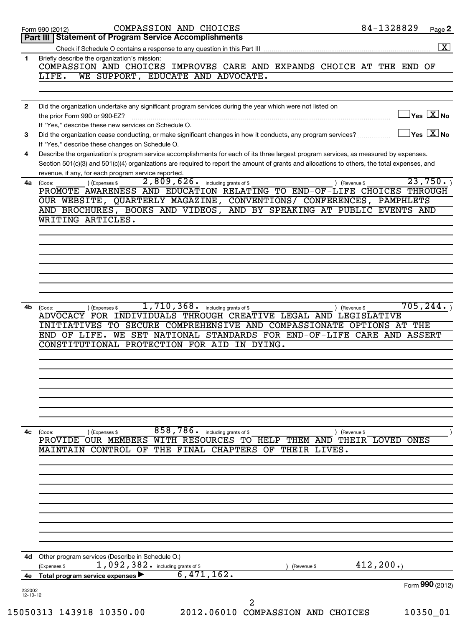|                | COMPASSION AND CHOICES<br>Form 990 (2012)                                                                                                                       | 84-1328829<br>$Page$ 2                                             |
|----------------|-----------------------------------------------------------------------------------------------------------------------------------------------------------------|--------------------------------------------------------------------|
|                | Part III   Statement of Program Service Accomplishments                                                                                                         |                                                                    |
|                |                                                                                                                                                                 |                                                                    |
| 1              | Briefly describe the organization's mission:<br>COMPASSION AND CHOICES IMPROVES CARE AND EXPANDS CHOICE AT THE END OF                                           |                                                                    |
|                | WE SUPPORT, EDUCATE AND ADVOCATE.<br>LIFE.                                                                                                                      |                                                                    |
|                |                                                                                                                                                                 |                                                                    |
| $\mathbf{2}$   | Did the organization undertake any significant program services during the year which were not listed on                                                        |                                                                    |
|                | the prior Form 990 or 990-EZ?                                                                                                                                   | $\sqrt{\mathsf{Yes}\mathord{\;\mathbb{X}}\mathord{\;\mathsf{No}}}$ |
|                | If "Yes," describe these new services on Schedule O.                                                                                                            |                                                                    |
| 3              | Did the organization cease conducting, or make significant changes in how it conducts, any program services?<br>If "Yes," describe these changes on Schedule O. | $\sqrt{}$ Yes $\sqrt{}\frac{\text{X}}{\text{N}}$ No                |
| 4              | Describe the organization's program service accomplishments for each of its three largest program services, as measured by expenses.                            |                                                                    |
|                | Section 501(c)(3) and 501(c)(4) organizations are required to report the amount of grants and allocations to others, the total expenses, and                    |                                                                    |
|                | revenue, if any, for each program service reported.<br>2,809,626.                                                                                               | 23,750.                                                            |
| 4a             | including grants of \$<br>) (Expenses \$<br>(Code:<br>PROMOTE AWARENESS AND EDUCATION RELATING TO END-OF-LIFE CHOICES THROUGH                                   | ) (Revenue \$                                                      |
|                | OUR WEBSITE, QUARTERLY MAGAZINE, CONVENTIONS/ CONFERENCES, PAMPHLETS                                                                                            |                                                                    |
|                | AND BROCHURES, BOOKS AND VIDEOS, AND BY SPEAKING AT PUBLIC EVENTS AND                                                                                           |                                                                    |
|                | WRITING ARTICLES.                                                                                                                                               |                                                                    |
|                |                                                                                                                                                                 |                                                                    |
|                |                                                                                                                                                                 |                                                                    |
|                |                                                                                                                                                                 |                                                                    |
|                |                                                                                                                                                                 |                                                                    |
|                |                                                                                                                                                                 |                                                                    |
|                |                                                                                                                                                                 |                                                                    |
| 4b             | 1,710,368.<br>including grants of \$<br>(Code:<br>(Expenses \$<br>ADVOCACY FOR INDIVIDUALS THROUGH CREATIVE LEGAL AND LEGISLATIVE                               | 705, 244.<br>) (Revenue \$                                         |
|                | INITIATIVES TO SECURE COMPREHENSIVE AND COMPASSIONATE OPTIONS AT THE                                                                                            |                                                                    |
|                | END OF LIFE. WE SET NATIONAL STANDARDS FOR END-OF-LIFE CARE AND ASSERT                                                                                          |                                                                    |
|                | CONSTITUTIONAL PROTECTION FOR AID IN DYING.                                                                                                                     |                                                                    |
|                |                                                                                                                                                                 |                                                                    |
|                |                                                                                                                                                                 |                                                                    |
|                |                                                                                                                                                                 |                                                                    |
|                |                                                                                                                                                                 |                                                                    |
|                |                                                                                                                                                                 |                                                                    |
|                |                                                                                                                                                                 |                                                                    |
| 4с             | 858,786. including grants of \$<br>(Code:<br>) (Expenses \$                                                                                                     | ) (Revenue \$                                                      |
|                | PROVIDE OUR MEMBERS WITH RESOURCES TO HELP THEM AND THEIR LOVED ONES<br>MAINTAIN CONTROL OF THE FINAL CHAPTERS OF THEIR LIVES.                                  |                                                                    |
|                |                                                                                                                                                                 |                                                                    |
|                |                                                                                                                                                                 |                                                                    |
|                |                                                                                                                                                                 |                                                                    |
|                |                                                                                                                                                                 |                                                                    |
|                |                                                                                                                                                                 |                                                                    |
|                |                                                                                                                                                                 |                                                                    |
|                |                                                                                                                                                                 |                                                                    |
|                |                                                                                                                                                                 |                                                                    |
| 4d             | Other program services (Describe in Schedule O.)<br>$1,092,382$ and including grants of \$<br>(Expenses \$<br>(Revenue \$                                       | 412, 200.                                                          |
| 4е             | 6,471,162.<br><b>Total program service expenses</b>                                                                                                             |                                                                    |
| 232002         |                                                                                                                                                                 | Form 990 (2012)                                                    |
| $12 - 10 - 12$ | $\overline{2}$                                                                                                                                                  |                                                                    |
|                | 15050313 143918 10350.00<br>2012.06010 COMPASSION AND CHOICES                                                                                                   | 10350_01                                                           |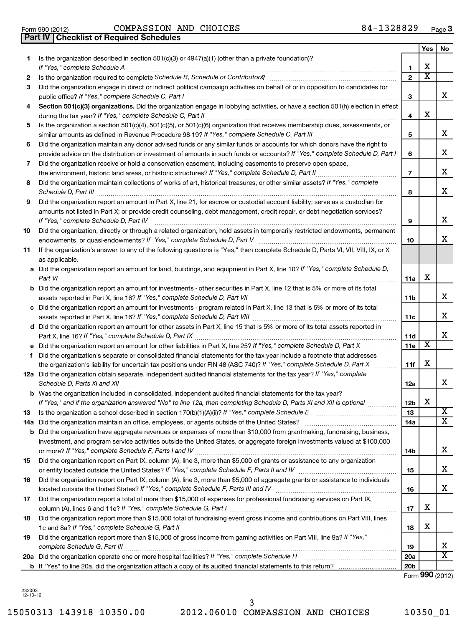Form 990 (2012) Page COMPASSION AND CHOICES 84-1328829

**Part IV Checklist of Required Schedules**

|    |                                                                                                                                                                                                                                                                                                                                                                      |                 | Yes                     | No |
|----|----------------------------------------------------------------------------------------------------------------------------------------------------------------------------------------------------------------------------------------------------------------------------------------------------------------------------------------------------------------------|-----------------|-------------------------|----|
| 1. | Is the organization described in section $501(c)(3)$ or $4947(a)(1)$ (other than a private foundation)?                                                                                                                                                                                                                                                              |                 |                         |    |
|    | If "Yes," complete Schedule A                                                                                                                                                                                                                                                                                                                                        | 1               | х                       |    |
| 2  |                                                                                                                                                                                                                                                                                                                                                                      | $\mathbf{2}$    | $\overline{\textbf{x}}$ |    |
| 3  | Did the organization engage in direct or indirect political campaign activities on behalf of or in opposition to candidates for                                                                                                                                                                                                                                      | 3               |                         | x  |
| 4  | Section 501(c)(3) organizations. Did the organization engage in lobbying activities, or have a section 501(h) election in effect                                                                                                                                                                                                                                     |                 |                         |    |
|    |                                                                                                                                                                                                                                                                                                                                                                      | 4               | x                       |    |
| 5  | Is the organization a section 501(c)(4), 501(c)(5), or 501(c)(6) organization that receives membership dues, assessments, or                                                                                                                                                                                                                                         | 5               |                         | x  |
| 6  | Did the organization maintain any donor advised funds or any similar funds or accounts for which donors have the right to                                                                                                                                                                                                                                            |                 |                         |    |
|    | provide advice on the distribution or investment of amounts in such funds or accounts? If "Yes," complete Schedule D, Part I                                                                                                                                                                                                                                         | 6               |                         | x  |
| 7  | Did the organization receive or hold a conservation easement, including easements to preserve open space,                                                                                                                                                                                                                                                            |                 |                         |    |
|    |                                                                                                                                                                                                                                                                                                                                                                      | $\overline{7}$  |                         | x  |
| 8  | Did the organization maintain collections of works of art, historical treasures, or other similar assets? If "Yes," complete<br>Schedule D, Part III <b>Marting Community Contract Contract Contract Contract Contract Contract Contract Contract Contract Contract Contract Contract Contract Contract Contract Contract Contract Contract Contract Contract Co</b> | 8               |                         | x  |
| 9  | Did the organization report an amount in Part X, line 21, for escrow or custodial account liability; serve as a custodian for                                                                                                                                                                                                                                        |                 |                         |    |
|    | amounts not listed in Part X; or provide credit counseling, debt management, credit repair, or debt negotiation services?<br>If "Yes," complete Schedule D, Part IV                                                                                                                                                                                                  | 9               |                         | x  |
| 10 | Did the organization, directly or through a related organization, hold assets in temporarily restricted endowments, permanent                                                                                                                                                                                                                                        |                 |                         |    |
|    |                                                                                                                                                                                                                                                                                                                                                                      | 10              |                         | x  |
| 11 | If the organization's answer to any of the following questions is "Yes," then complete Schedule D, Parts VI, VII, VIII, IX, or X<br>as applicable.                                                                                                                                                                                                                   |                 |                         |    |
|    | a Did the organization report an amount for land, buildings, and equipment in Part X, line 10? If "Yes," complete Schedule D,                                                                                                                                                                                                                                        |                 |                         |    |
|    | Part VI                                                                                                                                                                                                                                                                                                                                                              | 11a             | x                       |    |
|    | <b>b</b> Did the organization report an amount for investments - other securities in Part X, line 12 that is 5% or more of its total                                                                                                                                                                                                                                 | 11 <sub>b</sub> |                         | x  |
|    | c Did the organization report an amount for investments - program related in Part X, line 13 that is 5% or more of its total                                                                                                                                                                                                                                         |                 |                         |    |
|    |                                                                                                                                                                                                                                                                                                                                                                      | 11c             |                         | x  |
|    | d Did the organization report an amount for other assets in Part X, line 15 that is 5% or more of its total assets reported in                                                                                                                                                                                                                                       |                 |                         |    |
|    |                                                                                                                                                                                                                                                                                                                                                                      | 11d             |                         | x  |
|    |                                                                                                                                                                                                                                                                                                                                                                      | 11e             | х                       |    |
|    | f Did the organization's separate or consolidated financial statements for the tax year include a footnote that addresses                                                                                                                                                                                                                                            |                 | х                       |    |
|    | the organization's liability for uncertain tax positions under FIN 48 (ASC 740)? If "Yes," complete Schedule D, Part X<br>12a Did the organization obtain separate, independent audited financial statements for the tax year? If "Yes," complete                                                                                                                    | 11f             |                         |    |
|    | Schedule D, Parts XI and XII                                                                                                                                                                                                                                                                                                                                         | 12a             |                         | x  |
|    | <b>b</b> Was the organization included in consolidated, independent audited financial statements for the tax year?                                                                                                                                                                                                                                                   |                 |                         |    |
|    | If "Yes," and if the organization answered "No" to line 12a, then completing Schedule D, Parts XI and XII is optional <i>maniman</i>                                                                                                                                                                                                                                 | 12 <sub>b</sub> | X.                      |    |
| 13 |                                                                                                                                                                                                                                                                                                                                                                      | 13              |                         | X  |
|    | 14a Did the organization maintain an office, employees, or agents outside of the United States?                                                                                                                                                                                                                                                                      | 14a             |                         | X  |
|    | <b>b</b> Did the organization have aggregate revenues or expenses of more than \$10,000 from grantmaking, fundraising, business,                                                                                                                                                                                                                                     |                 |                         |    |
|    | investment, and program service activities outside the United States, or aggregate foreign investments valued at \$100,000                                                                                                                                                                                                                                           |                 |                         |    |
|    | Did the organization report on Part IX, column (A), line 3, more than \$5,000 of grants or assistance to any organization                                                                                                                                                                                                                                            | 14b             |                         | x  |
| 15 |                                                                                                                                                                                                                                                                                                                                                                      |                 |                         | х  |
| 16 | Did the organization report on Part IX, column (A), line 3, more than \$5,000 of aggregate grants or assistance to individuals                                                                                                                                                                                                                                       | 15              |                         |    |
|    |                                                                                                                                                                                                                                                                                                                                                                      | 16              |                         | x  |
| 17 | Did the organization report a total of more than \$15,000 of expenses for professional fundraising services on Part IX,                                                                                                                                                                                                                                              |                 |                         |    |
|    |                                                                                                                                                                                                                                                                                                                                                                      | 17              | х                       |    |
| 18 | Did the organization report more than \$15,000 total of fundraising event gross income and contributions on Part VIII, lines<br>1c and 8a? If "Yes," complete Schedule G, Part II                                                                                                                                                                                    | 18              | х                       |    |
| 19 | Did the organization report more than \$15,000 of gross income from gaming activities on Part VIII, line 9a? If "Yes,"                                                                                                                                                                                                                                               |                 |                         |    |
|    | complete Schedule G, Part III                                                                                                                                                                                                                                                                                                                                        | 19              |                         | х  |
|    |                                                                                                                                                                                                                                                                                                                                                                      | <b>20a</b>      |                         | x  |
|    |                                                                                                                                                                                                                                                                                                                                                                      | 20 <sub>b</sub> |                         |    |

Form (2012) **990**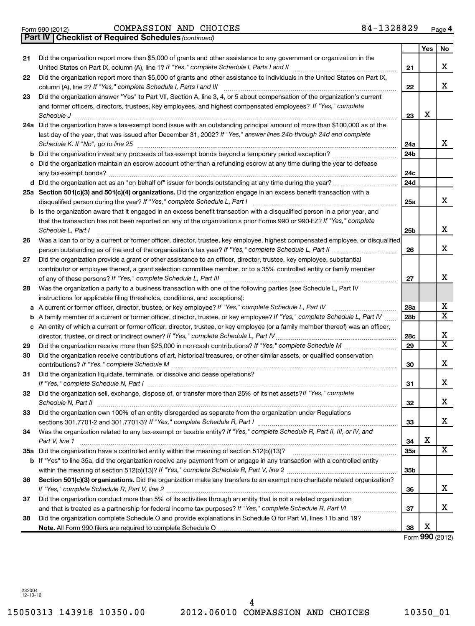15050313 143918 10350.00 2012.06010 COMPASSION AND CHOICES 10350\_01 4

## *(continued)* **Part IV Checklist of Required Schedules** Form 990 (2012) Page COMPASSION AND CHOICES 84-1328829

|    |                                                                                                                                                                                                                                                                                           |                 | Yes | No                      |
|----|-------------------------------------------------------------------------------------------------------------------------------------------------------------------------------------------------------------------------------------------------------------------------------------------|-----------------|-----|-------------------------|
| 21 | Did the organization report more than \$5,000 of grants and other assistance to any government or organization in the<br>United States on Part IX, column (A), line 1? If "Yes," complete Schedule I, Parts I and II                                                                      | 21              |     | х                       |
| 22 | Did the organization report more than \$5,000 of grants and other assistance to individuals in the United States on Part IX,<br>column (A), line 2? If "Yes," complete Schedule I, Parts I and III                                                                                        | 22              |     | X                       |
| 23 | Did the organization answer "Yes" to Part VII, Section A, line 3, 4, or 5 about compensation of the organization's current                                                                                                                                                                |                 |     |                         |
|    | and former officers, directors, trustees, key employees, and highest compensated employees? If "Yes," complete<br>Schedule J                                                                                                                                                              | 23              | х   |                         |
|    | 24a Did the organization have a tax-exempt bond issue with an outstanding principal amount of more than \$100,000 as of the<br>last day of the year, that was issued after December 31, 2002? If "Yes," answer lines 24b through 24d and complete<br>Schedule K. If "No", go to line 25   | 24a             |     | х                       |
| b  |                                                                                                                                                                                                                                                                                           | 24b             |     |                         |
| c  | Did the organization maintain an escrow account other than a refunding escrow at any time during the year to defease                                                                                                                                                                      | 24c             |     |                         |
|    |                                                                                                                                                                                                                                                                                           | 24d             |     |                         |
|    | 25a Section 501(c)(3) and 501(c)(4) organizations. Did the organization engage in an excess benefit transaction with a<br>disqualified person during the year? If "Yes," complete Schedule L, Part I                                                                                      | 25a             |     | х                       |
|    | Is the organization aware that it engaged in an excess benefit transaction with a disqualified person in a prior year, and<br>that the transaction has not been reported on any of the organization's prior Forms 990 or 990-EZ? If "Yes," complete<br>Schedule L, Part I                 | 25 <sub>b</sub> |     | х                       |
| 26 | Was a loan to or by a current or former officer, director, trustee, key employee, highest compensated employee, or disqualified                                                                                                                                                           |                 |     |                         |
|    |                                                                                                                                                                                                                                                                                           | 26              |     | х                       |
| 27 | Did the organization provide a grant or other assistance to an officer, director, trustee, key employee, substantial<br>contributor or employee thereof, a grant selection committee member, or to a 35% controlled entity or family member                                               | 27              |     | х                       |
| 28 | Was the organization a party to a business transaction with one of the following parties (see Schedule L, Part IV                                                                                                                                                                         |                 |     |                         |
|    | instructions for applicable filing thresholds, conditions, and exceptions):                                                                                                                                                                                                               |                 |     |                         |
| а  | A current or former officer, director, trustee, or key employee? If "Yes," complete Schedule L, Part IV                                                                                                                                                                                   | 28a             |     | х                       |
| b  | A family member of a current or former officer, director, trustee, or key employee? If "Yes," complete Schedule L, Part IV                                                                                                                                                                | 28b             |     | $\overline{\text{X}}$   |
|    | c An entity of which a current or former officer, director, trustee, or key employee (or a family member thereof) was an officer,<br>director, trustee, or direct or indirect owner? If "Yes," complete Schedule L, Part IV                                                               | 28c             |     | х                       |
| 29 |                                                                                                                                                                                                                                                                                           | 29              |     | $\overline{\textbf{x}}$ |
| 30 | Did the organization receive contributions of art, historical treasures, or other similar assets, or qualified conservation<br>contributions? If "Yes," complete Schedule M                                                                                                               | 30              |     | х                       |
| 31 | Did the organization liquidate, terminate, or dissolve and cease operations?<br>If "Yes." complete Schedule N, Part I                                                                                                                                                                     | 31              |     | х                       |
| 32 | Did the organization sell, exchange, dispose of, or transfer more than 25% of its net assets? If "Yes," complete<br>Schedule N, Part II                                                                                                                                                   | 32              |     | х                       |
| 33 | Did the organization own 100% of an entity disregarded as separate from the organization under Regulations<br>sections 301.7701-2 and 301.7701-3? If "Yes," complete Schedule R, Part I [1] [1] [1] [1] [1] [1] sections 301.7701-2 and 301.7701-3? If "Yes," complete Schedule R, Part I | 33              |     | x                       |
| 34 | Was the organization related to any tax-exempt or taxable entity? If "Yes," complete Schedule R, Part II, III, or IV, and<br>Part V, line 1                                                                                                                                               | 34              | х   |                         |
|    |                                                                                                                                                                                                                                                                                           | 35a             |     | X                       |
|    | b If "Yes" to line 35a, did the organization receive any payment from or engage in any transaction with a controlled entity                                                                                                                                                               | 35 <sub>b</sub> |     |                         |
| 36 | Section 501(c)(3) organizations. Did the organization make any transfers to an exempt non-charitable related organization?                                                                                                                                                                | 36              |     | х                       |
| 37 | Did the organization conduct more than 5% of its activities through an entity that is not a related organization                                                                                                                                                                          | 37              |     | х                       |
| 38 | Did the organization complete Schedule O and provide explanations in Schedule O for Part VI, lines 11b and 19?                                                                                                                                                                            | 38              | х   |                         |
|    |                                                                                                                                                                                                                                                                                           |                 |     | Form 990 (2012)         |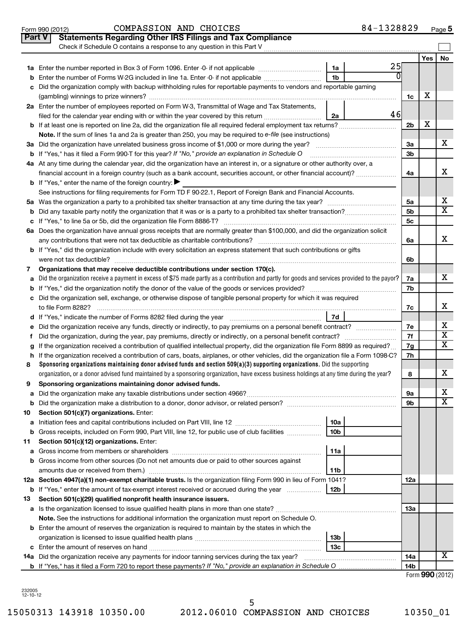|               | 84-1328829<br>COMPASSION AND CHOICES<br>Form 990 (2012)                                                                                                                                                                                                                |                |     | $Page$ 5                     |
|---------------|------------------------------------------------------------------------------------------------------------------------------------------------------------------------------------------------------------------------------------------------------------------------|----------------|-----|------------------------------|
| <b>Part V</b> | <b>Statements Regarding Other IRS Filings and Tax Compliance</b>                                                                                                                                                                                                       |                |     |                              |
|               | Check if Schedule O contains a response to any question in this Part V                                                                                                                                                                                                 |                |     |                              |
|               |                                                                                                                                                                                                                                                                        |                | Yes | <b>No</b>                    |
|               | 25<br>1a                                                                                                                                                                                                                                                               |                |     |                              |
| b             | 1 <sub>b</sub><br>Enter the number of Forms W-2G included in line 1a. Enter -0- if not applicable                                                                                                                                                                      |                |     |                              |
|               | Did the organization comply with backup withholding rules for reportable payments to vendors and reportable gaming                                                                                                                                                     |                |     |                              |
|               |                                                                                                                                                                                                                                                                        | 1c             | х   |                              |
|               | 2a Enter the number of employees reported on Form W-3, Transmittal of Wage and Tax Statements,                                                                                                                                                                         |                |     |                              |
|               | 46<br>filed for the calendar year ending with or within the year covered by this return<br>2a                                                                                                                                                                          |                |     |                              |
|               |                                                                                                                                                                                                                                                                        | 2 <sub>b</sub> | х   |                              |
|               | Note. If the sum of lines 1a and 2a is greater than 250, you may be required to e-file (see instructions)                                                                                                                                                              |                |     |                              |
|               |                                                                                                                                                                                                                                                                        | За             |     | х                            |
|               | <b>b</b> If "Yes," has it filed a Form 990-T for this year? If "No," provide an explanation in Schedule O                                                                                                                                                              | 3b             |     |                              |
|               | 4a At any time during the calendar year, did the organization have an interest in, or a signature or other authority over, a                                                                                                                                           |                |     |                              |
|               | financial account in a foreign country (such as a bank account, securities account, or other financial account)?                                                                                                                                                       | 4a             |     | х                            |
|               | <b>b</b> If "Yes," enter the name of the foreign country: $\blacktriangleright$                                                                                                                                                                                        |                |     |                              |
|               | See instructions for filing requirements for Form TD F 90-22.1, Report of Foreign Bank and Financial Accounts.                                                                                                                                                         |                |     |                              |
|               |                                                                                                                                                                                                                                                                        | 5а             |     | х                            |
| b             |                                                                                                                                                                                                                                                                        | 5 <sub>b</sub> |     | X                            |
|               |                                                                                                                                                                                                                                                                        | 5c             |     |                              |
|               | 6a Does the organization have annual gross receipts that are normally greater than \$100,000, and did the organization solicit                                                                                                                                         |                |     |                              |
|               |                                                                                                                                                                                                                                                                        | 6a             |     | x                            |
|               | <b>b</b> If "Yes," did the organization include with every solicitation an express statement that such contributions or gifts                                                                                                                                          |                |     |                              |
|               |                                                                                                                                                                                                                                                                        | 6b             |     |                              |
| 7             | Organizations that may receive deductible contributions under section 170(c).                                                                                                                                                                                          |                |     |                              |
| a             | Did the organization receive a payment in excess of \$75 made partly as a contribution and partly for goods and services provided to the payor?                                                                                                                        | 7a             |     | х                            |
|               |                                                                                                                                                                                                                                                                        | 7b             |     |                              |
|               | c Did the organization sell, exchange, or otherwise dispose of tangible personal property for which it was required                                                                                                                                                    |                |     |                              |
|               |                                                                                                                                                                                                                                                                        | 7c             |     | х                            |
|               | <b>7d</b>                                                                                                                                                                                                                                                              |                |     |                              |
| е             |                                                                                                                                                                                                                                                                        | 7е             |     | х<br>$\overline{\textbf{x}}$ |
|               |                                                                                                                                                                                                                                                                        | 7f             |     | х                            |
|               | If the organization received a contribution of qualified intellectual property, did the organization file Form 8899 as required?<br>If the organization received a contribution of cars, boats, airplanes, or other vehicles, did the organization file a Form 1098-C? | 7g<br>7h       |     |                              |
| h.<br>8       | Sponsoring organizations maintaining donor advised funds and section 509(a)(3) supporting organizations. Did the supporting                                                                                                                                            |                |     |                              |
|               | organization, or a donor advised fund maintained by a sponsoring organization, have excess business holdings at any time during the year?                                                                                                                              | 8              |     | х                            |
|               | Sponsoring organizations maintaining donor advised funds.                                                                                                                                                                                                              |                |     |                              |
| а             |                                                                                                                                                                                                                                                                        | 9а             |     | x                            |
| b             | Did the organization make a distribution to a donor, donor advisor, or related person? [[[[[[[[[[[[[[[[[[[[[[                                                                                                                                                          | 9b             |     | х                            |
| 10            | Section 501(c)(7) organizations. Enter:                                                                                                                                                                                                                                |                |     |                              |
| а             | 10a                                                                                                                                                                                                                                                                    |                |     |                              |
| b             | Gross receipts, included on Form 990, Part VIII, line 12, for public use of club facilities<br>10 <sub>b</sub>                                                                                                                                                         |                |     |                              |
| 11            | Section 501(c)(12) organizations. Enter:                                                                                                                                                                                                                               |                |     |                              |
| a             | 11a                                                                                                                                                                                                                                                                    |                |     |                              |
|               | b Gross income from other sources (Do not net amounts due or paid to other sources against                                                                                                                                                                             |                |     |                              |
|               | amounts due or received from them.)<br>11b                                                                                                                                                                                                                             |                |     |                              |
|               | 12a Section 4947(a)(1) non-exempt charitable trusts. Is the organization filing Form 990 in lieu of Form 1041?                                                                                                                                                         | 12a            |     |                              |
|               | <b>b</b> If "Yes," enter the amount of tax-exempt interest received or accrued during the year<br>12b                                                                                                                                                                  |                |     |                              |
| 13            | Section 501(c)(29) qualified nonprofit health insurance issuers.                                                                                                                                                                                                       |                |     |                              |
|               | a Is the organization licensed to issue qualified health plans in more than one state?                                                                                                                                                                                 | 13a            |     |                              |
|               | Note. See the instructions for additional information the organization must report on Schedule O.                                                                                                                                                                      |                |     |                              |
|               | <b>b</b> Enter the amount of reserves the organization is required to maintain by the states in which the                                                                                                                                                              |                |     |                              |
|               | 13 <sub>b</sub>                                                                                                                                                                                                                                                        |                |     |                              |
|               | 13 <sub>c</sub>                                                                                                                                                                                                                                                        |                |     |                              |
|               | 14a Did the organization receive any payments for indoor tanning services during the tax year?                                                                                                                                                                         | 14a            |     | х                            |
|               | <b>b</b> If "Yes," has it filed a Form 720 to report these payments? If "No," provide an explanation in Schedule O                                                                                                                                                     | 14b            |     |                              |
|               |                                                                                                                                                                                                                                                                        |                |     | Form 990 (2012)              |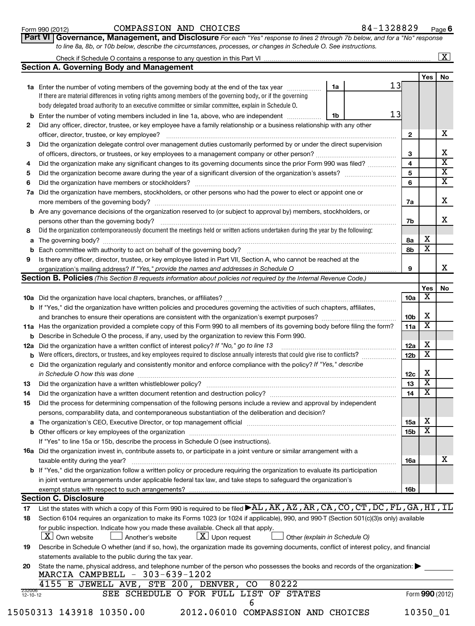| Form 990 (2012) |  |
|-----------------|--|
|-----------------|--|

#### Form 990 (2012) Page COMPASSION AND CHOICES 84-1328829

**6**

| . | -------                                                                                                                            |
|---|------------------------------------------------------------------------------------------------------------------------------------|
|   | <b>Part VI Governance, Management, and Disclosure</b> For each "Yes" response to lines 2 through 7b below, and for a "No" responsr |
|   | to line 8a, 8b, or 10b below, describe the circumstances, processes, or changes in Schedule O. See instructions.                   |

| Check if Schedule O contains a response to any question in this Part VI |     |    |
|-------------------------------------------------------------------------|-----|----|
| <b>Section A. Governing Body and Management</b>                         |     |    |
|                                                                         | Yes | No |
|                                                                         |     |    |

|          |                                                                                                                                                                                                                         |    |    |                 | res | <b>NO</b>               |
|----------|-------------------------------------------------------------------------------------------------------------------------------------------------------------------------------------------------------------------------|----|----|-----------------|-----|-------------------------|
|          | 1a Enter the number of voting members of the governing body at the end of the tax year                                                                                                                                  | 1a | 13 |                 |     |                         |
|          | If there are material differences in voting rights among members of the governing body, or if the governing                                                                                                             |    |    |                 |     |                         |
|          | body delegated broad authority to an executive committee or similar committee, explain in Schedule O.                                                                                                                   |    |    |                 |     |                         |
| b        | Enter the number of voting members included in line 1a, above, who are independent                                                                                                                                      | 1b | 13 |                 |     |                         |
| 2        | Did any officer, director, trustee, or key employee have a family relationship or a business relationship with any other                                                                                                |    |    |                 |     |                         |
|          | officer, director, trustee, or key employee?                                                                                                                                                                            |    |    | 2               |     | x                       |
| 3        | Did the organization delegate control over management duties customarily performed by or under the direct supervision                                                                                                   |    |    |                 |     |                         |
|          |                                                                                                                                                                                                                         |    |    | З               |     | х                       |
| 4        | Did the organization make any significant changes to its governing documents since the prior Form 990 was filed?                                                                                                        |    |    | 4               |     | $\overline{\mathbf{x}}$ |
| 5        |                                                                                                                                                                                                                         |    |    | 5               |     | X                       |
| 6        | Did the organization have members or stockholders?                                                                                                                                                                      |    |    | 6               |     | X                       |
| 7а       | Did the organization have members, stockholders, or other persons who had the power to elect or appoint one or                                                                                                          |    |    |                 |     |                         |
|          | more members of the governing body?                                                                                                                                                                                     |    |    | 7a              |     | х                       |
|          | <b>b</b> Are any governance decisions of the organization reserved to (or subject to approval by) members, stockholders, or                                                                                             |    |    |                 |     |                         |
|          | persons other than the governing body?                                                                                                                                                                                  |    |    | 7b              |     | х                       |
| 8        | Did the organization contemporaneously document the meetings held or written actions undertaken during the year by the following:                                                                                       |    |    |                 |     |                         |
| а        | The governing body?                                                                                                                                                                                                     |    |    | 8а              | х   |                         |
| b        | Each committee with authority to act on behalf of the governing body?                                                                                                                                                   |    |    | 8b              | X   |                         |
| 9        | Is there any officer, director, trustee, or key employee listed in Part VII, Section A, who cannot be reached at the                                                                                                    |    |    |                 |     |                         |
|          | organization's mailing address? If "Yes," provide the names and addresses in Schedule O                                                                                                                                 |    |    | 9               |     | х                       |
|          | <b>Section B. Policies</b> (This Section B requests information about policies not required by the Internal Revenue Code.)                                                                                              |    |    |                 |     |                         |
|          |                                                                                                                                                                                                                         |    |    |                 | Yes | No                      |
|          |                                                                                                                                                                                                                         |    |    | 10a             | х   |                         |
|          | <b>b</b> If "Yes," did the organization have written policies and procedures governing the activities of such chapters, affiliates,                                                                                     |    |    |                 |     |                         |
|          |                                                                                                                                                                                                                         |    |    | 10 <sub>b</sub> | х   |                         |
|          | 11a Has the organization provided a complete copy of this Form 990 to all members of its governing body before filing the form?                                                                                         |    |    | 11a             | х   |                         |
| b        | Describe in Schedule O the process, if any, used by the organization to review this Form 990.                                                                                                                           |    |    |                 | х   |                         |
| 12a      | Did the organization have a written conflict of interest policy? If "No," go to line 13                                                                                                                                 |    |    | 12a             | х   |                         |
| b        | Were officers, directors, or trustees, and key employees required to disclose annually interests that could give rise to conflicts?                                                                                     |    |    | 12b             |     |                         |
| с        | Did the organization regularly and consistently monitor and enforce compliance with the policy? If "Yes," describe                                                                                                      |    |    |                 | х   |                         |
|          | in Schedule O how this was done                                                                                                                                                                                         |    |    | 12c<br>13       | х   |                         |
| 13<br>14 | Did the organization have a written whistleblower policy?                                                                                                                                                               |    |    | 14              | х   |                         |
| 15       |                                                                                                                                                                                                                         |    |    |                 |     |                         |
|          | Did the process for determining compensation of the following persons include a review and approval by independent<br>persons, comparability data, and contemporaneous substantiation of the deliberation and decision? |    |    |                 |     |                         |
|          | The organization's CEO, Executive Director, or top management official                                                                                                                                                  |    |    | 15a             | х   |                         |
| b        | Other officers or key employees of the organization                                                                                                                                                                     |    |    | 15 <sub>b</sub> | X   |                         |
|          | If "Yes" to line 15a or 15b, describe the process in Schedule O (see instructions).                                                                                                                                     |    |    |                 |     |                         |
|          | 16a Did the organization invest in, contribute assets to, or participate in a joint venture or similar arrangement with a                                                                                               |    |    |                 |     |                         |
|          | taxable entity during the year?                                                                                                                                                                                         |    |    | <b>16a</b>      |     | х                       |
|          | <b>b</b> If "Yes," did the organization follow a written policy or procedure requiring the organization to evaluate its participation                                                                                   |    |    |                 |     |                         |
|          | in joint venture arrangements under applicable federal tax law, and take steps to safeguard the organization's                                                                                                          |    |    |                 |     |                         |
|          | exempt status with respect to such arrangements?                                                                                                                                                                        |    |    | 16b             |     |                         |
|          | <b>Section C. Disclosure</b>                                                                                                                                                                                            |    |    |                 |     |                         |
| 17       | List the states with which a copy of this Form 990 is required to be filed ▶AL, AK, AZ, AR, CA, CO, CT, DC, FL, GA, HI, IL                                                                                              |    |    |                 |     |                         |
| 18       | Section 6104 requires an organization to make its Forms 1023 (or 1024 if applicable), 990, and 990-T (Section 501(c)(3)s only) available                                                                                |    |    |                 |     |                         |
|          | for public inspection. Indicate how you made these available. Check all that apply.                                                                                                                                     |    |    |                 |     |                         |
|          | $\lfloor x \rfloor$ Own website<br>$\lfloor x \rfloor$ Upon request<br>Another's website<br>Other (explain in Schedule O)                                                                                               |    |    |                 |     |                         |
| 19       | Describe in Schedule O whether (and if so, how), the organization made its governing documents, conflict of interest policy, and financial                                                                              |    |    |                 |     |                         |
|          | statements available to the public during the tax year.                                                                                                                                                                 |    |    |                 |     |                         |
| 20       | State the name, physical address, and telephone number of the person who possesses the books and records of the organization:                                                                                           |    |    |                 |     |                         |

| 4155                     | Е | JEWELL AVE, STE 200, |  |  | DENVER, | CO. | 80222 |                                        |                 |
|--------------------------|---|----------------------|--|--|---------|-----|-------|----------------------------------------|-----------------|
| 232000<br>$12 - 10 - 12$ |   |                      |  |  |         |     |       | SEE SCHEDULE O FOR FULL LIST OF STATES | Form 990 (2012) |
|                          |   |                      |  |  |         |     |       |                                        |                 |

| 5050313 143918 10350.00 |  |
|-------------------------|--|
|-------------------------|--|

15050313 143918 10350.00 2012.06010 COMPASSION AND CHOICES 10350\_01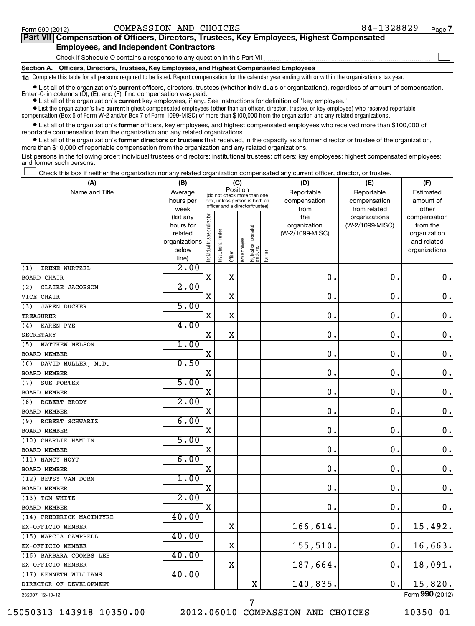#### Form 990 (2012) Page COMPASSION AND CHOICES 84-1328829

| Part VII Compensation of Officers, Directors, Trustees, Key Employees, Highest Compensated |  |
|--------------------------------------------------------------------------------------------|--|
| <b>Employees, and Independent Contractors</b>                                              |  |
| Check if Schedule O contains a response to any question in this Part VII                   |  |
| Section A. Officers, Directors, Trustees, Key Employees, and Highest Compensated Employees |  |
|                                                                                            |  |

**1a**  Complete this table for all persons required to be listed. Report compensation for the calendar year ending with or within the organization's tax year.

**•** List all of the organization's current officers, directors, trustees (whether individuals or organizations), regardless of amount of compensation. Enter -0- in columns  $(D)$ ,  $(E)$ , and  $(F)$  if no compensation was paid.

**•** List all of the organization's **current** key employees, if any. See instructions for definition of "key employee."

 $\bullet$  List the organization's five  $\tt current$  highest compensated employees (other than an officer, director, trustee, or key employee) who received reportable compensation (Box 5 of Form W-2 and/or Box 7 of Form 1099-MISC) of more than \$100,000 from the organization and any related organizations .

 $\bullet$  List all of the organization's former officers, key employees, and highest compensated employees who received more than \$100,000 of reportable compensation from the organization and any related organizations.

**•** List all of the organization's former directors or trustees that received, in the capacity as a former director or trustee of the organization, more than \$10,000 of reportable compensation from the organization and any related organizations.

List persons in the following order: individual trustees or directors; institutional trustees; officers; key employees; highest compensated employees; and former such persons.

Check this box if neither the organization nor any related organization compensated any current officer, director, or trustee.  $\pm$ 

| Position<br>Name and Title<br>Average<br>Reportable<br>Reportable<br>Estimated<br>(do not check more than one<br>hours per<br>box, unless person is both an<br>compensation<br>compensation<br>amount of<br>officer and a director/trustee)<br>week<br>from<br>from related<br>other<br>Individual trustee or director<br>the<br>organizations<br>(list any<br>compensation<br>(W-2/1099-MISC)<br>hours for<br>organization<br>from the<br>Highest compensated<br>employee<br>Institutional trustee<br>(W-2/1099-MISC)<br>related<br>organization<br>Key employee<br>organizations<br>and related<br>below<br>organizations<br>Former<br>Officer<br>line)<br>2.00<br>IRENE WURTZEL<br>(1)<br>$\mathbf X$<br>X<br>$\mathbf 0$ .<br>0<br>$\boldsymbol{0}$ .<br><b>BOARD CHAIR</b><br>2.00<br>(2)<br>CLAIRE JACOBSON<br>$\mathbf X$<br>$\mathbf X$<br>$\mathbf 0$ .<br>0<br>$\mathbf 0$ .<br>VICE CHAIR<br>5.00<br><b>JAREN DUCKER</b><br>(3)<br>0<br>$\mathbf 0$ .<br>$\mathbf X$<br>X<br>$\mathbf 0$ .<br><b>TREASURER</b><br>4.00<br>(4)<br><b>KAREN PYE</b><br>$\mathbf 0$ .<br>$\mathbf 0$<br>$\mathbf 0$ .<br>$\mathbf X$<br>$\mathbf X$<br><b>SECRETARY</b><br>1.00<br>MATTHEW NELSON<br>(5)<br>0<br>$\mathbf 0$ .<br>X<br>$\mathbf 0$<br><b>BOARD MEMBER</b><br>0.50<br>DAVID MULLER, M.D.<br>(6)<br>$\mathbf 0$ .<br>$\mathbf 0$<br>$\mathbf 0$ .<br>X<br>BOARD MEMBER<br>5.00<br>SUE PORTER<br>(7)<br>0.<br>$\mathbf 0$ .<br>X<br>0.<br><b>BOARD MEMBER</b><br>2.00<br>ROBERT BRODY<br>(8)<br>$\mathbf 0$ .<br>$\mathbf 0$<br>$\mathbf 0$ .<br>$\mathbf X$<br>BOARD MEMBER<br>6.00<br>ROBERT SCHWARTZ<br>(9)<br>$\mathbf 0$ .<br>$\mathbf X$<br>$\mathbf 0$ .<br>0<br><b>BOARD MEMBER</b><br>5.00<br>(10) CHARLIE HAMLIN<br>$\mathbf 0$<br>$\mathbf 0$ .<br>$\mathbf X$<br>0.<br>BOARD MEMBER<br>6.00<br>(11) NANCY HOYT<br>$\mathbf 0$ .<br>$\mathbf 0$<br>$\mathbf 0$ .<br>$\mathbf X$<br><b>BOARD MEMBER</b><br>1.00<br>(12) BETSY VAN DORN<br>$\mathbf 0$ .<br>0<br>$\mathbf 0$ .<br>$\mathbf X$<br>BOARD MEMBER<br>2.00<br>(13) TOM WHITE<br>$\mathbf 0$ .<br>0<br>$\mathbf 0$ .<br>X<br><b>BOARD MEMBER</b><br>40.00<br>(14) FREDERICK MACINTYRE<br>166,614.<br>$\mathbf X$<br>$\mathbf 0$ .<br>15,492.<br>EX-OFFICIO MEMBER<br>40.00<br>(15) MARCIA CAMPBELL<br>$\mathbf X$<br>155,510.<br>0.<br>16,663.<br>EX-OFFICIO MEMBER<br>40.00<br>(16) BARBARA COOMBS LEE<br>$\mathbf X$<br>187,664.<br>0.<br>18,091.<br>EX-OFFICIO MEMBER<br>40.00<br>(17) KENNETH WILLIAMS<br>15,820.<br>X<br>140,835.<br>$\mathbf 0$ .<br>DIRECTOR OF DEVELOPMENT<br>$000$ ( $0.22$ | (A) | (B) |  | (C) |  | (D) | (E) | (F) |
|------------------------------------------------------------------------------------------------------------------------------------------------------------------------------------------------------------------------------------------------------------------------------------------------------------------------------------------------------------------------------------------------------------------------------------------------------------------------------------------------------------------------------------------------------------------------------------------------------------------------------------------------------------------------------------------------------------------------------------------------------------------------------------------------------------------------------------------------------------------------------------------------------------------------------------------------------------------------------------------------------------------------------------------------------------------------------------------------------------------------------------------------------------------------------------------------------------------------------------------------------------------------------------------------------------------------------------------------------------------------------------------------------------------------------------------------------------------------------------------------------------------------------------------------------------------------------------------------------------------------------------------------------------------------------------------------------------------------------------------------------------------------------------------------------------------------------------------------------------------------------------------------------------------------------------------------------------------------------------------------------------------------------------------------------------------------------------------------------------------------------------------------------------------------------------------------------------------------------------------------------------------------------------------------------------------------------------------------------------------------------------------------------------------------------------------------------------------------------------------------------------------------------------------------------------------------------|-----|-----|--|-----|--|-----|-----|-----|
|                                                                                                                                                                                                                                                                                                                                                                                                                                                                                                                                                                                                                                                                                                                                                                                                                                                                                                                                                                                                                                                                                                                                                                                                                                                                                                                                                                                                                                                                                                                                                                                                                                                                                                                                                                                                                                                                                                                                                                                                                                                                                                                                                                                                                                                                                                                                                                                                                                                                                                                                                                              |     |     |  |     |  |     |     |     |
|                                                                                                                                                                                                                                                                                                                                                                                                                                                                                                                                                                                                                                                                                                                                                                                                                                                                                                                                                                                                                                                                                                                                                                                                                                                                                                                                                                                                                                                                                                                                                                                                                                                                                                                                                                                                                                                                                                                                                                                                                                                                                                                                                                                                                                                                                                                                                                                                                                                                                                                                                                              |     |     |  |     |  |     |     |     |
|                                                                                                                                                                                                                                                                                                                                                                                                                                                                                                                                                                                                                                                                                                                                                                                                                                                                                                                                                                                                                                                                                                                                                                                                                                                                                                                                                                                                                                                                                                                                                                                                                                                                                                                                                                                                                                                                                                                                                                                                                                                                                                                                                                                                                                                                                                                                                                                                                                                                                                                                                                              |     |     |  |     |  |     |     |     |
|                                                                                                                                                                                                                                                                                                                                                                                                                                                                                                                                                                                                                                                                                                                                                                                                                                                                                                                                                                                                                                                                                                                                                                                                                                                                                                                                                                                                                                                                                                                                                                                                                                                                                                                                                                                                                                                                                                                                                                                                                                                                                                                                                                                                                                                                                                                                                                                                                                                                                                                                                                              |     |     |  |     |  |     |     |     |
|                                                                                                                                                                                                                                                                                                                                                                                                                                                                                                                                                                                                                                                                                                                                                                                                                                                                                                                                                                                                                                                                                                                                                                                                                                                                                                                                                                                                                                                                                                                                                                                                                                                                                                                                                                                                                                                                                                                                                                                                                                                                                                                                                                                                                                                                                                                                                                                                                                                                                                                                                                              |     |     |  |     |  |     |     |     |
|                                                                                                                                                                                                                                                                                                                                                                                                                                                                                                                                                                                                                                                                                                                                                                                                                                                                                                                                                                                                                                                                                                                                                                                                                                                                                                                                                                                                                                                                                                                                                                                                                                                                                                                                                                                                                                                                                                                                                                                                                                                                                                                                                                                                                                                                                                                                                                                                                                                                                                                                                                              |     |     |  |     |  |     |     |     |
|                                                                                                                                                                                                                                                                                                                                                                                                                                                                                                                                                                                                                                                                                                                                                                                                                                                                                                                                                                                                                                                                                                                                                                                                                                                                                                                                                                                                                                                                                                                                                                                                                                                                                                                                                                                                                                                                                                                                                                                                                                                                                                                                                                                                                                                                                                                                                                                                                                                                                                                                                                              |     |     |  |     |  |     |     |     |
|                                                                                                                                                                                                                                                                                                                                                                                                                                                                                                                                                                                                                                                                                                                                                                                                                                                                                                                                                                                                                                                                                                                                                                                                                                                                                                                                                                                                                                                                                                                                                                                                                                                                                                                                                                                                                                                                                                                                                                                                                                                                                                                                                                                                                                                                                                                                                                                                                                                                                                                                                                              |     |     |  |     |  |     |     |     |
|                                                                                                                                                                                                                                                                                                                                                                                                                                                                                                                                                                                                                                                                                                                                                                                                                                                                                                                                                                                                                                                                                                                                                                                                                                                                                                                                                                                                                                                                                                                                                                                                                                                                                                                                                                                                                                                                                                                                                                                                                                                                                                                                                                                                                                                                                                                                                                                                                                                                                                                                                                              |     |     |  |     |  |     |     |     |
|                                                                                                                                                                                                                                                                                                                                                                                                                                                                                                                                                                                                                                                                                                                                                                                                                                                                                                                                                                                                                                                                                                                                                                                                                                                                                                                                                                                                                                                                                                                                                                                                                                                                                                                                                                                                                                                                                                                                                                                                                                                                                                                                                                                                                                                                                                                                                                                                                                                                                                                                                                              |     |     |  |     |  |     |     |     |
|                                                                                                                                                                                                                                                                                                                                                                                                                                                                                                                                                                                                                                                                                                                                                                                                                                                                                                                                                                                                                                                                                                                                                                                                                                                                                                                                                                                                                                                                                                                                                                                                                                                                                                                                                                                                                                                                                                                                                                                                                                                                                                                                                                                                                                                                                                                                                                                                                                                                                                                                                                              |     |     |  |     |  |     |     |     |
|                                                                                                                                                                                                                                                                                                                                                                                                                                                                                                                                                                                                                                                                                                                                                                                                                                                                                                                                                                                                                                                                                                                                                                                                                                                                                                                                                                                                                                                                                                                                                                                                                                                                                                                                                                                                                                                                                                                                                                                                                                                                                                                                                                                                                                                                                                                                                                                                                                                                                                                                                                              |     |     |  |     |  |     |     |     |
|                                                                                                                                                                                                                                                                                                                                                                                                                                                                                                                                                                                                                                                                                                                                                                                                                                                                                                                                                                                                                                                                                                                                                                                                                                                                                                                                                                                                                                                                                                                                                                                                                                                                                                                                                                                                                                                                                                                                                                                                                                                                                                                                                                                                                                                                                                                                                                                                                                                                                                                                                                              |     |     |  |     |  |     |     |     |
|                                                                                                                                                                                                                                                                                                                                                                                                                                                                                                                                                                                                                                                                                                                                                                                                                                                                                                                                                                                                                                                                                                                                                                                                                                                                                                                                                                                                                                                                                                                                                                                                                                                                                                                                                                                                                                                                                                                                                                                                                                                                                                                                                                                                                                                                                                                                                                                                                                                                                                                                                                              |     |     |  |     |  |     |     |     |
|                                                                                                                                                                                                                                                                                                                                                                                                                                                                                                                                                                                                                                                                                                                                                                                                                                                                                                                                                                                                                                                                                                                                                                                                                                                                                                                                                                                                                                                                                                                                                                                                                                                                                                                                                                                                                                                                                                                                                                                                                                                                                                                                                                                                                                                                                                                                                                                                                                                                                                                                                                              |     |     |  |     |  |     |     |     |
|                                                                                                                                                                                                                                                                                                                                                                                                                                                                                                                                                                                                                                                                                                                                                                                                                                                                                                                                                                                                                                                                                                                                                                                                                                                                                                                                                                                                                                                                                                                                                                                                                                                                                                                                                                                                                                                                                                                                                                                                                                                                                                                                                                                                                                                                                                                                                                                                                                                                                                                                                                              |     |     |  |     |  |     |     |     |
|                                                                                                                                                                                                                                                                                                                                                                                                                                                                                                                                                                                                                                                                                                                                                                                                                                                                                                                                                                                                                                                                                                                                                                                                                                                                                                                                                                                                                                                                                                                                                                                                                                                                                                                                                                                                                                                                                                                                                                                                                                                                                                                                                                                                                                                                                                                                                                                                                                                                                                                                                                              |     |     |  |     |  |     |     |     |
|                                                                                                                                                                                                                                                                                                                                                                                                                                                                                                                                                                                                                                                                                                                                                                                                                                                                                                                                                                                                                                                                                                                                                                                                                                                                                                                                                                                                                                                                                                                                                                                                                                                                                                                                                                                                                                                                                                                                                                                                                                                                                                                                                                                                                                                                                                                                                                                                                                                                                                                                                                              |     |     |  |     |  |     |     |     |
|                                                                                                                                                                                                                                                                                                                                                                                                                                                                                                                                                                                                                                                                                                                                                                                                                                                                                                                                                                                                                                                                                                                                                                                                                                                                                                                                                                                                                                                                                                                                                                                                                                                                                                                                                                                                                                                                                                                                                                                                                                                                                                                                                                                                                                                                                                                                                                                                                                                                                                                                                                              |     |     |  |     |  |     |     |     |
|                                                                                                                                                                                                                                                                                                                                                                                                                                                                                                                                                                                                                                                                                                                                                                                                                                                                                                                                                                                                                                                                                                                                                                                                                                                                                                                                                                                                                                                                                                                                                                                                                                                                                                                                                                                                                                                                                                                                                                                                                                                                                                                                                                                                                                                                                                                                                                                                                                                                                                                                                                              |     |     |  |     |  |     |     |     |
|                                                                                                                                                                                                                                                                                                                                                                                                                                                                                                                                                                                                                                                                                                                                                                                                                                                                                                                                                                                                                                                                                                                                                                                                                                                                                                                                                                                                                                                                                                                                                                                                                                                                                                                                                                                                                                                                                                                                                                                                                                                                                                                                                                                                                                                                                                                                                                                                                                                                                                                                                                              |     |     |  |     |  |     |     |     |
|                                                                                                                                                                                                                                                                                                                                                                                                                                                                                                                                                                                                                                                                                                                                                                                                                                                                                                                                                                                                                                                                                                                                                                                                                                                                                                                                                                                                                                                                                                                                                                                                                                                                                                                                                                                                                                                                                                                                                                                                                                                                                                                                                                                                                                                                                                                                                                                                                                                                                                                                                                              |     |     |  |     |  |     |     |     |
|                                                                                                                                                                                                                                                                                                                                                                                                                                                                                                                                                                                                                                                                                                                                                                                                                                                                                                                                                                                                                                                                                                                                                                                                                                                                                                                                                                                                                                                                                                                                                                                                                                                                                                                                                                                                                                                                                                                                                                                                                                                                                                                                                                                                                                                                                                                                                                                                                                                                                                                                                                              |     |     |  |     |  |     |     |     |
|                                                                                                                                                                                                                                                                                                                                                                                                                                                                                                                                                                                                                                                                                                                                                                                                                                                                                                                                                                                                                                                                                                                                                                                                                                                                                                                                                                                                                                                                                                                                                                                                                                                                                                                                                                                                                                                                                                                                                                                                                                                                                                                                                                                                                                                                                                                                                                                                                                                                                                                                                                              |     |     |  |     |  |     |     |     |
|                                                                                                                                                                                                                                                                                                                                                                                                                                                                                                                                                                                                                                                                                                                                                                                                                                                                                                                                                                                                                                                                                                                                                                                                                                                                                                                                                                                                                                                                                                                                                                                                                                                                                                                                                                                                                                                                                                                                                                                                                                                                                                                                                                                                                                                                                                                                                                                                                                                                                                                                                                              |     |     |  |     |  |     |     |     |
|                                                                                                                                                                                                                                                                                                                                                                                                                                                                                                                                                                                                                                                                                                                                                                                                                                                                                                                                                                                                                                                                                                                                                                                                                                                                                                                                                                                                                                                                                                                                                                                                                                                                                                                                                                                                                                                                                                                                                                                                                                                                                                                                                                                                                                                                                                                                                                                                                                                                                                                                                                              |     |     |  |     |  |     |     |     |
|                                                                                                                                                                                                                                                                                                                                                                                                                                                                                                                                                                                                                                                                                                                                                                                                                                                                                                                                                                                                                                                                                                                                                                                                                                                                                                                                                                                                                                                                                                                                                                                                                                                                                                                                                                                                                                                                                                                                                                                                                                                                                                                                                                                                                                                                                                                                                                                                                                                                                                                                                                              |     |     |  |     |  |     |     |     |
|                                                                                                                                                                                                                                                                                                                                                                                                                                                                                                                                                                                                                                                                                                                                                                                                                                                                                                                                                                                                                                                                                                                                                                                                                                                                                                                                                                                                                                                                                                                                                                                                                                                                                                                                                                                                                                                                                                                                                                                                                                                                                                                                                                                                                                                                                                                                                                                                                                                                                                                                                                              |     |     |  |     |  |     |     |     |
|                                                                                                                                                                                                                                                                                                                                                                                                                                                                                                                                                                                                                                                                                                                                                                                                                                                                                                                                                                                                                                                                                                                                                                                                                                                                                                                                                                                                                                                                                                                                                                                                                                                                                                                                                                                                                                                                                                                                                                                                                                                                                                                                                                                                                                                                                                                                                                                                                                                                                                                                                                              |     |     |  |     |  |     |     |     |
|                                                                                                                                                                                                                                                                                                                                                                                                                                                                                                                                                                                                                                                                                                                                                                                                                                                                                                                                                                                                                                                                                                                                                                                                                                                                                                                                                                                                                                                                                                                                                                                                                                                                                                                                                                                                                                                                                                                                                                                                                                                                                                                                                                                                                                                                                                                                                                                                                                                                                                                                                                              |     |     |  |     |  |     |     |     |
|                                                                                                                                                                                                                                                                                                                                                                                                                                                                                                                                                                                                                                                                                                                                                                                                                                                                                                                                                                                                                                                                                                                                                                                                                                                                                                                                                                                                                                                                                                                                                                                                                                                                                                                                                                                                                                                                                                                                                                                                                                                                                                                                                                                                                                                                                                                                                                                                                                                                                                                                                                              |     |     |  |     |  |     |     |     |
|                                                                                                                                                                                                                                                                                                                                                                                                                                                                                                                                                                                                                                                                                                                                                                                                                                                                                                                                                                                                                                                                                                                                                                                                                                                                                                                                                                                                                                                                                                                                                                                                                                                                                                                                                                                                                                                                                                                                                                                                                                                                                                                                                                                                                                                                                                                                                                                                                                                                                                                                                                              |     |     |  |     |  |     |     |     |
|                                                                                                                                                                                                                                                                                                                                                                                                                                                                                                                                                                                                                                                                                                                                                                                                                                                                                                                                                                                                                                                                                                                                                                                                                                                                                                                                                                                                                                                                                                                                                                                                                                                                                                                                                                                                                                                                                                                                                                                                                                                                                                                                                                                                                                                                                                                                                                                                                                                                                                                                                                              |     |     |  |     |  |     |     |     |
|                                                                                                                                                                                                                                                                                                                                                                                                                                                                                                                                                                                                                                                                                                                                                                                                                                                                                                                                                                                                                                                                                                                                                                                                                                                                                                                                                                                                                                                                                                                                                                                                                                                                                                                                                                                                                                                                                                                                                                                                                                                                                                                                                                                                                                                                                                                                                                                                                                                                                                                                                                              |     |     |  |     |  |     |     |     |
|                                                                                                                                                                                                                                                                                                                                                                                                                                                                                                                                                                                                                                                                                                                                                                                                                                                                                                                                                                                                                                                                                                                                                                                                                                                                                                                                                                                                                                                                                                                                                                                                                                                                                                                                                                                                                                                                                                                                                                                                                                                                                                                                                                                                                                                                                                                                                                                                                                                                                                                                                                              |     |     |  |     |  |     |     |     |
|                                                                                                                                                                                                                                                                                                                                                                                                                                                                                                                                                                                                                                                                                                                                                                                                                                                                                                                                                                                                                                                                                                                                                                                                                                                                                                                                                                                                                                                                                                                                                                                                                                                                                                                                                                                                                                                                                                                                                                                                                                                                                                                                                                                                                                                                                                                                                                                                                                                                                                                                                                              |     |     |  |     |  |     |     |     |
|                                                                                                                                                                                                                                                                                                                                                                                                                                                                                                                                                                                                                                                                                                                                                                                                                                                                                                                                                                                                                                                                                                                                                                                                                                                                                                                                                                                                                                                                                                                                                                                                                                                                                                                                                                                                                                                                                                                                                                                                                                                                                                                                                                                                                                                                                                                                                                                                                                                                                                                                                                              |     |     |  |     |  |     |     |     |
|                                                                                                                                                                                                                                                                                                                                                                                                                                                                                                                                                                                                                                                                                                                                                                                                                                                                                                                                                                                                                                                                                                                                                                                                                                                                                                                                                                                                                                                                                                                                                                                                                                                                                                                                                                                                                                                                                                                                                                                                                                                                                                                                                                                                                                                                                                                                                                                                                                                                                                                                                                              |     |     |  |     |  |     |     |     |
|                                                                                                                                                                                                                                                                                                                                                                                                                                                                                                                                                                                                                                                                                                                                                                                                                                                                                                                                                                                                                                                                                                                                                                                                                                                                                                                                                                                                                                                                                                                                                                                                                                                                                                                                                                                                                                                                                                                                                                                                                                                                                                                                                                                                                                                                                                                                                                                                                                                                                                                                                                              |     |     |  |     |  |     |     |     |
|                                                                                                                                                                                                                                                                                                                                                                                                                                                                                                                                                                                                                                                                                                                                                                                                                                                                                                                                                                                                                                                                                                                                                                                                                                                                                                                                                                                                                                                                                                                                                                                                                                                                                                                                                                                                                                                                                                                                                                                                                                                                                                                                                                                                                                                                                                                                                                                                                                                                                                                                                                              |     |     |  |     |  |     |     |     |
|                                                                                                                                                                                                                                                                                                                                                                                                                                                                                                                                                                                                                                                                                                                                                                                                                                                                                                                                                                                                                                                                                                                                                                                                                                                                                                                                                                                                                                                                                                                                                                                                                                                                                                                                                                                                                                                                                                                                                                                                                                                                                                                                                                                                                                                                                                                                                                                                                                                                                                                                                                              |     |     |  |     |  |     |     |     |
|                                                                                                                                                                                                                                                                                                                                                                                                                                                                                                                                                                                                                                                                                                                                                                                                                                                                                                                                                                                                                                                                                                                                                                                                                                                                                                                                                                                                                                                                                                                                                                                                                                                                                                                                                                                                                                                                                                                                                                                                                                                                                                                                                                                                                                                                                                                                                                                                                                                                                                                                                                              |     |     |  |     |  |     |     |     |

232007 12-10-12

15050313 143918 10350.00 2012.06010 COMPASSION AND CHOICES 10350\_01

7

Form (2012) **990**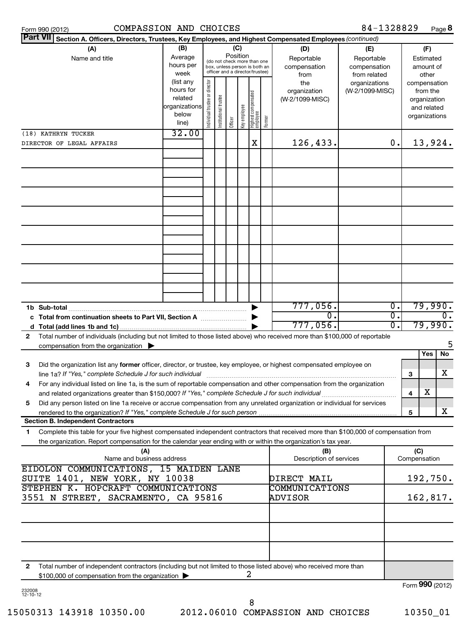| Form 990 (2012) |
|-----------------|
|-----------------|

| Part VII Section A. Officers, Directors, Trustees, Key Employees, and Highest Compensated Employees (continued)                                                                                                                                             |                   |                                |                       |         |              |                                                                  |        |                         |                                  |    |              |                          |
|-------------------------------------------------------------------------------------------------------------------------------------------------------------------------------------------------------------------------------------------------------------|-------------------|--------------------------------|-----------------------|---------|--------------|------------------------------------------------------------------|--------|-------------------------|----------------------------------|----|--------------|--------------------------|
| (A)                                                                                                                                                                                                                                                         | (B)               |                                |                       |         | (C)          |                                                                  |        | (D)                     | (E)                              |    |              | (F)                      |
| Name and title                                                                                                                                                                                                                                              | Average           |                                |                       |         | Position     | (do not check more than one                                      |        | Reportable              | Reportable                       |    |              | Estimated                |
|                                                                                                                                                                                                                                                             | hours per         |                                |                       |         |              | box, unless person is both an<br>officer and a director/trustee) |        | compensation            | compensation                     |    |              | amount of                |
|                                                                                                                                                                                                                                                             | week<br>(list any |                                |                       |         |              |                                                                  |        | from                    | from related                     |    |              | other                    |
|                                                                                                                                                                                                                                                             | hours for         |                                |                       |         |              |                                                                  |        | the<br>organization     | organizations<br>(W-2/1099-MISC) |    |              | compensation<br>from the |
|                                                                                                                                                                                                                                                             | related           |                                |                       |         |              |                                                                  |        | (W-2/1099-MISC)         |                                  |    |              | organization             |
|                                                                                                                                                                                                                                                             | organizations     |                                |                       |         |              |                                                                  |        |                         |                                  |    |              | and related              |
|                                                                                                                                                                                                                                                             | below             | Individual trustee or director | Institutional trustee |         | Key employee | Highest compensated<br>  employee                                |        |                         |                                  |    |              | organizations            |
|                                                                                                                                                                                                                                                             | line)             |                                |                       | Officer |              |                                                                  | Former |                         |                                  |    |              |                          |
| (18) KATHRYN TUCKER                                                                                                                                                                                                                                         | 32.00             |                                |                       |         |              |                                                                  |        |                         |                                  |    |              |                          |
| DIRECTOR OF LEGAL AFFAIRS                                                                                                                                                                                                                                   |                   |                                |                       |         |              | X                                                                |        | 126,433.                |                                  | 0. |              | 13,924.                  |
|                                                                                                                                                                                                                                                             |                   |                                |                       |         |              |                                                                  |        |                         |                                  |    |              |                          |
|                                                                                                                                                                                                                                                             |                   |                                |                       |         |              |                                                                  |        |                         |                                  |    |              |                          |
|                                                                                                                                                                                                                                                             |                   |                                |                       |         |              |                                                                  |        |                         |                                  |    |              |                          |
|                                                                                                                                                                                                                                                             |                   |                                |                       |         |              |                                                                  |        |                         |                                  |    |              |                          |
|                                                                                                                                                                                                                                                             |                   |                                |                       |         |              |                                                                  |        |                         |                                  |    |              |                          |
|                                                                                                                                                                                                                                                             |                   |                                |                       |         |              |                                                                  |        |                         |                                  |    |              |                          |
|                                                                                                                                                                                                                                                             |                   |                                |                       |         |              |                                                                  |        |                         |                                  |    |              |                          |
|                                                                                                                                                                                                                                                             |                   |                                |                       |         |              |                                                                  |        |                         |                                  |    |              |                          |
|                                                                                                                                                                                                                                                             |                   |                                |                       |         |              |                                                                  |        |                         |                                  |    |              |                          |
|                                                                                                                                                                                                                                                             |                   |                                |                       |         |              |                                                                  |        |                         |                                  |    |              |                          |
|                                                                                                                                                                                                                                                             |                   |                                |                       |         |              |                                                                  |        |                         |                                  |    |              |                          |
|                                                                                                                                                                                                                                                             |                   |                                |                       |         |              |                                                                  |        |                         |                                  |    |              |                          |
|                                                                                                                                                                                                                                                             |                   |                                |                       |         |              |                                                                  |        |                         |                                  |    |              |                          |
|                                                                                                                                                                                                                                                             |                   |                                |                       |         |              |                                                                  |        |                         |                                  |    |              |                          |
|                                                                                                                                                                                                                                                             |                   |                                |                       |         |              |                                                                  |        | 777,056.                |                                  | σ. |              | 79,990.                  |
| 1b Sub-total<br>c Total from continuation sheets to Part VII, Section A                                                                                                                                                                                     |                   |                                |                       |         |              |                                                                  |        | $\mathbf 0$ .           |                                  | σ. |              | Ο.                       |
|                                                                                                                                                                                                                                                             |                   |                                |                       |         |              |                                                                  |        | 777,056.                |                                  | σ. |              | 79,990.                  |
| Total number of individuals (including but not limited to those listed above) who received more than \$100,000 of reportable<br>2                                                                                                                           |                   |                                |                       |         |              |                                                                  |        |                         |                                  |    |              |                          |
| compensation from the organization $\blacktriangleright$                                                                                                                                                                                                    |                   |                                |                       |         |              |                                                                  |        |                         |                                  |    |              | 5                        |
|                                                                                                                                                                                                                                                             |                   |                                |                       |         |              |                                                                  |        |                         |                                  |    |              | Yes<br>No                |
| Did the organization list any former officer, director, or trustee, key employee, or highest compensated employee on<br>3                                                                                                                                   |                   |                                |                       |         |              |                                                                  |        |                         |                                  |    |              |                          |
| line 1a? If "Yes," complete Schedule J for such individual                                                                                                                                                                                                  |                   |                                |                       |         |              |                                                                  |        |                         |                                  |    | 3            | x                        |
| For any individual listed on line 1a, is the sum of reportable compensation and other compensation from the organization<br>4                                                                                                                               |                   |                                |                       |         |              |                                                                  |        |                         |                                  |    |              |                          |
| and related organizations greater than \$150,000? If "Yes," complete Schedule J for such individual                                                                                                                                                         |                   |                                |                       |         |              |                                                                  |        |                         |                                  |    | 4            | X                        |
| 5<br>Did any person listed on line 1a receive or accrue compensation from any unrelated organization or individual for services                                                                                                                             |                   |                                |                       |         |              |                                                                  |        |                         |                                  |    |              |                          |
| rendered to the organization? If "Yes," complete Schedule J for such person                                                                                                                                                                                 |                   |                                |                       |         |              |                                                                  |        |                         |                                  |    | 5            | x                        |
| <b>Section B. Independent Contractors</b>                                                                                                                                                                                                                   |                   |                                |                       |         |              |                                                                  |        |                         |                                  |    |              |                          |
| Complete this table for your five highest compensated independent contractors that received more than \$100,000 of compensation from<br>1<br>the organization. Report compensation for the calendar year ending with or within the organization's tax year. |                   |                                |                       |         |              |                                                                  |        |                         |                                  |    |              |                          |
| (A)                                                                                                                                                                                                                                                         |                   |                                |                       |         |              |                                                                  |        | (B)                     |                                  |    | (C)          |                          |
| Name and business address                                                                                                                                                                                                                                   |                   |                                |                       |         |              |                                                                  |        | Description of services |                                  |    | Compensation |                          |
| EIDOLON COMMUNICATIONS, 15 MAIDEN LANE                                                                                                                                                                                                                      |                   |                                |                       |         |              |                                                                  |        |                         |                                  |    |              |                          |
| SUITE 1401, NEW YORK, NY 10038                                                                                                                                                                                                                              |                   |                                |                       |         |              |                                                                  |        | DIRECT MAIL             |                                  |    |              | 192,750.                 |
| STEPHEN K. HOPCRAFT COMMUNICATIONS                                                                                                                                                                                                                          |                   |                                |                       |         |              |                                                                  |        | <b>COMMUNICATIONS</b>   |                                  |    |              |                          |
| 3551 N STREET, SACRAMENTO, CA 95816                                                                                                                                                                                                                         |                   |                                |                       |         |              |                                                                  |        | ADVISOR                 |                                  |    |              | 162,817.                 |
|                                                                                                                                                                                                                                                             |                   |                                |                       |         |              |                                                                  |        |                         |                                  |    |              |                          |
|                                                                                                                                                                                                                                                             |                   |                                |                       |         |              |                                                                  |        |                         |                                  |    |              |                          |
|                                                                                                                                                                                                                                                             |                   |                                |                       |         |              |                                                                  |        |                         |                                  |    |              |                          |
|                                                                                                                                                                                                                                                             |                   |                                |                       |         |              |                                                                  |        |                         |                                  |    |              |                          |
|                                                                                                                                                                                                                                                             |                   |                                |                       |         |              |                                                                  |        |                         |                                  |    |              |                          |
| Total number of independent contractors (including but not limited to those listed above) who received more than<br>2                                                                                                                                       |                   |                                |                       |         |              |                                                                  |        |                         |                                  |    |              |                          |
| \$100,000 of compensation from the organization                                                                                                                                                                                                             |                   |                                |                       |         |              | 2                                                                |        |                         |                                  |    |              |                          |
|                                                                                                                                                                                                                                                             |                   |                                |                       |         |              |                                                                  |        |                         |                                  |    |              | Form 990 (2012)          |
| 232008<br>$12 - 10 - 12$                                                                                                                                                                                                                                    |                   |                                |                       |         |              |                                                                  |        |                         |                                  |    |              |                          |
|                                                                                                                                                                                                                                                             |                   |                                |                       |         |              | 8                                                                |        |                         |                                  |    |              |                          |

15050313 143918 10350.00 2012.06010 COMPASSION AND CHOICES 10350\_01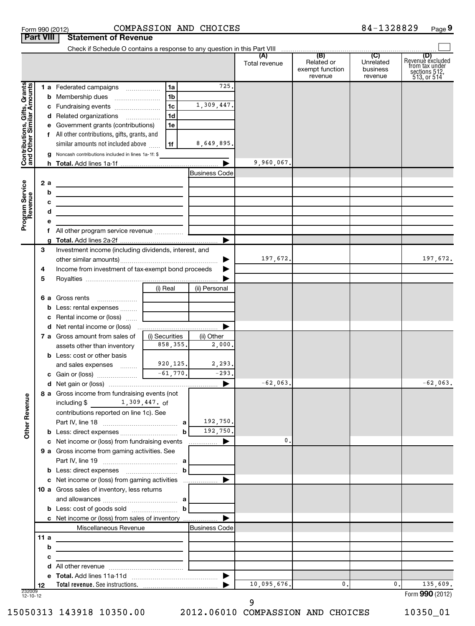|                                                           | <b>Part VIII</b> | <b>Statement of Revenue</b>                                                                                            |                                |                       |               |                                          |                                  |                                                                           |
|-----------------------------------------------------------|------------------|------------------------------------------------------------------------------------------------------------------------|--------------------------------|-----------------------|---------------|------------------------------------------|----------------------------------|---------------------------------------------------------------------------|
|                                                           |                  |                                                                                                                        |                                |                       |               |                                          |                                  |                                                                           |
|                                                           |                  |                                                                                                                        |                                |                       | Total revenue | Related or<br>exempt function<br>revenue | Unrelated<br>business<br>revenue | (D)<br>Revenue excluded<br>from tax under<br>sections 512,<br>513, or 514 |
|                                                           |                  | 1 a Federated campaigns                                                                                                | 1a                             | 725.                  |               |                                          |                                  |                                                                           |
|                                                           |                  | <b>b</b> Membership dues                                                                                               | 1 <sub>b</sub>                 |                       |               |                                          |                                  |                                                                           |
|                                                           |                  | c Fundraising events                                                                                                   | 1c                             | 1,309,447.            |               |                                          |                                  |                                                                           |
|                                                           |                  | d Related organizations                                                                                                | 1d<br>$\overline{\phantom{a}}$ |                       |               |                                          |                                  |                                                                           |
|                                                           |                  | e Government grants (contributions)                                                                                    | 1e                             |                       |               |                                          |                                  |                                                                           |
|                                                           |                  | f All other contributions, gifts, grants, and                                                                          |                                |                       |               |                                          |                                  |                                                                           |
|                                                           |                  | similar amounts not included above                                                                                     | 1f                             | 8,649,895.            |               |                                          |                                  |                                                                           |
| Contributions, Gifts, Grants<br>and Other Similar Amounts | g                | Noncash contributions included in lines 1a-1f: \$                                                                      |                                |                       |               |                                          |                                  |                                                                           |
|                                                           |                  |                                                                                                                        |                                |                       | 9,960,067.    |                                          |                                  |                                                                           |
|                                                           |                  |                                                                                                                        |                                | <b>Business Code</b>  |               |                                          |                                  |                                                                           |
|                                                           | 2a               | <u> 1989 - Johann Barn, mars ann an t-Amhain Aonaich an t-Aonaich an t-Aonaich ann an t-Aonaich ann an t-Aonaich</u>   |                                |                       |               |                                          |                                  |                                                                           |
|                                                           | b                |                                                                                                                        |                                |                       |               |                                          |                                  |                                                                           |
| Program Service<br>Revenue                                | с                | <u> 1989 - Johann Barn, mars ann an t-Amhain ann an t-Amhain an t-Amhain an t-Amhain an t-Amhain an t-Amhain an t-</u> |                                |                       |               |                                          |                                  |                                                                           |
|                                                           | d                | <u> 1989 - Johann Stein, mars an deus an deus Amerikaanse komme</u>                                                    |                                |                       |               |                                          |                                  |                                                                           |
|                                                           | е                |                                                                                                                        |                                |                       |               |                                          |                                  |                                                                           |
|                                                           |                  |                                                                                                                        |                                |                       |               |                                          |                                  |                                                                           |
|                                                           | 3                | Investment income (including dividends, interest, and                                                                  |                                |                       |               |                                          |                                  |                                                                           |
|                                                           |                  |                                                                                                                        |                                |                       | 197,672.      |                                          |                                  | 197,672.                                                                  |
|                                                           | 4                | Income from investment of tax-exempt bond proceeds                                                                     |                                |                       |               |                                          |                                  |                                                                           |
|                                                           | 5                |                                                                                                                        |                                |                       |               |                                          |                                  |                                                                           |
|                                                           |                  |                                                                                                                        | (i) Real                       | (ii) Personal         |               |                                          |                                  |                                                                           |
|                                                           |                  | 6 a Gross rents                                                                                                        |                                |                       |               |                                          |                                  |                                                                           |
|                                                           | b                | Less: rental expenses                                                                                                  |                                |                       |               |                                          |                                  |                                                                           |
|                                                           |                  | c Rental income or (loss)                                                                                              |                                |                       |               |                                          |                                  |                                                                           |
|                                                           |                  |                                                                                                                        |                                | ▶                     |               |                                          |                                  |                                                                           |
|                                                           |                  | <b>7 a</b> Gross amount from sales of                                                                                  | (i) Securities<br>858, 355.    | (ii) Other<br>2,000,  |               |                                          |                                  |                                                                           |
|                                                           |                  | assets other than inventory<br><b>b</b> Less: cost or other basis                                                      |                                |                       |               |                                          |                                  |                                                                           |
|                                                           |                  | and sales expenses                                                                                                     | 920,125.                       | 2,293.                |               |                                          |                                  |                                                                           |
|                                                           |                  |                                                                                                                        | $-61,770.$                     | $-293.$               |               |                                          |                                  |                                                                           |
|                                                           |                  |                                                                                                                        |                                | ▶                     | $-62,063$ .   |                                          |                                  | $-62,063$ .                                                               |
|                                                           |                  | 8 a Gross income from fundraising events (not                                                                          |                                |                       |               |                                          |                                  |                                                                           |
| <b>Other Revenue</b>                                      |                  | 1,309,447. of<br>including \$                                                                                          |                                |                       |               |                                          |                                  |                                                                           |
|                                                           |                  | contributions reported on line 1c). See                                                                                |                                |                       |               |                                          |                                  |                                                                           |
|                                                           |                  |                                                                                                                        |                                | 192,750.              |               |                                          |                                  |                                                                           |
|                                                           |                  |                                                                                                                        | $\mathbf b$                    | 192,750.              |               |                                          |                                  |                                                                           |
|                                                           |                  | c Net income or (loss) from fundraising events                                                                         |                                | ▶<br>.                | 0.            |                                          |                                  |                                                                           |
|                                                           |                  | 9 a Gross income from gaming activities. See                                                                           |                                |                       |               |                                          |                                  |                                                                           |
|                                                           |                  |                                                                                                                        | b                              |                       |               |                                          |                                  |                                                                           |
|                                                           |                  | c Net income or (loss) from gaming activities                                                                          |                                | ▶                     |               |                                          |                                  |                                                                           |
|                                                           |                  | 10 a Gross sales of inventory, less returns                                                                            |                                |                       |               |                                          |                                  |                                                                           |
|                                                           |                  |                                                                                                                        |                                |                       |               |                                          |                                  |                                                                           |
|                                                           |                  |                                                                                                                        |                                |                       |               |                                          |                                  |                                                                           |
|                                                           |                  | c Net income or (loss) from sales of inventory                                                                         |                                |                       |               |                                          |                                  |                                                                           |
|                                                           |                  | Miscellaneous Revenue                                                                                                  |                                | Business Code         |               |                                          |                                  |                                                                           |
|                                                           | 11a              | the control of the control of the control of the control of the control of                                             |                                |                       |               |                                          |                                  |                                                                           |
|                                                           | b                |                                                                                                                        |                                |                       |               |                                          |                                  |                                                                           |
|                                                           | с                | the control of the control of the control of the control of the control of the control of                              |                                |                       |               |                                          |                                  |                                                                           |
|                                                           |                  |                                                                                                                        |                                |                       |               |                                          |                                  |                                                                           |
|                                                           |                  |                                                                                                                        |                                | $\blacktriangleright$ | 10,095,676.   | 0.                                       | 0.1                              |                                                                           |
| 232009<br>12-10-12                                        | 12               |                                                                                                                        |                                |                       |               |                                          |                                  | 135,609.<br>Form 990 (2012)                                               |
|                                                           |                  |                                                                                                                        |                                |                       |               |                                          |                                  |                                                                           |

15050313 143918 10350.00 2012.06010 COMPASSION AND CHOICES 10350\_01

 <sup>9</sup>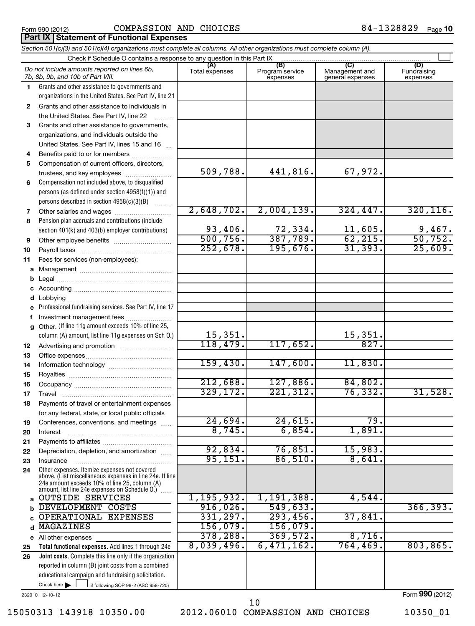**Part IX Statement of Functional Expenses**

## Form 990 (2012) Page COMPASSION AND CHOICES 84-1328829

*Section 501(c)(3) and 501(c)(4) organizations must complete all columns. All other organizations must complete column (A).*

#### If following SOP 98-2 (ASC 958-720) **Total functional expenses.**  Add lines 1 through 24e **Joint costs.** Complete this line only if the organization **(A) (B) (C) (D) 1 2 3 4 5 6 7 8 9 10 11 a** Management ~~~~~~~~~~~~~~~~ **b c d e f g 12 13 14 15 16 17 18 19 20 21 22 23 24 a b c** d MAGAZINES 156,079. 156,079. **e 25 26** Grants and other assistance to governments and organizations in the United States. See Part IV, line 21 Compensation not included above, to disqualified persons (as defined under section 4958(f)(1)) and persons described in section 4958(c)(3)(B)  $\quad \quad \ldots \ldots \ldots$ Pension plan accruals and contributions (include section 401(k) and 403(b) employer contributions) Professional fundraising services. See Part IV, line 17 Other. (If line 11g amount exceeds 10% of line 25, column (A) amount, list line 11g expenses on Sch O.) Other expenses. Itemize expenses not covered above. (List miscellaneous expenses in line 24e. If line 24e amount exceeds 10% of line 25, column (A) amount, list line 24e expenses on Schedule O.)  $\, \ldots \,$ reported in column (B) joint costs from a combined educational campaign and fundraising solicitation. Check if Schedule O contains a response to any question in this Part IX Total expenses | Program service expenses Management and general expenses Fundraising expenses Grants and other assistance to individuals in the United States. See Part IV, line 22 Grants and other assistance to governments, organizations, and individuals outside the United States. See Part IV, lines 15 and 16 ~ Benefits paid to or for members .................... Compensation of current officers, directors, trustees, and key employees ......................... Other salaries and wages ~~~~~~~~~~ Other employee benefits ~~~~~~~~~~ Payroll taxes ~~~~~~~~~~~~~~~~ Fees for services (non-employees): Legal ~~~~~~~~~~~~~~~~~~~~ Accounting ~~~~~~~~~~~~~~~~~ Lobbying ~~~~~~~~~~~~~~~~~~ Investment management fees ........................ Advertising and promotion ~~~~~~~~~ Office expenses ~~~~~~~~~~~~~~~ Information technology ~~~~~~~~~~~ Royalties ~~~~~~~~~~~~~~~~~~ Occupancy ~~~~~~~~~~~~~~~~~ Travel ………………………………………………… Payments of travel or entertainment expenses for any federal, state, or local public officials Conferences, conventions, and meetings ...... Interest Payments to affiliates ~~~~~~~~~~~~ ~~~~~~~~~~~~~~~~~~ Depreciation, depletion, and amortization ...... Insurance ~~~~~~~~~~~~~~~~~ All other expenses Check here  $\blacktriangleright$ *Do not include amounts reported on lines 6b, 7b, 8b, 9b, and 10b of Part VIII.*  $\sim$  $\Box$ 509,788. 441,816. 67,972. 2,648,702. 2,004,139. 324,447. 320,116. 93,406. 72,334. 11,605. 9,467. 500,756. 387,789. 62,215. 50,752. 252,678. 195,676. 31,393. 25,609. 15,351. 15,351. 118,479. 117,652. 827. 159,430. 147,600. 11,830. 212,688. 127,886. 84,802. 329,172. 221,312. 76,332. 31,528. 24,694. 24,615. 79. 8,745. 6,854. 1,891. 92,834. 76,851. 15,983. 95,151. 86,510. 8,641. OUTSIDE SERVICES  $\begin{array}{|c|c|c|c|c|c|c|c|c|}\hline 1,195,932. & 1,191,388. & \textbf{4},544. \hline \end{array}$ DEVELOPMENT COSTS 16,026. 549,633. 1366,393. OPERATIONAL EXPENSES 331,297. 293,456. 37,841. 378,288. 369,572. 8,716. 8,039,496. 6,471,162. 764,469. 803,865.

232010 12-10-12

Form **990** (2012)

15050313 143918 10350.00 2012.06010 COMPASSION AND CHOICES 10350\_01

10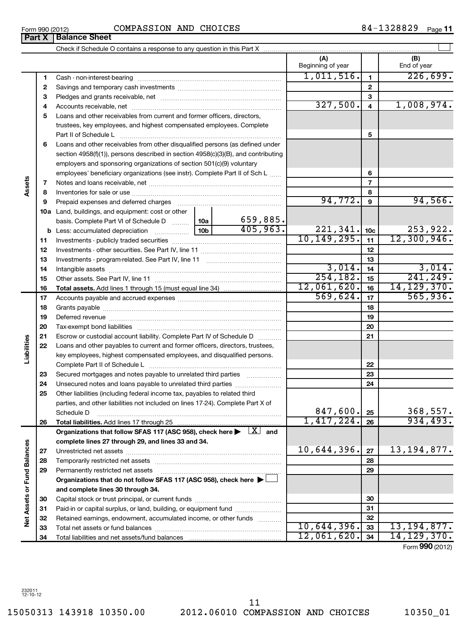15050313 143918 10350.00 2012.06010 COMPASSION AND CHOICES 10350\_01 11

Form 990 (2012) Page COMPASSION AND CHOICES 84-1328829

|                             |          |                                                                                                                                                                          |               |                          | (A)<br>Beginning of year |                         | (B)<br>End of year |
|-----------------------------|----------|--------------------------------------------------------------------------------------------------------------------------------------------------------------------------|---------------|--------------------------|--------------------------|-------------------------|--------------------|
|                             | 1        | Cash - non-interest-bearing                                                                                                                                              |               |                          | 1,011,516.               | 1                       | 226,699.           |
|                             | 2        |                                                                                                                                                                          |               |                          |                          | $\mathbf{2}$            |                    |
|                             | З        |                                                                                                                                                                          |               |                          |                          | 3                       |                    |
|                             | 4        |                                                                                                                                                                          |               |                          | 327,500.                 | $\overline{\mathbf{4}}$ | 1,008,974.         |
|                             | 5        | Loans and other receivables from current and former officers, directors,                                                                                                 |               |                          |                          |                         |                    |
|                             |          | trustees, key employees, and highest compensated employees. Complete                                                                                                     |               |                          |                          |                         |                    |
|                             |          | Part II of Schedule L                                                                                                                                                    |               |                          |                          | 5                       |                    |
|                             | 6        | Loans and other receivables from other disqualified persons (as defined under                                                                                            |               |                          |                          |                         |                    |
|                             |          | section $4958(f)(1)$ , persons described in section $4958(c)(3)(B)$ , and contributing                                                                                   |               |                          |                          |                         |                    |
|                             |          | employers and sponsoring organizations of section 501(c)(9) voluntary                                                                                                    |               |                          |                          |                         |                    |
|                             |          | employees' beneficiary organizations (see instr). Complete Part II of Sch L                                                                                              |               | 6                        |                          |                         |                    |
| Assets                      | 7        |                                                                                                                                                                          |               | $\overline{\phantom{a}}$ |                          |                         |                    |
|                             | 8        |                                                                                                                                                                          |               |                          | 8                        |                         |                    |
|                             | 9        | Prepaid expenses and deferred charges [11] [11] prepaid expenses and deferred charges [11] [11] minimum and the Prepaid expenses and deferred charges [11] $\frac{1}{2}$ |               |                          | 94,772.                  | 9                       | 94,566.            |
|                             |          | 10a Land, buildings, and equipment: cost or other                                                                                                                        |               |                          |                          |                         |                    |
|                             |          | basis. Complete Part VI of Schedule D  10a                                                                                                                               |               | 659,885.                 |                          |                         |                    |
|                             |          |                                                                                                                                                                          |               | 405,963.                 | 221,341.                 | 10 <sub>c</sub>         | 253,922.           |
|                             | 11       |                                                                                                                                                                          | 10, 149, 295. | 11                       | 12,300,946.              |                         |                    |
|                             | 12       |                                                                                                                                                                          |               | 12                       |                          |                         |                    |
|                             | 13       |                                                                                                                                                                          |               |                          | 13                       |                         |                    |
|                             | 14       |                                                                                                                                                                          |               |                          | 3,014.                   | 14                      | 3,014.             |
|                             | 15       |                                                                                                                                                                          |               |                          | 254, 182.                | 15                      | 241, 249.          |
|                             | 16       |                                                                                                                                                                          |               |                          | 12,061,620.              | 16                      | 14, 129, 370.      |
|                             | 17       |                                                                                                                                                                          | 569,624.      | 17                       | 565,936.                 |                         |                    |
|                             | 18       |                                                                                                                                                                          |               |                          |                          | 18                      |                    |
|                             | 19       |                                                                                                                                                                          |               |                          |                          | 19                      |                    |
|                             | 20       |                                                                                                                                                                          |               |                          |                          | 20                      |                    |
|                             | 21       | Escrow or custodial account liability. Complete Part IV of Schedule D                                                                                                    |               |                          |                          | 21                      |                    |
| Liabilities                 | 22       | Loans and other payables to current and former officers, directors, trustees,                                                                                            |               |                          |                          |                         |                    |
|                             |          | key employees, highest compensated employees, and disqualified persons.                                                                                                  |               |                          |                          |                         |                    |
|                             |          |                                                                                                                                                                          |               |                          |                          | 22<br>23                |                    |
|                             | 23<br>24 | Secured mortgages and notes payable to unrelated third parties                                                                                                           |               |                          |                          | 24                      |                    |
|                             | 25       | Other liabilities (including federal income tax, payables to related third                                                                                               |               |                          |                          |                         |                    |
|                             |          | parties, and other liabilities not included on lines 17-24). Complete Part X of                                                                                          |               |                          |                          |                         |                    |
|                             |          | Schedule D                                                                                                                                                               |               |                          | 847,600.                 | 25                      | 368,557.           |
|                             | 26       | Total liabilities. Add lines 17 through 25                                                                                                                               |               |                          | 1,417,224.               | 26                      | 934, 493.          |
|                             |          | Organizations that follow SFAS 117 (ASC 958), check here $\blacktriangleright \Box X$ and                                                                                |               |                          |                          |                         |                    |
|                             |          | complete lines 27 through 29, and lines 33 and 34.                                                                                                                       |               |                          |                          |                         |                    |
|                             | 27       |                                                                                                                                                                          |               |                          | 10,644,396.              | 27                      | 13, 194, 877.      |
|                             | 28       |                                                                                                                                                                          |               |                          |                          | 28                      |                    |
|                             | 29       | Permanently restricted net assets                                                                                                                                        |               |                          |                          | 29                      |                    |
| Net Assets or Fund Balances |          | Organizations that do not follow SFAS 117 (ASC 958), check here ▶ □                                                                                                      |               |                          |                          |                         |                    |
|                             |          | and complete lines 30 through 34.                                                                                                                                        |               |                          |                          |                         |                    |
|                             | 30       |                                                                                                                                                                          |               |                          |                          | 30                      |                    |
|                             | 31       |                                                                                                                                                                          |               |                          |                          | 31                      |                    |
|                             | 32       | Retained earnings, endowment, accumulated income, or other funds                                                                                                         |               |                          |                          | 32                      |                    |
|                             | 33       |                                                                                                                                                                          |               |                          | 10,644,396.              | 33                      | 13, 194, 877.      |
|                             | 34       |                                                                                                                                                                          | 12,061,620.   | 34                       | 14, 129, 370.            |                         |                    |

Form (2012) **990**

†

**Part X Balance Sheet**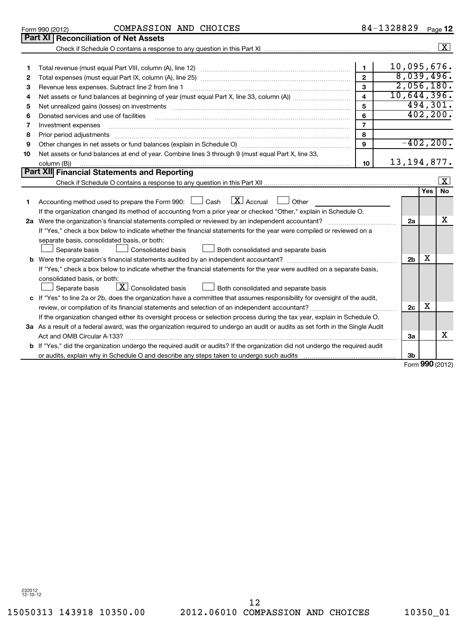232012 12-10-12

15050313 143918 10350.00 2012.06010 COMPASSION AND CHOICES 10350\_01 12

|              | Part XI   Reconciliation of Net Assets                                                                                          |                |  |                |           |                     |  |  |
|--------------|---------------------------------------------------------------------------------------------------------------------------------|----------------|--|----------------|-----------|---------------------|--|--|
|              |                                                                                                                                 |                |  |                |           | $\boxed{\text{X}}$  |  |  |
|              |                                                                                                                                 |                |  |                |           |                     |  |  |
| 1.           |                                                                                                                                 | 1              |  | 10,095,676.    |           |                     |  |  |
| $\mathbf{2}$ |                                                                                                                                 | $\mathbf{2}$   |  | 8,039,496.     |           |                     |  |  |
| 3            | Revenue less expenses. Subtract line 2 from line 1                                                                              | 3              |  | 2,056,180.     |           |                     |  |  |
| 4            | 10,644,396.<br>$\overline{\mathbf{4}}$                                                                                          |                |  |                |           |                     |  |  |
| 5            |                                                                                                                                 | 5              |  |                | 494,301.  |                     |  |  |
| 6            | Donated services and use of facilities                                                                                          | 6              |  |                | 402, 200. |                     |  |  |
| 7            | Investment expenses                                                                                                             | $\overline{7}$ |  |                |           |                     |  |  |
| 8            | Prior period adjustments                                                                                                        | 8              |  |                |           |                     |  |  |
| 9            |                                                                                                                                 | 9              |  | $-402, 200.$   |           |                     |  |  |
| 10           | Net assets or fund balances at end of year. Combine lines 3 through 9 (must equal Part X, line 33,                              |                |  |                |           |                     |  |  |
|              | column (B))                                                                                                                     | 10             |  | 13, 194, 877.  |           |                     |  |  |
|              | Part XII Financial Statements and Reporting                                                                                     |                |  |                |           |                     |  |  |
|              |                                                                                                                                 |                |  |                |           | $\lfloor x \rfloor$ |  |  |
|              |                                                                                                                                 |                |  |                | Yes       | <b>No</b>           |  |  |
| 1            | $\lfloor x \rfloor$ Accrual<br>Accounting method used to prepare the Form 990: $\Box$ Cash<br>Other                             |                |  |                |           |                     |  |  |
|              | If the organization changed its method of accounting from a prior year or checked "Other," explain in Schedule O.               |                |  |                |           |                     |  |  |
| 2a           | Were the organization's financial statements compiled or reviewed by an independent accountant?                                 |                |  | 2a             |           | X                   |  |  |
|              | If "Yes," check a box below to indicate whether the financial statements for the year were compiled or reviewed on a            |                |  |                |           |                     |  |  |
|              | separate basis, consolidated basis, or both:                                                                                    |                |  |                |           |                     |  |  |
|              | Consolidated basis<br>Separate basis<br>$\Box$ Both consolidated and separate basis                                             |                |  |                |           |                     |  |  |
|              |                                                                                                                                 |                |  | 2 <sub>b</sub> | X         |                     |  |  |
|              | If "Yes," check a box below to indicate whether the financial statements for the year were audited on a separate basis,         |                |  |                |           |                     |  |  |
|              | consolidated basis, or both:                                                                                                    |                |  |                |           |                     |  |  |
|              | $\boxed{\mathbf{X}}$ Consolidated basis<br>Both consolidated and separate basis<br>Separate basis                               |                |  |                |           |                     |  |  |
|              | c If "Yes" to line 2a or 2b, does the organization have a committee that assumes responsibility for oversight of the audit,     |                |  |                | х         |                     |  |  |
|              |                                                                                                                                 |                |  |                |           |                     |  |  |
|              | If the organization changed either its oversight process or selection process during the tax year, explain in Schedule O.       |                |  |                |           |                     |  |  |
|              | 3a As a result of a federal award, was the organization required to undergo an audit or audits as set forth in the Single Audit |                |  |                |           |                     |  |  |
|              |                                                                                                                                 |                |  | За             |           | х                   |  |  |
|              | b If "Yes," did the organization undergo the required audit or audits? If the organization did not undergo the required audit   |                |  |                |           |                     |  |  |
|              |                                                                                                                                 |                |  | 3 <sub>b</sub> |           |                     |  |  |

Form 990 (2012) COMPASSION AND CHOICES 8 4-I 3 4 8 8 4 9 Page

COMPASSION AND CHOICES

Form **990** (2012)

84-1328829 Page 12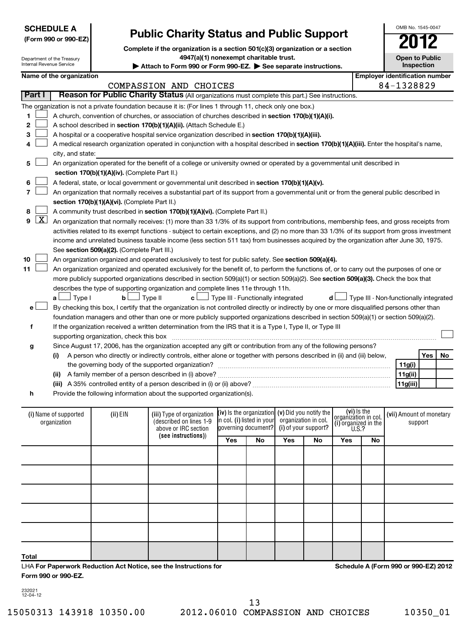| <b>SCHEDULE A</b>    |  |
|----------------------|--|
| (Form 990 or 990-FZ) |  |

Department of the Treasury

# **Public Charity Status and Public Support**

**Complete if the organization is a section 501(c)(3) organization or a section**

**4947(a)(1) nonexempt charitable trust.**

Internal Revenue Service (i) Name of supported | (ii) EIN (iii) Type of organization **[IV**) Is the organization**] (V)** DIQ you notify the **consignation** in col **[(Vii)** Amount of monetary **(see instructions)** ) **(iv)**  Is the organization **i**n col. **(i)** listed in your **(v)**  Did you notify the **(i)**  of your support? **(vi)** Is the **(i)**  Attach to Form 990 or Form 990-EZ. See separate instructions. **Inspection Name of the organization Employer identification number 1 2 3 4 5 6 7 8 9 10 11** A church, convention of churches, or association of churches described in section 170(b)(1)(A)(i). A school described in **section 170(b)(1)(A)(ii).** (Attach Schedule E.) A hospital or a cooperative hospital service organization described in **section 170(b)(1)(A)(iii).** A medical research organization operated in conjunction with a hospital described in **section 170(b)(1)(A)(iii).** Enter the hospital's name, **section 170(b)(1)(A)(iv).**  (Complete Part II.) A federal, state, or local government or governmental unit described in **section 170(b)(1)(A)(v). section 170(b)(1)(A)(vi).** (Complete Part II.) A community trust described in **section 170(b)(1)(A)(vi).** (Complete Part II.) See s**ection 509(a)(2).** (Complete Part III.) An organization organized and operated exclusively to test for public safety. See **section 509(a)(4).** more publicly supported organizations described in section 509(a)(1) or section 509(a)(2). See **section 509(a)(3).** Check the box that **a b c d** Type I Type II Type III - Functionally integrated Type III - Non-functionally integrated † † † † **e f g h (i) (ii)** A family member of a person described in (i) above? ~~~~~~~~~~~~~~~~~~~~~~~~~~~~~~ **(iii)** A 35% controlled entity of a person described in (i) or (ii) above? ~~~~~~~~~~~~~~~~~~~~~~~~ **Yes No 11g(i) 11g(ii) 11g(iii)** (described on lines 1-9 above or IRC section lgoverning document? organization in col. organization in col.<br>(i) organized in the U.S.? (i) Name of supported organization support **Part I** | Reason for Public Charity Status (All organizations must complete this part.) See instructions. The organization is not a private foundation because it is: (For lines 1 through 11, check only one box.) city, and state: An organization operated for the benefit of a college or university owned or operated by a governmental unit described in An organization that normally receives a substantial part of its support from a governmental unit or from the general public described in  $\boxed{\textbf{X}}$  An organization that normally receives: (1) more than 33 1/3% of its support from contributions, membership fees, and gross receipts from activities related to its exempt functions - subject to certain exceptions, and (2) no more than 33 1/3% of its support from gross investment income and unrelated business taxable income (less section 511 tax) from businesses acquired by the organization after June 30, 1975. An organization organized and operated exclusively for the benefit of, to perform the functions of, or to carry out the purposes of one or describes the type of supporting organization and complete lines 11e through 11h. By checking this box, I certify that the organization is not controlled directly or indirectly by one or more disqualified persons other than foundation managers and other than one or more publicly supported organizations described in section 509(a)(1) or section 509(a)(2). If the organization received a written determination from the IRS that it is a Type I, Type II, or Type III supporting organization, check this box ~~~~~~~~~~~~~~~~~~~~~~~~~~~~~~~~~~~~~~~~~~~~~~ Since August 17, 2006, has the organization accepted any gift or contribution from any of the following persons? A person who directly or indirectly controls, either alone or together with persons described in (ii) and (iii) below, the governing body of the supported organization? ~~~~~~~~~~~~~~~~~~~~~~~~~~~~~~ Provide the following information about the supported organization(s).  $\sim$  $\sim$  $\sim$  $\sim$  $\sim$  $\sim$  $\sim$  $\sim$  $\sim$  $\sim$ †  $\left\vert \cdot\right\vert$ COMPASSION AND CHOICES 84-1328829

**Yes No Yes No Yes No Total**

LHA **For Paperwork Reduction Act Notice, see the Instructions for Form 990 or 990-EZ.**

**Schedule A (Form 990 or 990-EZ) 2012**

232021 12-04-12

13

15050313 143918 10350.00 2012.06010 COMPASSION AND CHOICES 10350\_01

OMB No. 1545-0047

**Open to Public**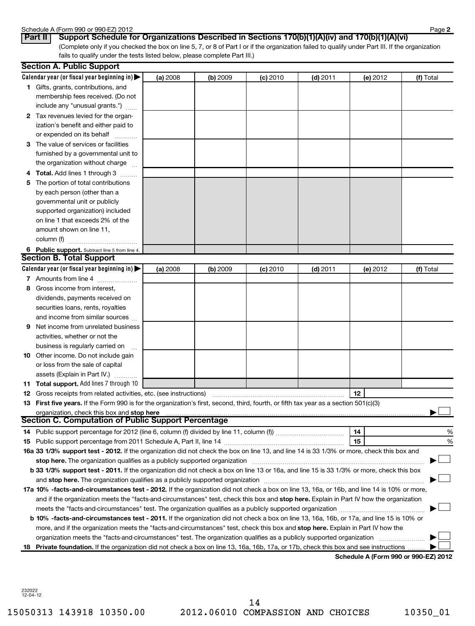#### Schedule A (Form 990 or 990-EZ) 2012

| טטווסטוור א טוויוטט |  |     |
|---------------------|--|-----|
| $D - 1$             |  | $P$ |

(Complete only if you checked the box on line 5, 7, or 8 of Part I or if the organization failed to qualify under Part III. If the organization fails to qualify under the tests listed below, please complete Part III.) **Part II Support Schedule for Organizations Described in Sections 170(b)(1)(A)(iv) and 170(b)(1)(A)(vi)**

|    | <b>Section A. Public Support</b>                                                                                                           |          |          |            |            |          |           |
|----|--------------------------------------------------------------------------------------------------------------------------------------------|----------|----------|------------|------------|----------|-----------|
|    | Calendar year (or fiscal year beginning in) $\blacktriangleright$                                                                          | (a) 2008 | (b) 2009 | $(c)$ 2010 | $(d)$ 2011 | (e) 2012 | (f) Total |
|    | 1 Gifts, grants, contributions, and                                                                                                        |          |          |            |            |          |           |
|    | membership fees received. (Do not                                                                                                          |          |          |            |            |          |           |
|    | include any "unusual grants.")                                                                                                             |          |          |            |            |          |           |
|    | 2 Tax revenues levied for the organ-                                                                                                       |          |          |            |            |          |           |
|    | ization's benefit and either paid to                                                                                                       |          |          |            |            |          |           |
|    | or expended on its behalf                                                                                                                  |          |          |            |            |          |           |
|    | 3 The value of services or facilities                                                                                                      |          |          |            |            |          |           |
|    | furnished by a governmental unit to                                                                                                        |          |          |            |            |          |           |
|    | the organization without charge                                                                                                            |          |          |            |            |          |           |
|    | Total. Add lines 1 through 3                                                                                                               |          |          |            |            |          |           |
| 5  | The portion of total contributions                                                                                                         |          |          |            |            |          |           |
|    | by each person (other than a                                                                                                               |          |          |            |            |          |           |
|    | governmental unit or publicly                                                                                                              |          |          |            |            |          |           |
|    | supported organization) included                                                                                                           |          |          |            |            |          |           |
|    | on line 1 that exceeds 2% of the                                                                                                           |          |          |            |            |          |           |
|    | amount shown on line 11,                                                                                                                   |          |          |            |            |          |           |
|    | column (f)                                                                                                                                 |          |          |            |            |          |           |
|    | 6 Public support. Subtract line 5 from line 4.                                                                                             |          |          |            |            |          |           |
|    | <b>Section B. Total Support</b>                                                                                                            |          |          |            |            |          |           |
|    | Calendar year (or fiscal year beginning in) $\blacktriangleright$                                                                          | (a) 2008 | (b) 2009 | $(c)$ 2010 | $(d)$ 2011 | (e) 2012 | (f) Total |
|    | 7 Amounts from line 4                                                                                                                      |          |          |            |            |          |           |
| 8  | Gross income from interest,                                                                                                                |          |          |            |            |          |           |
|    | dividends, payments received on                                                                                                            |          |          |            |            |          |           |
|    | securities loans, rents, royalties                                                                                                         |          |          |            |            |          |           |
|    | and income from similar sources                                                                                                            |          |          |            |            |          |           |
| 9  | Net income from unrelated business                                                                                                         |          |          |            |            |          |           |
|    | activities, whether or not the                                                                                                             |          |          |            |            |          |           |
|    |                                                                                                                                            |          |          |            |            |          |           |
|    | business is regularly carried on<br>10 Other income. Do not include gain                                                                   |          |          |            |            |          |           |
|    |                                                                                                                                            |          |          |            |            |          |           |
|    | or loss from the sale of capital                                                                                                           |          |          |            |            |          |           |
|    | assets (Explain in Part IV.)<br>11 Total support. Add lines 7 through 10                                                                   |          |          |            |            |          |           |
|    | <b>12</b> Gross receipts from related activities, etc. (see instructions)                                                                  |          |          |            |            | 12       |           |
|    | 13 First five years. If the Form 990 is for the organization's first, second, third, fourth, or fifth tax year as a section 501(c)(3)      |          |          |            |            |          |           |
|    | organization, check this box and stop here                                                                                                 |          |          |            |            |          |           |
|    | Section C. Computation of Public Support Percentage <b>COMPLA</b>                                                                          |          |          |            |            |          |           |
|    |                                                                                                                                            |          |          |            |            | 14       | %         |
|    |                                                                                                                                            |          |          |            |            | 15       | %         |
|    | 16a 33 1/3% support test - 2012. If the organization did not check the box on line 13, and line 14 is 33 1/3% or more, check this box and  |          |          |            |            |          |           |
|    | stop here. The organization qualifies as a publicly supported organization                                                                 |          |          |            |            |          |           |
|    | b 33 1/3% support test - 2011. If the organization did not check a box on line 13 or 16a, and line 15 is 33 1/3% or more, check this box   |          |          |            |            |          |           |
|    |                                                                                                                                            |          |          |            |            |          |           |
|    | 17a 10% -facts-and-circumstances test - 2012. If the organization did not check a box on line 13, 16a, or 16b, and line 14 is 10% or more, |          |          |            |            |          |           |
|    |                                                                                                                                            |          |          |            |            |          |           |
|    | and if the organization meets the "facts-and-circumstances" test, check this box and stop here. Explain in Part IV how the organization    |          |          |            |            |          |           |
|    | meets the "facts-and-circumstances" test. The organization qualifies as a publicly supported organization <i>manumumumum</i>               |          |          |            |            |          |           |
|    | b 10% -facts-and-circumstances test - 2011. If the organization did not check a box on line 13, 16a, 16b, or 17a, and line 15 is 10% or    |          |          |            |            |          |           |
|    | more, and if the organization meets the "facts-and-circumstances" test, check this box and stop here. Explain in Part IV how the           |          |          |            |            |          |           |
|    | organization meets the "facts-and-circumstances" test. The organization qualifies as a publicly supported organization                     |          |          |            |            |          |           |
| 18 | Private foundation. If the organization did not check a box on line 13, 16a, 16b, 17a, or 17b, check this box and see instructions         |          |          |            |            |          |           |

**Schedule A (Form 990 or 990-EZ) 2012**

232022 12-04-12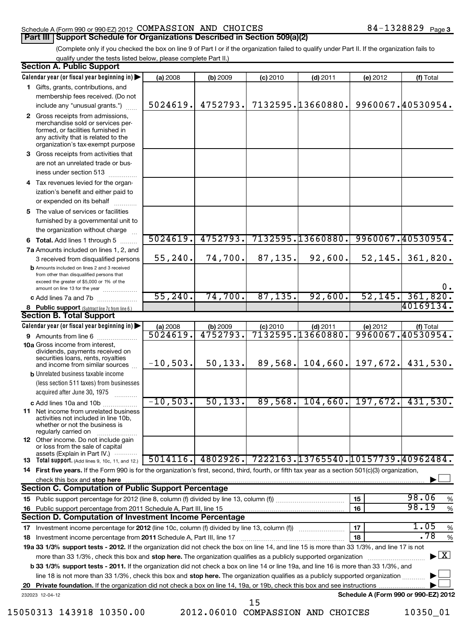#### Schedule A (Form 990 or 990-EZ) 2012 Page COMPASSION AND CHOICES 84-1328829 **Part III | Support Schedule for Organizations Described in Section 509(a)(2)**

(Complete only if you checked the box on line 9 of Part I or if the organization failed to qualify under Part II. If the organization fails to qualify under the tests listed below, please complete Part II.)

| <b>Section A. Public Support</b>                                                                                                                                                         |            |          |            |                                     |          |                                          |
|------------------------------------------------------------------------------------------------------------------------------------------------------------------------------------------|------------|----------|------------|-------------------------------------|----------|------------------------------------------|
| Calendar year (or fiscal year beginning in)                                                                                                                                              | (a) 2008   | (b) 2009 | $(c)$ 2010 | $(d)$ 2011                          | (e) 2012 | (f) Total                                |
| 1 Gifts, grants, contributions, and                                                                                                                                                      |            |          |            |                                     |          |                                          |
| membership fees received. (Do not                                                                                                                                                        |            |          |            |                                     |          |                                          |
| include any "unusual grants.")                                                                                                                                                           | 5024619.   | 4752793. |            | 7132595.13660880.                   |          | 9960067.40530954.                        |
| 2 Gross receipts from admissions,<br>merchandise sold or services per-<br>formed, or facilities furnished in<br>any activity that is related to the<br>organization's tax-exempt purpose |            |          |            |                                     |          |                                          |
| 3 Gross receipts from activities that<br>are not an unrelated trade or bus-<br>iness under section 513                                                                                   |            |          |            |                                     |          |                                          |
| 4 Tax revenues levied for the organ-<br>ization's benefit and either paid to<br>or expended on its behalf                                                                                |            |          |            |                                     |          |                                          |
| 5 The value of services or facilities<br>furnished by a governmental unit to<br>the organization without charge                                                                          |            |          |            |                                     |          |                                          |
| 6 Total. Add lines 1 through 5                                                                                                                                                           | 5024619.   | 4752793. |            | 7132595.13660880.                   |          | 9960067.40530954.                        |
| 7a Amounts included on lines 1, 2, and                                                                                                                                                   |            |          |            |                                     |          |                                          |
| 3 received from disqualified persons<br><b>b</b> Amounts included on lines 2 and 3 received<br>from other than disqualified persons that<br>exceed the greater of \$5,000 or 1% of the   | 55, 240.   | 74,700.  | 87,135.    | 92,600.                             | 52, 145. | 361,820.<br>0.                           |
| amount on line 13 for the year<br>c Add lines 7a and 7b                                                                                                                                  | 55, 240.   | 74,700.  | 87, 135.   | 92,600.                             | 52, 145. | 361,820.                                 |
| 8 Public support (Subtract line 7c from line 6.)                                                                                                                                         |            |          |            |                                     |          | 40169134.                                |
| <b>Section B. Total Support</b>                                                                                                                                                          |            |          |            |                                     |          |                                          |
| Calendar year (or fiscal year beginning in)                                                                                                                                              | (a) 2008   | (b) 2009 | $(c)$ 2010 | $(d)$ 2011                          | (e) 2012 | (f) Total                                |
| 9 Amounts from line 6                                                                                                                                                                    | 5024619.   | 4752793. |            | 7132595.13660880                    |          | 9960067.40530954.                        |
| <b>10a</b> Gross income from interest,<br>dividends, payments received on<br>securities loans, rents, royalties<br>and income from similar sources                                       | $-10,503.$ | 50, 133. | 89,568.    | 104,660.                            | 197,672. | 431,530.                                 |
| <b>b</b> Unrelated business taxable income<br>(less section 511 taxes) from businesses<br>acquired after June 30, 1975                                                                   |            |          |            |                                     |          |                                          |
| c Add lines 10a and 10b                                                                                                                                                                  | $-10,503.$ | 50, 133. |            | $89,568$ , 104,660, 197,672.        |          | 431,530.                                 |
| 11 Net income from unrelated business<br>activities not included in line 10b,<br>whether or not the business is<br>regularly carried on                                                  |            |          |            |                                     |          |                                          |
| 12 Other income. Do not include gain<br>or loss from the sale of capital<br>assets (Explain in Part IV.) $\cdots$                                                                        |            |          |            |                                     |          |                                          |
| <b>13</b> Total support. (Add lines 9, 10c, 11, and 12.)                                                                                                                                 | 5014116.   | 4802926. |            | 7222163.13765540.10157739.40962484. |          |                                          |
| 14 First five years. If the Form 990 is for the organization's first, second, third, fourth, or fifth tax year as a section 501(c)(3) organization,                                      |            |          |            |                                     |          |                                          |
| <b>Section C. Computation of Public Support Percentage</b>                                                                                                                               |            |          |            |                                     |          |                                          |
|                                                                                                                                                                                          |            |          |            |                                     | 15       | 98.06<br>%                               |
| 16 Public support percentage from 2011 Schedule A, Part III, line 15                                                                                                                     |            |          |            |                                     | 16       | 98.19<br>$\frac{9}{6}$                   |
| Section D. Computation of Investment Income Percentage                                                                                                                                   |            |          |            |                                     |          |                                          |
|                                                                                                                                                                                          |            |          |            |                                     | 17       | 1.05<br>%                                |
|                                                                                                                                                                                          |            |          |            |                                     | 18       | .78<br>$\%$                              |
| 19a 33 1/3% support tests - 2012. If the organization did not check the box on line 14, and line 15 is more than 33 1/3%, and line 17 is not                                             |            |          |            |                                     |          |                                          |
| more than 33 1/3%, check this box and stop here. The organization qualifies as a publicly supported organization                                                                         |            |          |            |                                     |          | $\blacktriangleright$ $\boxed{\text{X}}$ |
| <b>b 33 1/3% support tests - 2011.</b> If the organization did not check a box on line 14 or line 19a, and line 16 is more than 33 1/3%, and                                             |            |          |            |                                     |          |                                          |
| line 18 is not more than 33 1/3%, check this box and stop here. The organization qualifies as a publicly supported organization                                                          |            |          |            |                                     |          |                                          |
|                                                                                                                                                                                          |            |          |            |                                     |          |                                          |
| 232023 12-04-12                                                                                                                                                                          |            |          | 15         |                                     |          | Schedule A (Form 990 or 990-EZ) 2012     |

15050313 143918 10350.00 2012.06010 COMPASSION AND CHOICES 10350\_01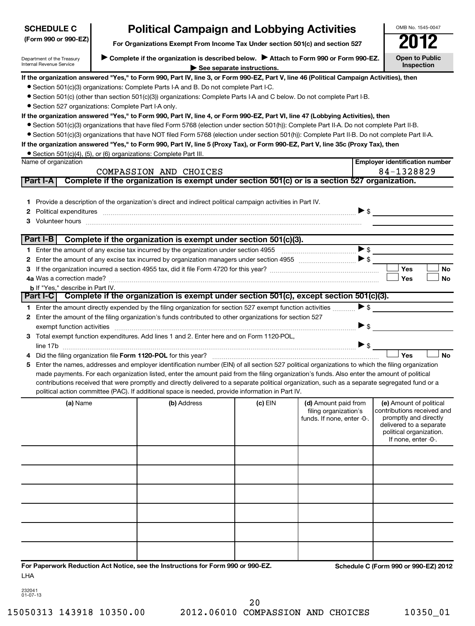| <b>SCHEDULE C</b>                                                                                                                                                              |  | <b>Political Campaign and Lobbying Activities</b>                                                                                                                                                                      |         |                                                                             |                          | OMB No. 1545-0047                                                                                                                                           |
|--------------------------------------------------------------------------------------------------------------------------------------------------------------------------------|--|------------------------------------------------------------------------------------------------------------------------------------------------------------------------------------------------------------------------|---------|-----------------------------------------------------------------------------|--------------------------|-------------------------------------------------------------------------------------------------------------------------------------------------------------|
| (Form 990 or 990-EZ)<br>For Organizations Exempt From Income Tax Under section 501(c) and section 527                                                                          |  |                                                                                                                                                                                                                        |         |                                                                             |                          |                                                                                                                                                             |
| Complete if the organization is described below.<br>Attach to Form 990 or Form 990-EZ.<br>Department of the Treasury<br>Internal Revenue Service<br>See separate instructions. |  |                                                                                                                                                                                                                        |         |                                                                             |                          | <b>Open to Public</b><br>Inspection                                                                                                                         |
|                                                                                                                                                                                |  | If the organization answered "Yes," to Form 990, Part IV, line 3, or Form 990-EZ, Part V, line 46 (Political Campaign Activities), then                                                                                |         |                                                                             |                          |                                                                                                                                                             |
|                                                                                                                                                                                |  | • Section 501(c)(3) organizations: Complete Parts I-A and B. Do not complete Part I-C.                                                                                                                                 |         |                                                                             |                          |                                                                                                                                                             |
|                                                                                                                                                                                |  | • Section 501(c) (other than section 501(c)(3)) organizations: Complete Parts I-A and C below. Do not complete Part I-B.                                                                                               |         |                                                                             |                          |                                                                                                                                                             |
| • Section 527 organizations: Complete Part I-A only.                                                                                                                           |  |                                                                                                                                                                                                                        |         |                                                                             |                          |                                                                                                                                                             |
|                                                                                                                                                                                |  | If the organization answered "Yes," to Form 990, Part IV, line 4, or Form 990-EZ, Part VI, line 47 (Lobbying Activities), then                                                                                         |         |                                                                             |                          |                                                                                                                                                             |
|                                                                                                                                                                                |  | ● Section 501(c)(3) organizations that have filed Form 5768 (election under section 501(h)): Complete Part II-A. Do not complete Part II-B.                                                                            |         |                                                                             |                          |                                                                                                                                                             |
|                                                                                                                                                                                |  | • Section 501(c)(3) organizations that have NOT filed Form 5768 (election under section 501(h)): Complete Part II-B. Do not complete Part II-A.                                                                        |         |                                                                             |                          |                                                                                                                                                             |
|                                                                                                                                                                                |  | If the organization answered "Yes," to Form 990, Part IV, line 5 (Proxy Tax), or Form 990-EZ, Part V, line 35c (Proxy Tax), then                                                                                       |         |                                                                             |                          |                                                                                                                                                             |
|                                                                                                                                                                                |  | • Section 501(c)(4), (5), or (6) organizations: Complete Part III.                                                                                                                                                     |         |                                                                             |                          |                                                                                                                                                             |
| Name of organization                                                                                                                                                           |  |                                                                                                                                                                                                                        |         |                                                                             |                          | <b>Employer identification number</b>                                                                                                                       |
| <b>Part I-A</b>                                                                                                                                                                |  | COMPASSION AND CHOICES<br>Complete if the organization is exempt under section 501(c) or is a section 527 organization.                                                                                                |         |                                                                             |                          | 84-1328829                                                                                                                                                  |
|                                                                                                                                                                                |  |                                                                                                                                                                                                                        |         |                                                                             |                          |                                                                                                                                                             |
|                                                                                                                                                                                |  |                                                                                                                                                                                                                        |         |                                                                             |                          |                                                                                                                                                             |
|                                                                                                                                                                                |  | 1 Provide a description of the organization's direct and indirect political campaign activities in Part IV.                                                                                                            |         |                                                                             |                          |                                                                                                                                                             |
|                                                                                                                                                                                |  | 2 Political expenditures <b>continuum continuum continuum continuum continuum continuum continuum continuum continuum</b>                                                                                              |         |                                                                             | $\triangleright$ \$      |                                                                                                                                                             |
| 3                                                                                                                                                                              |  | Volunteer hours with an accommodal contract to the contract of the contract of the contract of the contract of                                                                                                         |         |                                                                             |                          |                                                                                                                                                             |
| Part I-B                                                                                                                                                                       |  |                                                                                                                                                                                                                        |         |                                                                             |                          |                                                                                                                                                             |
|                                                                                                                                                                                |  | Complete if the organization is exempt under section 501(c)(3).                                                                                                                                                        |         |                                                                             |                          |                                                                                                                                                             |
|                                                                                                                                                                                |  |                                                                                                                                                                                                                        |         |                                                                             |                          |                                                                                                                                                             |
|                                                                                                                                                                                |  |                                                                                                                                                                                                                        |         |                                                                             |                          | Yes                                                                                                                                                         |
|                                                                                                                                                                                |  |                                                                                                                                                                                                                        |         |                                                                             |                          | No                                                                                                                                                          |
|                                                                                                                                                                                |  |                                                                                                                                                                                                                        |         |                                                                             |                          | Yes<br><b>No</b>                                                                                                                                            |
| <b>b</b> If "Yes," describe in Part IV.                                                                                                                                        |  | Part I-C Complete if the organization is exempt under section 501(c), except section 501(c)(3).                                                                                                                        |         |                                                                             |                          |                                                                                                                                                             |
|                                                                                                                                                                                |  |                                                                                                                                                                                                                        |         |                                                                             | $\triangleright$ s       |                                                                                                                                                             |
|                                                                                                                                                                                |  | 1 Enter the amount directly expended by the filing organization for section 527 exempt function activities<br>2 Enter the amount of the filing organization's funds contributed to other organizations for section 527 |         |                                                                             |                          |                                                                                                                                                             |
|                                                                                                                                                                                |  |                                                                                                                                                                                                                        |         |                                                                             | $\blacktriangleright$ \$ |                                                                                                                                                             |
|                                                                                                                                                                                |  | exempt function activities www.communication.communication.communication.communication.com<br>3 Total exempt function expenditures. Add lines 1 and 2. Enter here and on Form 1120-POL,                                |         |                                                                             |                          |                                                                                                                                                             |
|                                                                                                                                                                                |  |                                                                                                                                                                                                                        |         |                                                                             | $\triangleright$ \$      |                                                                                                                                                             |
|                                                                                                                                                                                |  |                                                                                                                                                                                                                        |         |                                                                             |                          | Yes<br><b>No</b>                                                                                                                                            |
|                                                                                                                                                                                |  | 5 Enter the names, addresses and employer identification number (EIN) of all section 527 political organizations to which the filing organization                                                                      |         |                                                                             |                          |                                                                                                                                                             |
|                                                                                                                                                                                |  | made payments. For each organization listed, enter the amount paid from the filing organization's funds. Also enter the amount of political                                                                            |         |                                                                             |                          |                                                                                                                                                             |
|                                                                                                                                                                                |  | contributions received that were promptly and directly delivered to a separate political organization, such as a separate segregated fund or a                                                                         |         |                                                                             |                          |                                                                                                                                                             |
|                                                                                                                                                                                |  | political action committee (PAC). If additional space is needed, provide information in Part IV.                                                                                                                       |         |                                                                             |                          |                                                                                                                                                             |
| (a) Name                                                                                                                                                                       |  | (b) Address                                                                                                                                                                                                            | (c) EIN | (d) Amount paid from<br>filing organization's<br>funds. If none, enter -0-. |                          | (e) Amount of political<br>contributions received and<br>promptly and directly<br>delivered to a separate<br>political organization.<br>If none, enter -0-. |
|                                                                                                                                                                                |  |                                                                                                                                                                                                                        |         |                                                                             |                          |                                                                                                                                                             |
|                                                                                                                                                                                |  |                                                                                                                                                                                                                        |         |                                                                             |                          |                                                                                                                                                             |
|                                                                                                                                                                                |  |                                                                                                                                                                                                                        |         |                                                                             |                          |                                                                                                                                                             |
|                                                                                                                                                                                |  |                                                                                                                                                                                                                        |         |                                                                             |                          |                                                                                                                                                             |
|                                                                                                                                                                                |  |                                                                                                                                                                                                                        |         |                                                                             |                          |                                                                                                                                                             |
|                                                                                                                                                                                |  |                                                                                                                                                                                                                        |         |                                                                             |                          |                                                                                                                                                             |
| LHA                                                                                                                                                                            |  | For Paperwork Reduction Act Notice, see the Instructions for Form 990 or 990-EZ.                                                                                                                                       |         |                                                                             |                          | Schedule C (Form 990 or 990-EZ) 2012                                                                                                                        |

232041 01-07-13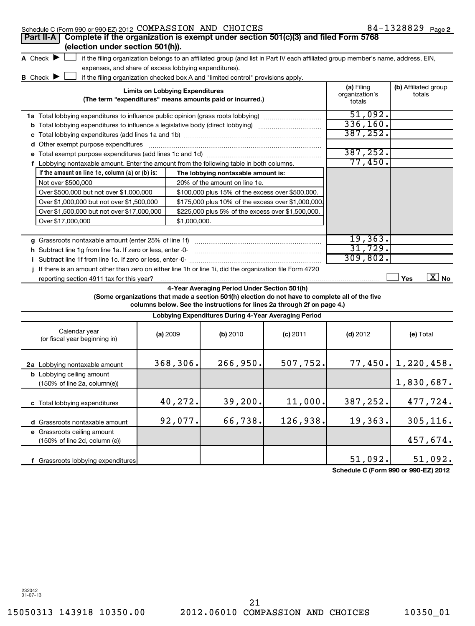| Schedule C (Form 990 or 990-EZ) 2012 COMPASSION AND CHOICES                                               |                                                                                                           |                                                                                                                                                                                                                            |            |                                        | 84-1328829 Page 2              |
|-----------------------------------------------------------------------------------------------------------|-----------------------------------------------------------------------------------------------------------|----------------------------------------------------------------------------------------------------------------------------------------------------------------------------------------------------------------------------|------------|----------------------------------------|--------------------------------|
| Complete if the organization is exempt under section 501(c)(3) and filed Form 5768<br>Part II-A           |                                                                                                           |                                                                                                                                                                                                                            |            |                                        |                                |
| (election under section 501(h)).                                                                          |                                                                                                           |                                                                                                                                                                                                                            |            |                                        |                                |
| A Check $\blacktriangleright$                                                                             |                                                                                                           | if the filing organization belongs to an affiliated group (and list in Part IV each affiliated group member's name, address, EIN,                                                                                          |            |                                        |                                |
|                                                                                                           | expenses, and share of excess lobbying expenditures).                                                     |                                                                                                                                                                                                                            |            |                                        |                                |
| B Check P                                                                                                 |                                                                                                           | if the filing organization checked box A and "limited control" provisions apply.                                                                                                                                           |            |                                        |                                |
|                                                                                                           | <b>Limits on Lobbying Expenditures</b>                                                                    | (The term "expenditures" means amounts paid or incurred.)                                                                                                                                                                  |            | (a) Filing<br>organization's<br>totals | (b) Affiliated group<br>totals |
| <b>1a</b> Total lobbying expenditures to influence public opinion (grass roots lobbying)                  |                                                                                                           |                                                                                                                                                                                                                            |            | 51,092.                                |                                |
|                                                                                                           |                                                                                                           |                                                                                                                                                                                                                            |            | 336,160.                               |                                |
|                                                                                                           | <b>b</b> Total lobbying expenditures to influence a legislative body (direct lobbying) <i>manumumumum</i> |                                                                                                                                                                                                                            |            |                                        |                                |
| d Other exempt purpose expenditures                                                                       |                                                                                                           |                                                                                                                                                                                                                            |            | 387,252.                               |                                |
|                                                                                                           |                                                                                                           |                                                                                                                                                                                                                            |            | 387,252.                               |                                |
| f Lobbying nontaxable amount. Enter the amount from the following table in both columns.                  |                                                                                                           |                                                                                                                                                                                                                            |            | 77,450.                                |                                |
| If the amount on line 1e, column (a) or (b) is:                                                           |                                                                                                           | The lobbying nontaxable amount is:                                                                                                                                                                                         |            |                                        |                                |
| Not over \$500,000                                                                                        |                                                                                                           | 20% of the amount on line 1e.                                                                                                                                                                                              |            |                                        |                                |
| Over \$500,000 but not over \$1,000,000                                                                   |                                                                                                           | \$100,000 plus 15% of the excess over \$500,000.                                                                                                                                                                           |            |                                        |                                |
| Over \$1,000,000 but not over \$1,500,000                                                                 |                                                                                                           | \$175,000 plus 10% of the excess over \$1,000,000                                                                                                                                                                          |            |                                        |                                |
| Over \$1,500,000 but not over \$17,000,000                                                                |                                                                                                           | \$225,000 plus 5% of the excess over \$1,500,000.                                                                                                                                                                          |            |                                        |                                |
| Over \$17,000,000                                                                                         | \$1,000,000.                                                                                              |                                                                                                                                                                                                                            |            |                                        |                                |
|                                                                                                           |                                                                                                           |                                                                                                                                                                                                                            |            |                                        |                                |
| g Grassroots nontaxable amount (enter 25% of line 1f)                                                     |                                                                                                           |                                                                                                                                                                                                                            |            | 19, 363.                               |                                |
| h Subtract line 1g from line 1a. If zero or less, enter -0-                                               |                                                                                                           |                                                                                                                                                                                                                            |            | 31,729.                                |                                |
|                                                                                                           |                                                                                                           |                                                                                                                                                                                                                            |            | 309,802.                               |                                |
| j If there is an amount other than zero on either line 1h or line 1i, did the organization file Form 4720 |                                                                                                           |                                                                                                                                                                                                                            |            |                                        |                                |
| reporting section 4911 tax for this year?                                                                 |                                                                                                           |                                                                                                                                                                                                                            |            |                                        | $\boxed{\text{X}}$ No<br>Yes   |
|                                                                                                           |                                                                                                           | 4-Year Averaging Period Under Section 501(h)<br>(Some organizations that made a section 501(h) election do not have to complete all of the five<br>columns below. See the instructions for lines 2a through 2f on page 4.) |            |                                        |                                |
|                                                                                                           |                                                                                                           | Lobbying Expenditures During 4-Year Averaging Period                                                                                                                                                                       |            |                                        |                                |
| Calendar year<br>(or fiscal year beginning in)                                                            | (a) 2009                                                                                                  | (b) 2010                                                                                                                                                                                                                   | $(c)$ 2011 | $(d)$ 2012                             | (e) Total                      |
| 2a Lobbying nontaxable amount                                                                             | 368,306.                                                                                                  | 266,950.                                                                                                                                                                                                                   | 507,752.   |                                        | $77,450.$ 1,220,458.           |
| <b>b</b> Lobbying ceiling amount<br>(150% of line 2a, column(e))                                          |                                                                                                           |                                                                                                                                                                                                                            |            |                                        | 1,830,687.                     |
| c Total lobbying expenditures                                                                             | 40,272.                                                                                                   | 39,200.                                                                                                                                                                                                                    | 11,000.    | 387,252.                               | 477,724.                       |
| d Grassroots nontaxable amount                                                                            | 92,077.                                                                                                   | 66,738.                                                                                                                                                                                                                    | 126,938.   | 19,363.                                | 305, 116.                      |
| e Grassroots ceiling amount<br>(150% of line 2d, column (e))                                              |                                                                                                           |                                                                                                                                                                                                                            |            |                                        | 457,674.                       |
| f Grassroots lobbying expenditures                                                                        |                                                                                                           |                                                                                                                                                                                                                            |            | 51,092.                                | 51,092.                        |

**Schedule C (Form 990 or 990-EZ) 2012**

232042 01-07-13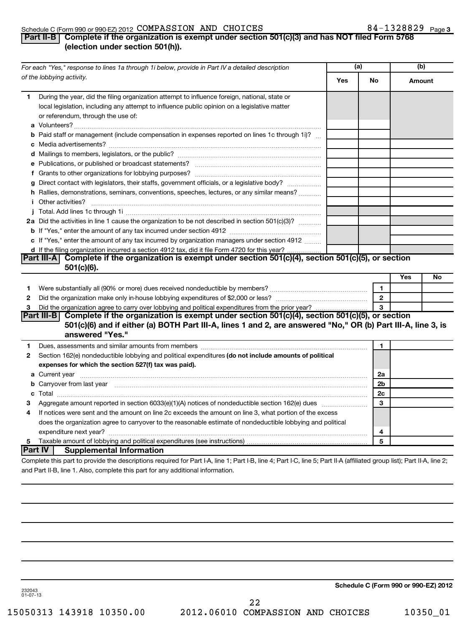#### Schedule C (Form 990 or 990-EZ) 2012  $\texttt{COMPASSION}$  AND  $\texttt{CHOICES}$  84  $-1328829$   $_{\texttt{Page}}$

## 84-1328829 Page 3

## **Part II-B Complete if the organization is exempt under section 501(c)(3) and has NOT filed Form 5768 (election under section 501(h)).**

|              | For each "Yes," response to lines 1a through 1i below, provide in Part IV a detailed description                                                                                                                                    |     | (a)            | (b)           |    |
|--------------|-------------------------------------------------------------------------------------------------------------------------------------------------------------------------------------------------------------------------------------|-----|----------------|---------------|----|
|              | of the lobbying activity.                                                                                                                                                                                                           | Yes | No             | <b>Amount</b> |    |
| 1.           | During the year, did the filing organization attempt to influence foreign, national, state or<br>local legislation, including any attempt to influence public opinion on a legislative matter<br>or referendum, through the use of: |     |                |               |    |
|              | <b>b</b> Paid staff or management (include compensation in expenses reported on lines 1c through 1i)?                                                                                                                               |     |                |               |    |
|              |                                                                                                                                                                                                                                     |     |                |               |    |
|              |                                                                                                                                                                                                                                     |     |                |               |    |
|              |                                                                                                                                                                                                                                     |     |                |               |    |
|              |                                                                                                                                                                                                                                     |     |                |               |    |
|              | g Direct contact with legislators, their staffs, government officials, or a legislative body?                                                                                                                                       |     |                |               |    |
|              | h Rallies, demonstrations, seminars, conventions, speeches, lectures, or any similar means?                                                                                                                                         |     |                |               |    |
|              | <i>i</i> Other activities?                                                                                                                                                                                                          |     |                |               |    |
|              |                                                                                                                                                                                                                                     |     |                |               |    |
|              | 2a Did the activities in line 1 cause the organization to be not described in section 501(c)(3)?                                                                                                                                    |     |                |               |    |
|              |                                                                                                                                                                                                                                     |     |                |               |    |
|              | c If "Yes," enter the amount of any tax incurred by organization managers under section 4912                                                                                                                                        |     |                |               |    |
|              | d If the filing organization incurred a section 4912 tax, did it file Form 4720 for this year?                                                                                                                                      |     |                |               |    |
|              | Part III-A Complete if the organization is exempt under section 501(c)(4), section 501(c)(5), or section                                                                                                                            |     |                |               |    |
|              | $501(c)(6)$ .                                                                                                                                                                                                                       |     |                |               |    |
|              |                                                                                                                                                                                                                                     |     |                | Yes           | No |
| 1            |                                                                                                                                                                                                                                     |     | 1              |               |    |
| 2            |                                                                                                                                                                                                                                     |     | $\mathbf{2}$   |               |    |
| 3            |                                                                                                                                                                                                                                     |     | $\mathbf{a}$   |               |    |
|              | Part III-B Complete if the organization is exempt under section 501(c)(4), section 501(c)(5), or section                                                                                                                            |     |                |               |    |
|              | 501(c)(6) and if either (a) BOTH Part III-A, lines 1 and 2, are answered "No," OR (b) Part III-A, line 3, is<br>answered "Yes."                                                                                                     |     |                |               |    |
| 1.           |                                                                                                                                                                                                                                     |     | 1              |               |    |
| $\mathbf{2}$ | Section 162(e) nondeductible lobbying and political expenditures (do not include amounts of political                                                                                                                               |     |                |               |    |
|              | expenses for which the section 527(f) tax was paid).                                                                                                                                                                                |     |                |               |    |
|              |                                                                                                                                                                                                                                     |     | 2a             |               |    |
|              | <b>b</b> Carryover from last year manufactured and content to content the content of the content of the content of the content of the content of the content of the content of the content of the content of the content of the con |     | 2 <sub>b</sub> |               |    |
|              |                                                                                                                                                                                                                                     |     | 2c             |               |    |
| З            |                                                                                                                                                                                                                                     |     | 3              |               |    |
| 4            | If notices were sent and the amount on line 2c exceeds the amount on line 3, what portion of the excess                                                                                                                             |     |                |               |    |
|              | does the organization agree to carryover to the reasonable estimate of nondeductible lobbying and political                                                                                                                         |     |                |               |    |
|              |                                                                                                                                                                                                                                     |     | 4              |               |    |
| 5            |                                                                                                                                                                                                                                     |     | 5              |               |    |
| Part IV      | <b>Supplemental Information</b>                                                                                                                                                                                                     |     |                |               |    |
|              | Complete this part to provide the descriptions required for Part I-A, line 1; Part I-B, line 4; Part I-C, line 5; Part II-A (affiliated group list); Part II-A, line 2;                                                             |     |                |               |    |
|              | and Part II-B, line 1. Also, complete this part for any additional information.                                                                                                                                                     |     |                |               |    |

**Schedule C (Form 990 or 990-EZ) 2012**

232043 01-07-13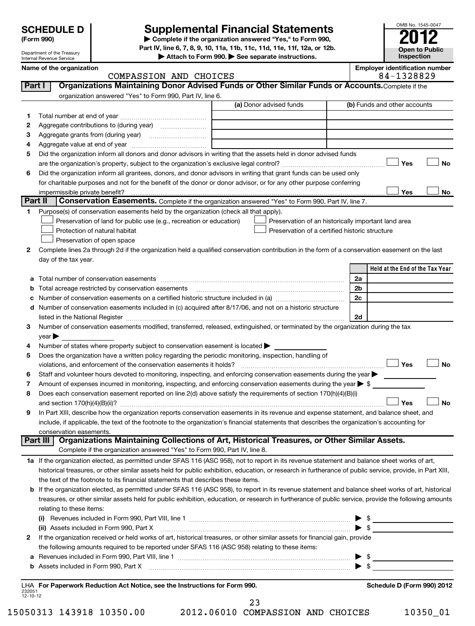## Department of the Treasury

#### Internal Revenue Service

## **Supplemental Financial Statements**

**(Form 990) | Complete if the organization answered "Yes," to Form 990, Part IV, line 6, 7, 8, 9, 10, 11a, 11b, 11c, 11d, 11e, 11f, 12a, or 12b.**

**| Attach to Form 990. | See separate instructions.**

| OMB No. 1545-0047     |
|-----------------------|
| 'O                    |
| <b>Open to Public</b> |
| Inspection            |

|         | Internal Revenue Service                                                                                                                                   | $\blacktriangleright$ Attach to Form 990. $\blacktriangleright$ See separate instructions. | <b>IIISPECUOLI</b>                                  |
|---------|------------------------------------------------------------------------------------------------------------------------------------------------------------|--------------------------------------------------------------------------------------------|-----------------------------------------------------|
|         | Name of the organization<br>COMPASSION AND CHOICES                                                                                                         |                                                                                            | <b>Employer identification number</b><br>84-1328829 |
| Part I  | Organizations Maintaining Donor Advised Funds or Other Similar Funds or Accounts. Complete if the                                                          |                                                                                            |                                                     |
|         | organization answered "Yes" to Form 990, Part IV, line 6.                                                                                                  |                                                                                            |                                                     |
|         |                                                                                                                                                            | (a) Donor advised funds                                                                    | (b) Funds and other accounts                        |
| 1.      |                                                                                                                                                            |                                                                                            |                                                     |
| 2       |                                                                                                                                                            |                                                                                            |                                                     |
| з       |                                                                                                                                                            |                                                                                            |                                                     |
| 4       |                                                                                                                                                            |                                                                                            |                                                     |
| 5       | Did the organization inform all donors and donor advisors in writing that the assets held in donor advised funds                                           |                                                                                            |                                                     |
|         |                                                                                                                                                            |                                                                                            | <b>No</b><br>Yes                                    |
| 6       | Did the organization inform all grantees, donors, and donor advisors in writing that grant funds can be used only                                          |                                                                                            |                                                     |
|         | for charitable purposes and not for the benefit of the donor or donor advisor, or for any other purpose conferring                                         |                                                                                            |                                                     |
|         |                                                                                                                                                            |                                                                                            | Yes<br><b>No</b>                                    |
| Part II | Conservation Easements. Complete if the organization answered "Yes" to Form 990, Part IV, line 7.                                                          |                                                                                            |                                                     |
| 1.      | Purpose(s) of conservation easements held by the organization (check all that apply).                                                                      |                                                                                            |                                                     |
|         | Preservation of land for public use (e.g., recreation or education)                                                                                        | Preservation of an historically important land area                                        |                                                     |
|         | Protection of natural habitat                                                                                                                              | Preservation of a certified historic structure                                             |                                                     |
|         | Preservation of open space                                                                                                                                 |                                                                                            |                                                     |
| 2       | Complete lines 2a through 2d if the organization held a qualified conservation contribution in the form of a conservation easement on the last             |                                                                                            |                                                     |
|         | day of the tax year.                                                                                                                                       |                                                                                            |                                                     |
|         |                                                                                                                                                            |                                                                                            | Held at the End of the Tax Year                     |
| а       |                                                                                                                                                            |                                                                                            | 2a                                                  |
| b       |                                                                                                                                                            |                                                                                            | 2b                                                  |
| с       | Number of conservation easements on a certified historic structure included in (a) manufacture included in (a)                                             |                                                                                            | 2c                                                  |
| d       | Number of conservation easements included in (c) acquired after 8/17/06, and not on a historic structure                                                   |                                                                                            |                                                     |
|         | listed in the National Register [11] manufacture in the state of the state of the National Register [11] manuf                                             |                                                                                            | 2d                                                  |
| 3       | Number of conservation easements modified, transferred, released, extinguished, or terminated by the organization during the tax                           |                                                                                            |                                                     |
| 4       | year<br>Number of states where property subject to conservation easement is located >                                                                      |                                                                                            |                                                     |
| 5       | Does the organization have a written policy regarding the periodic monitoring, inspection, handling of                                                     |                                                                                            |                                                     |
|         | violations, and enforcement of the conservation easements it holds?                                                                                        |                                                                                            | Yes<br><b>No</b>                                    |
| 6       | Staff and volunteer hours devoted to monitoring, inspecting, and enforcing conservation easements during the year                                          |                                                                                            |                                                     |
| 7       | Amount of expenses incurred in monitoring, inspecting, and enforcing conservation easements during the year $\triangleright$ \$                            |                                                                                            |                                                     |
| 8       | Does each conservation easement reported on line 2(d) above satisfy the requirements of section 170(h)(4)(B)(i)                                            |                                                                                            |                                                     |
|         |                                                                                                                                                            |                                                                                            | <b>No</b><br>Yes                                    |
| 9       | In Part XIII, describe how the organization reports conservation easements in its revenue and expense statement, and balance sheet, and                    |                                                                                            |                                                     |
|         | include, if applicable, the text of the footnote to the organization's financial statements that describes the organization's accounting for               |                                                                                            |                                                     |
|         | conservation easements.                                                                                                                                    |                                                                                            |                                                     |
|         | Organizations Maintaining Collections of Art, Historical Treasures, or Other Similar Assets.<br>Part III                                                   |                                                                                            |                                                     |
|         | Complete if the organization answered "Yes" to Form 990, Part IV, line 8.                                                                                  |                                                                                            |                                                     |
|         | 1a If the organization elected, as permitted under SFAS 116 (ASC 958), not to report in its revenue statement and balance sheet works of art,              |                                                                                            |                                                     |
|         | historical treasures, or other similar assets held for public exhibition, education, or research in furtherance of public service, provide, in Part XIII,  |                                                                                            |                                                     |
|         | the text of the footnote to its financial statements that describes these items.                                                                           |                                                                                            |                                                     |
|         | <b>b</b> If the organization elected, as permitted under SFAS 116 (ASC 958), to report in its revenue statement and balance sheet works of art, historical |                                                                                            |                                                     |
|         | treasures, or other similar assets held for public exhibition, education, or research in furtherance of public service, provide the following amounts      |                                                                                            |                                                     |
|         | relating to these items:                                                                                                                                   |                                                                                            |                                                     |
|         |                                                                                                                                                            |                                                                                            | $\triangleright$ \$                                 |
|         | (ii) Assets included in Form 990, Part X                                                                                                                   |                                                                                            | $\triangleright$ \$                                 |
| 2       | If the organization received or held works of art, historical treasures, or other similar assets for financial gain, provide                               |                                                                                            |                                                     |
|         | the following amounts required to be reported under SFAS 116 (ASC 958) relating to these items:                                                            |                                                                                            |                                                     |
| а       |                                                                                                                                                            |                                                                                            | $\triangleright$ \$                                 |
|         |                                                                                                                                                            |                                                                                            |                                                     |

232051 12-10-12 **For Paperwork Reduction Act Notice, see the Instructions for Form 990. Schedule D (Form 990) 2012** LHA

23

15050313 143918 10350.00 2012.06010 COMPASSION AND CHOICES 10350\_01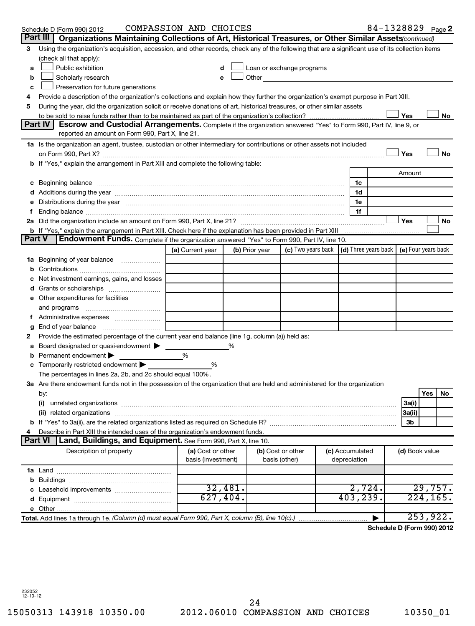|   | Schedule D (Form 990) 2012                                                                                                                                                                                                     | COMPASSION AND CHOICES |         |                |                                                                             |                 |                | 84-1328829 Page 2          |
|---|--------------------------------------------------------------------------------------------------------------------------------------------------------------------------------------------------------------------------------|------------------------|---------|----------------|-----------------------------------------------------------------------------|-----------------|----------------|----------------------------|
|   | Part III<br>Organizations Maintaining Collections of Art, Historical Treasures, or Other Similar Assets (continued)                                                                                                            |                        |         |                |                                                                             |                 |                |                            |
| 3 | Using the organization's acquisition, accession, and other records, check any of the following that are a significant use of its collection items                                                                              |                        |         |                |                                                                             |                 |                |                            |
|   | (check all that apply):                                                                                                                                                                                                        |                        |         |                |                                                                             |                 |                |                            |
| a | Public exhibition                                                                                                                                                                                                              |                        |         |                | Loan or exchange programs                                                   |                 |                |                            |
| b | Scholarly research                                                                                                                                                                                                             |                        |         | Other          |                                                                             |                 |                |                            |
| c | Preservation for future generations                                                                                                                                                                                            |                        |         |                |                                                                             |                 |                |                            |
| 4 | Provide a description of the organization's collections and explain how they further the organization's exempt purpose in Part XIII.                                                                                           |                        |         |                |                                                                             |                 |                |                            |
| 5 | During the year, did the organization solicit or receive donations of art, historical treasures, or other similar assets                                                                                                       |                        |         |                |                                                                             |                 |                |                            |
|   |                                                                                                                                                                                                                                |                        |         |                |                                                                             |                 | Yes            | No                         |
|   | Part IV<br><b>Escrow and Custodial Arrangements.</b> Complete if the organization answered "Yes" to Form 990, Part IV, line 9, or                                                                                              |                        |         |                |                                                                             |                 |                |                            |
|   | reported an amount on Form 990, Part X, line 21.                                                                                                                                                                               |                        |         |                |                                                                             |                 |                |                            |
|   | 1a Is the organization an agent, trustee, custodian or other intermediary for contributions or other assets not included                                                                                                       |                        |         |                |                                                                             |                 |                |                            |
|   |                                                                                                                                                                                                                                |                        |         |                |                                                                             |                 | Yes            | <b>No</b>                  |
|   | b If "Yes," explain the arrangement in Part XIII and complete the following table:                                                                                                                                             |                        |         |                |                                                                             |                 |                |                            |
|   |                                                                                                                                                                                                                                |                        |         |                |                                                                             |                 | Amount         |                            |
|   | c Beginning balance measurements and the contract of the contract of the contract of the contract of the contract of the contract of the contract of the contract of the contract of the contract of the contract of the contr |                        |         |                |                                                                             | 1c              |                |                            |
|   |                                                                                                                                                                                                                                |                        |         |                |                                                                             | 1d              |                |                            |
|   | Distributions during the year manufactured and continuum and contained and contained and contained and contained and contained and contained and contained and contained and contained and contained and contained and contain |                        |         |                |                                                                             | 1e              |                |                            |
|   |                                                                                                                                                                                                                                |                        |         |                |                                                                             | 1f              |                |                            |
|   |                                                                                                                                                                                                                                |                        |         |                |                                                                             |                 | Yes            | No                         |
|   | b If "Yes," explain the arrangement in Part XIII. Check here if the explanation has been provided in Part XIII<br>Endowment Funds. Complete if the organization answered "Yes" to Form 990, Part IV, line 10.<br><b>Part V</b> |                        |         |                |                                                                             |                 |                |                            |
|   |                                                                                                                                                                                                                                | (a) Current year       |         | (b) Prior year | (c) Two years back $\vert$ (d) Three years back $\vert$ (e) Four years back |                 |                |                            |
|   |                                                                                                                                                                                                                                |                        |         |                |                                                                             |                 |                |                            |
|   |                                                                                                                                                                                                                                |                        |         |                |                                                                             |                 |                |                            |
|   | Net investment earnings, gains, and losses                                                                                                                                                                                     |                        |         |                |                                                                             |                 |                |                            |
|   |                                                                                                                                                                                                                                |                        |         |                |                                                                             |                 |                |                            |
|   | e Other expenditures for facilities                                                                                                                                                                                            |                        |         |                |                                                                             |                 |                |                            |
|   | and programs                                                                                                                                                                                                                   |                        |         |                |                                                                             |                 |                |                            |
|   |                                                                                                                                                                                                                                |                        |         |                |                                                                             |                 |                |                            |
| g | End of year balance                                                                                                                                                                                                            |                        |         |                |                                                                             |                 |                |                            |
| 2 | Provide the estimated percentage of the current year end balance (line 1g, column (a)) held as:                                                                                                                                |                        |         |                |                                                                             |                 |                |                            |
| а | Board designated or quasi-endowment >                                                                                                                                                                                          |                        |         |                |                                                                             |                 |                |                            |
| b | Permanent endowment                                                                                                                                                                                                            | %                      |         |                |                                                                             |                 |                |                            |
|   | c Temporarily restricted endowment                                                                                                                                                                                             | %                      |         |                |                                                                             |                 |                |                            |
|   | The percentages in lines 2a, 2b, and 2c should equal 100%.                                                                                                                                                                     |                        |         |                |                                                                             |                 |                |                            |
|   | 3a Are there endowment funds not in the possession of the organization that are held and administered for the organization                                                                                                     |                        |         |                |                                                                             |                 |                |                            |
|   | by:                                                                                                                                                                                                                            |                        |         |                |                                                                             |                 |                | <b>Yes</b><br>No           |
|   | (i)                                                                                                                                                                                                                            |                        |         |                |                                                                             |                 | 3a(i)          |                            |
|   |                                                                                                                                                                                                                                |                        |         |                |                                                                             |                 | 3a(ii)         |                            |
|   |                                                                                                                                                                                                                                |                        |         |                |                                                                             |                 | 3b             |                            |
|   | Describe in Part XIII the intended uses of the organization's endowment funds.                                                                                                                                                 |                        |         |                |                                                                             |                 |                |                            |
|   | Part VI<br>Land, Buildings, and Equipment. See Form 990, Part X, line 10.                                                                                                                                                      |                        |         |                |                                                                             |                 |                |                            |
|   | Description of property                                                                                                                                                                                                        | (a) Cost or other      |         |                | (b) Cost or other                                                           | (c) Accumulated | (d) Book value |                            |
|   |                                                                                                                                                                                                                                | basis (investment)     |         |                | basis (other)                                                               | depreciation    |                |                            |
|   |                                                                                                                                                                                                                                |                        |         |                |                                                                             |                 |                |                            |
|   |                                                                                                                                                                                                                                |                        |         |                |                                                                             |                 |                |                            |
|   |                                                                                                                                                                                                                                |                        | 32,481. |                |                                                                             | 2,724.          |                | 29,757.                    |
|   |                                                                                                                                                                                                                                | 627,404.               |         |                |                                                                             | 403, 239.       |                | 224, 165.                  |
|   |                                                                                                                                                                                                                                |                        |         |                |                                                                             |                 |                |                            |
|   | Total. Add lines 1a through 1e. (Column (d) must equal Form 990, Part X, column (B), line 10(c).)                                                                                                                              |                        |         |                |                                                                             |                 |                | 253,922.                   |
|   |                                                                                                                                                                                                                                |                        |         |                |                                                                             |                 |                | Schedule D (Form 990) 2012 |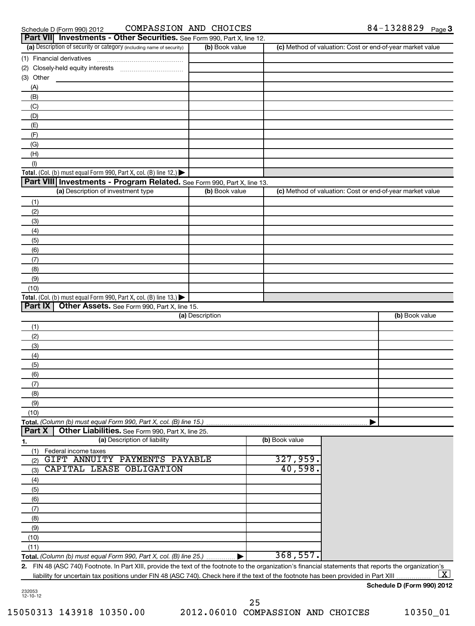| Schedule D (Form 990) 2 |  |  |
|-------------------------|--|--|
|                         |  |  |

#### Schedule D (Form 990) 2012  $\,$  COMPASSION AND CHOICES  $\,$  84 - 1328829  $\,$  Page

|               | <b>Part VII</b> Investments - Other Securities. See Form 990, Part X, line 12.                                                                          |                 |                |                                                           |  |
|---------------|---------------------------------------------------------------------------------------------------------------------------------------------------------|-----------------|----------------|-----------------------------------------------------------|--|
|               | (a) Description of security or category (including name of security)                                                                                    | (b) Book value  |                | (c) Method of valuation: Cost or end-of-year market value |  |
|               |                                                                                                                                                         |                 |                |                                                           |  |
|               |                                                                                                                                                         |                 |                |                                                           |  |
| (3) Other     |                                                                                                                                                         |                 |                |                                                           |  |
| (A)           |                                                                                                                                                         |                 |                |                                                           |  |
| (B)           |                                                                                                                                                         |                 |                |                                                           |  |
| (C)           |                                                                                                                                                         |                 |                |                                                           |  |
|               |                                                                                                                                                         |                 |                |                                                           |  |
| (D)           |                                                                                                                                                         |                 |                |                                                           |  |
| (E)           |                                                                                                                                                         |                 |                |                                                           |  |
| (F)           |                                                                                                                                                         |                 |                |                                                           |  |
| (G)           |                                                                                                                                                         |                 |                |                                                           |  |
| (H)           |                                                                                                                                                         |                 |                |                                                           |  |
| (1)           |                                                                                                                                                         |                 |                |                                                           |  |
|               | Total. (Col. (b) must equal Form 990, Part X, col. (B) line 12.) $\blacktriangleright$                                                                  |                 |                |                                                           |  |
|               | Part VIII Investments - Program Related. See Form 990, Part X, line 13.                                                                                 |                 |                |                                                           |  |
|               | (a) Description of investment type                                                                                                                      | (b) Book value  |                | (c) Method of valuation: Cost or end-of-year market value |  |
| (1)           |                                                                                                                                                         |                 |                |                                                           |  |
| (2)           |                                                                                                                                                         |                 |                |                                                           |  |
| (3)           |                                                                                                                                                         |                 |                |                                                           |  |
| (4)           |                                                                                                                                                         |                 |                |                                                           |  |
| (5)           |                                                                                                                                                         |                 |                |                                                           |  |
| (6)           |                                                                                                                                                         |                 |                |                                                           |  |
| (7)           |                                                                                                                                                         |                 |                |                                                           |  |
| (8)           |                                                                                                                                                         |                 |                |                                                           |  |
| (9)           |                                                                                                                                                         |                 |                |                                                           |  |
|               |                                                                                                                                                         |                 |                |                                                           |  |
| (10)          |                                                                                                                                                         |                 |                |                                                           |  |
| Part IX       | Total. (Col. (b) must equal Form 990, Part X, col. (B) line 13.)                                                                                        |                 |                |                                                           |  |
|               | Other Assets. See Form 990, Part X, line 15.                                                                                                            | (a) Description |                | (b) Book value                                            |  |
|               |                                                                                                                                                         |                 |                |                                                           |  |
| (1)           |                                                                                                                                                         |                 |                |                                                           |  |
| (2)           |                                                                                                                                                         |                 |                |                                                           |  |
| (3)           |                                                                                                                                                         |                 |                |                                                           |  |
| (4)           |                                                                                                                                                         |                 |                |                                                           |  |
| (5)           |                                                                                                                                                         |                 |                |                                                           |  |
| (6)           |                                                                                                                                                         |                 |                |                                                           |  |
| (7)           |                                                                                                                                                         |                 |                |                                                           |  |
| (8)           |                                                                                                                                                         |                 |                |                                                           |  |
| (9)           |                                                                                                                                                         |                 |                |                                                           |  |
| (10)          |                                                                                                                                                         |                 |                |                                                           |  |
|               | Total. (Column (b) must equal Form 990, Part X, col. (B) line 15.).                                                                                     |                 |                |                                                           |  |
| <b>Part X</b> | Other Liabilities. See Form 990, Part X, line 25.                                                                                                       |                 |                |                                                           |  |
| <u>1.</u>     | (a) Description of liability                                                                                                                            |                 | (b) Book value |                                                           |  |
| (1)           | Federal income taxes                                                                                                                                    |                 |                |                                                           |  |
| (2)           | GIFT ANNUITY PAYMENTS PAYABLE                                                                                                                           |                 | 327,959.       |                                                           |  |
| (3)           | CAPITAL LEASE OBLIGATION                                                                                                                                |                 | 40,598.        |                                                           |  |
| (4)           |                                                                                                                                                         |                 |                |                                                           |  |
|               |                                                                                                                                                         |                 |                |                                                           |  |
| (5)           |                                                                                                                                                         |                 |                |                                                           |  |
| (6)           |                                                                                                                                                         |                 |                |                                                           |  |
| (7)           |                                                                                                                                                         |                 |                |                                                           |  |
| (8)           |                                                                                                                                                         |                 |                |                                                           |  |
| (9)           |                                                                                                                                                         |                 |                |                                                           |  |
| (10)          |                                                                                                                                                         |                 |                |                                                           |  |
| (11)          |                                                                                                                                                         |                 |                |                                                           |  |
|               | Total. (Column (b) must equal Form 990, Part X, col. (B) line 25.)                                                                                      | ———— ►          | 368,557.       |                                                           |  |
|               | 2. FIN 48 (ASC 740) Footnote. In Part XIII, provide the text of the footnote to the organization's financial statements that reports the organization's |                 |                |                                                           |  |

liability for uncertain tax positions under FIN 48 (ASC 740). Check here if the text of the footnote has been provided in Part XIII  $\lfloor x \rfloor$ 

### **Schedule D (Form 990) 2012**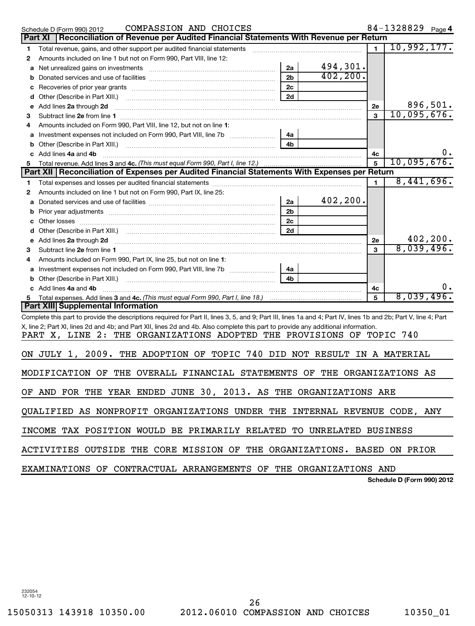| COMPASSION AND CHOICES<br>Schedule D (Form 990) 2012                                                                                                                                                        |                |           |                | 84-1328829 Page 4       |  |  |
|-------------------------------------------------------------------------------------------------------------------------------------------------------------------------------------------------------------|----------------|-----------|----------------|-------------------------|--|--|
| Reconciliation of Revenue per Audited Financial Statements With Revenue per Return<br>Part XI                                                                                                               |                |           |                |                         |  |  |
| Total revenue, gains, and other support per audited financial statements<br>1                                                                                                                               |                |           | $\mathbf{1}$   | 10,992,177.             |  |  |
| Amounts included on line 1 but not on Form 990, Part VIII, line 12:<br>2                                                                                                                                    |                |           |                |                         |  |  |
|                                                                                                                                                                                                             | 2a             | 494,301.  |                |                         |  |  |
| b                                                                                                                                                                                                           | 2 <sub>b</sub> | 402, 200. |                |                         |  |  |
| с                                                                                                                                                                                                           | 2 <sub>c</sub> |           |                |                         |  |  |
| d                                                                                                                                                                                                           | 2d             |           |                |                         |  |  |
| Add lines 2a through 2d<br>е                                                                                                                                                                                |                |           | 2е             | 896,501.                |  |  |
| з                                                                                                                                                                                                           |                |           | 3              | 10,095,676.             |  |  |
| Amounts included on Form 990. Part VIII. line 12, but not on line 1:<br>4                                                                                                                                   |                |           |                |                         |  |  |
| Investment expenses not included on Form 990, Part VIII, line 7b [11, 11, 11, 11, 11, 11]                                                                                                                   | 4a             |           |                |                         |  |  |
| b                                                                                                                                                                                                           | 4 <sub>h</sub> |           |                |                         |  |  |
| c Add lines 4a and 4b                                                                                                                                                                                       |                |           | 4c             | $0 \cdot$               |  |  |
| Total revenue. Add lines 3 and 4c. (This must equal Form 990, Part I, line 12.)<br>5                                                                                                                        |                |           |                | 10,095,676.             |  |  |
| Part XII   Reconciliation of Expenses per Audited Financial Statements With Expenses per Return                                                                                                             |                |           |                |                         |  |  |
| 1                                                                                                                                                                                                           |                |           | $\blacksquare$ | 8,441,696.              |  |  |
| Amounts included on line 1 but not on Form 990, Part IX, line 25:<br>2                                                                                                                                      |                |           |                |                         |  |  |
|                                                                                                                                                                                                             | 2a             | 402, 200. |                |                         |  |  |
| b                                                                                                                                                                                                           | 2 <sub>b</sub> |           |                |                         |  |  |
|                                                                                                                                                                                                             | 2 <sub>c</sub> |           |                |                         |  |  |
|                                                                                                                                                                                                             | 2d             |           |                |                         |  |  |
| Add lines 2a through 2d <b>must be a constructed as the constant of the constant of the constant of the construction</b>                                                                                    |                |           | 2е             | 402, 200.<br>8,039,496. |  |  |
| з                                                                                                                                                                                                           |                |           | 3              |                         |  |  |
| Amounts included on Form 990, Part IX, line 25, but not on line 1:<br>4                                                                                                                                     |                |           |                |                         |  |  |
| Investment expenses not included on Form 990, Part VIII, line 7b [11, 11, 11, 11, 11]                                                                                                                       | 4a             |           |                |                         |  |  |
| b                                                                                                                                                                                                           |                |           |                |                         |  |  |
| c Add lines 4a and 4b                                                                                                                                                                                       |                |           | 4c             | υ.<br>8,039,496.        |  |  |
| Part XIII Supplemental Information                                                                                                                                                                          |                |           | 5              |                         |  |  |
|                                                                                                                                                                                                             |                |           |                |                         |  |  |
| Complete this part to provide the descriptions required for Part II, lines 3, 5, and 9; Part III, lines 1a and 4; Part IV, lines 1b and 2b; Part V, line 4; Part                                            |                |           |                |                         |  |  |
| X, line 2; Part XI, lines 2d and 4b; and Part XII, lines 2d and 4b. Also complete this part to provide any additional information.<br>PART X, LINE 2: THE ORGANIZATIONS ADOPTED THE PROVISIONS OF TOPIC 740 |                |           |                |                         |  |  |
|                                                                                                                                                                                                             |                |           |                |                         |  |  |
| ON JULY 1, 2009. THE ADOPTION OF TOPIC 740 DID NOT RESULT IN A MATERIAL                                                                                                                                     |                |           |                |                         |  |  |
|                                                                                                                                                                                                             |                |           |                |                         |  |  |
| MODIFICATION OF THE OVERALL FINANCIAL STATEMENTS OF THE ORGANIZATIONS AS                                                                                                                                    |                |           |                |                         |  |  |
| OF AND FOR THE YEAR ENDED JUNE 30, 2013. AS THE ORGANIZATIONS ARE                                                                                                                                           |                |           |                |                         |  |  |
|                                                                                                                                                                                                             |                |           |                |                         |  |  |
| QUALIFIED AS NONPROFIT ORGANIZATIONS UNDER THE INTERNAL REVENUE CODE, ANY                                                                                                                                   |                |           |                |                         |  |  |
| INCOME TAX POSITION WOULD BE PRIMARILY RELATED TO UNRELATED BUSINESS                                                                                                                                        |                |           |                |                         |  |  |
| ACTIVITIES OUTSIDE THE CORE MISSION OF THE ORGANIZATIONS. BASED ON PRIOR                                                                                                                                    |                |           |                |                         |  |  |
| EXAMINATIONS OF CONTRACTUAL ARRANGEMENTS OF THE ORGANIZATIONS AND                                                                                                                                           |                |           |                |                         |  |  |

**Schedule D (Form 990) 2012**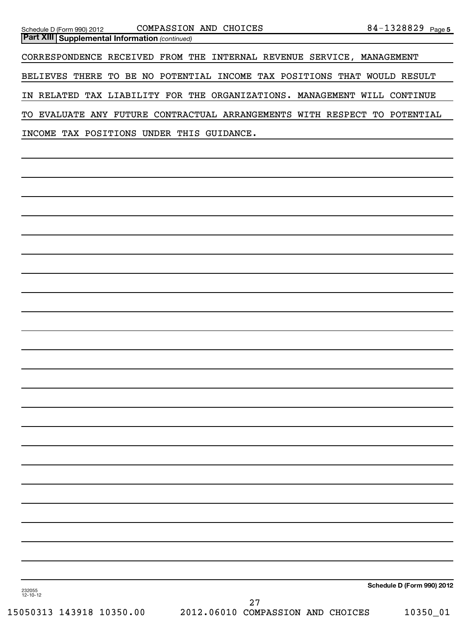| Schedule D (Form 990) 201: |  |  |
|----------------------------|--|--|
|                            |  |  |

**Part XIII | Supplemental Information** (continued) CORRESPONDENCE RECEIVED FROM THE INTERNAL REVENUE SERVICE, MANAGEMENT BELIEVES THERE TO BE NO POTENTIAL INCOME TAX POSITIONS THAT WOULD RESULT IN RELATED TAX LIABILITY FOR THE ORGANIZATIONS. MANAGEMENT WILL CONTINUE TO EVALUATE ANY FUTURE CONTRACTUAL ARRANGEMENTS WITH RESPECT TO POTENTIAL INCOME TAX POSITIONS UNDER THIS GUIDANCE.

**Schedule D (Form 990) 2012**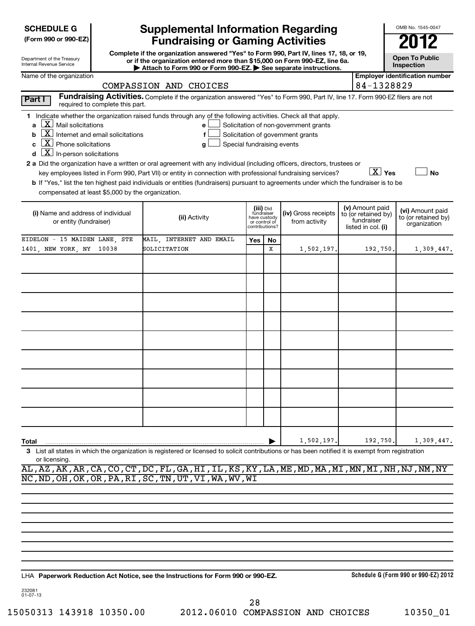| (Form 990 or 990-EZ) |  |  |
|----------------------|--|--|
|----------------------|--|--|

| Department of the Treasury |  |
|----------------------------|--|
| Internal Revenue Service   |  |

# **Supplemental Information Regarding Fundraising or Gaming Activities**

**Complete if the organization answered "Yes" to Form 990, Part IV, lines 17, 18, or 19, or if the organization entered more than \$15,000 on Form 990-EZ, line 6a.** Attach to Form 990 or Form 990-EZ. See separate instructions.

**Open To Public**

OMB No. 1545-0047

 $\boxed{\text{X}}$   $\boxed{\text{Yes}}$   $\boxed{\phantom{0}}$  No

|       | Name of the organization                                                                                                                                        | Employer identification number |
|-------|-----------------------------------------------------------------------------------------------------------------------------------------------------------------|--------------------------------|
|       | COMPASSION AND CHOICES                                                                                                                                          | $184 - 1328829$                |
| PartV | Fundraising Activities. Complete if the organization answered "Yes" to Form 990, Part IV, line 17. Form 990-EZ filers are not<br>roquired to complete this part |                                |

| - --- - -<br>required to complete this part.<br><b>Contract Contract Contract</b>                             |                                           |
|---------------------------------------------------------------------------------------------------------------|-------------------------------------------|
|                                                                                                               |                                           |
| Indicate whether the organization raised funds through any of the following activities. Check all that apply. |                                           |
| $\overline{a}$ $\overline{X}$ Mail solicitations                                                              | $e$ Solicitation of non-government grants |
| <b>b</b> $\boxed{\textbf{X}}$ Internet and email solicitations                                                | Solicitation of government grants         |

|  | c $\boxed{\textbf{X}}$ Phone solicitations |  |  |
|--|--------------------------------------------|--|--|
|--|--------------------------------------------|--|--|

**d**  $\boxed{\textbf{X}}$  In-person solicitations

 $\Box$  Special fundraising events

**a 2** Did the organization have a written or oral agreement with any individual (including officers, directors, trustees or

key employees listed in Form 990, Part VII) or entity in connection with professional fundraising services?

**b** If "Yes," list the ten highest paid individuals or entities (fundraisers) pursuant to agreements under which the fundraiser is to be compensated at least \$5,000 by the organization.

| (i) Name and address of individual<br>or entity (fundraiser) | (ii) Activity            | (iii) Did<br>fundraiser<br>have custody<br>or control of<br>contributions? |             | (iv) Gross receipts<br>from activity | (v) Amount paid<br>to (or retained by)<br>(vi) Amount paid<br>to (or retained by)<br>organization<br>fundraiser<br>listed in col. (i) |            |
|--------------------------------------------------------------|--------------------------|----------------------------------------------------------------------------|-------------|--------------------------------------|---------------------------------------------------------------------------------------------------------------------------------------|------------|
| EIDELON - 15 MAIDEN LANE, STE                                | MAIL, INTERNET AND EMAIL | Yes                                                                        | No          |                                      |                                                                                                                                       |            |
| 1401, NEW YORK, NY 10038                                     | SOLICITATION             |                                                                            | $\mathbf x$ | 1,502,197.                           | 192, 750.                                                                                                                             | 1,309,447. |
|                                                              |                          |                                                                            |             |                                      |                                                                                                                                       |            |
|                                                              |                          |                                                                            |             |                                      |                                                                                                                                       |            |
|                                                              |                          |                                                                            |             |                                      |                                                                                                                                       |            |
|                                                              |                          |                                                                            |             |                                      |                                                                                                                                       |            |
|                                                              |                          |                                                                            |             |                                      |                                                                                                                                       |            |
|                                                              |                          |                                                                            |             |                                      |                                                                                                                                       |            |
|                                                              |                          |                                                                            |             |                                      |                                                                                                                                       |            |
|                                                              |                          |                                                                            |             |                                      |                                                                                                                                       |            |
|                                                              |                          |                                                                            |             |                                      |                                                                                                                                       |            |
| Total                                                        |                          |                                                                            |             | 1,502,197.                           | 192,750.                                                                                                                              | 1,309,447. |

**3** List all states in which the organization is registered or licensed to solicit contributions or has been notified it is exempt from registration or licensing.

AL,AZ,AK,AR,CA,CO,CT,DC,FL,GA,HI,IL,KS,KY,LA,ME,MD,MA,MI,MN,MI,NH,NJ,NM,NY NC,ND,OH,OK,OR,PA,RI,SC,TN,UT,VI,WA,WV,WI

**Paperwork Reduction Act Notice, see the Instructions for Form 990 or 990-EZ.** LHA

**Schedule G (Form 990 or 990-EZ) 2012**

232081 01-07-13

15050313 143918 10350.00 2012.06010 COMPASSION AND CHOICES 10350\_01 28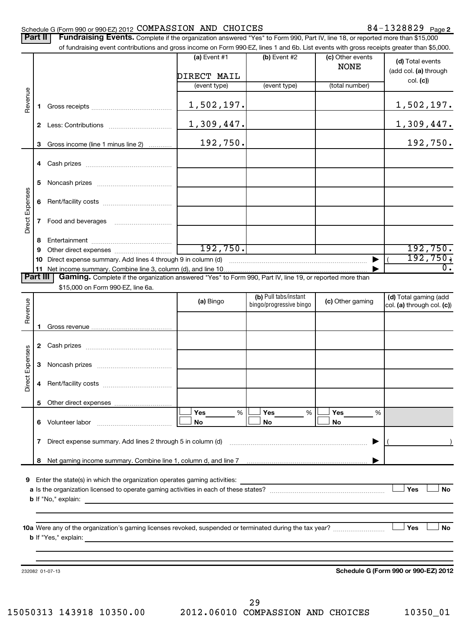#### Schedule G (Form 990 or 990-EZ) 2012  $\texttt{COMPASSION}$   $\texttt{AND}$   $\texttt{CHOICES}$   $\texttt{84-1328829}$   $\texttt{Page}$

|                 | Part II | Fundraising Events. Complete if the organization answered "Yes" to Form 990, Part IV, line 18, or reported more than \$15,000             |                |                                                  |                                 |                                                     |
|-----------------|---------|-------------------------------------------------------------------------------------------------------------------------------------------|----------------|--------------------------------------------------|---------------------------------|-----------------------------------------------------|
|                 |         | of fundraising event contributions and gross income on Form 990-EZ, lines 1 and 6b. List events with gross receipts greater than \$5,000. |                |                                                  |                                 |                                                     |
|                 |         |                                                                                                                                           | (a) Event #1   | (b) Event #2                                     | (c) Other events<br><b>NONE</b> | (d) Total events<br>(add col. (a) through           |
|                 |         |                                                                                                                                           | DIRECT MAIL    |                                                  | (total number)                  | col. (c)                                            |
|                 |         |                                                                                                                                           | (event type)   | (event type)                                     |                                 |                                                     |
| Revenue         | 1.      |                                                                                                                                           | 1,502,197.     |                                                  |                                 | 1,502,197.                                          |
|                 |         |                                                                                                                                           | 1,309,447.     |                                                  |                                 | 1,309,447.                                          |
|                 | 3       | Gross income (line 1 minus line 2)                                                                                                        | 192,750.       |                                                  |                                 | 192,750.                                            |
|                 | 4       |                                                                                                                                           |                |                                                  |                                 |                                                     |
|                 | 5       |                                                                                                                                           |                |                                                  |                                 |                                                     |
|                 | 6       |                                                                                                                                           |                |                                                  |                                 |                                                     |
| Direct Expenses | 7       |                                                                                                                                           |                |                                                  |                                 |                                                     |
|                 | 8       |                                                                                                                                           |                |                                                  |                                 |                                                     |
|                 | 9       |                                                                                                                                           | 192, 750.      |                                                  |                                 | 192,750.                                            |
|                 | 10      | Direct expense summary. Add lines 4 through 9 in column (d)                                                                               |                |                                                  |                                 | 192,750,                                            |
|                 |         |                                                                                                                                           |                |                                                  |                                 | $\overline{0}$ .                                    |
| Part III        |         | Gaming. Complete if the organization answered "Yes" to Form 990, Part IV, line 19, or reported more than                                  |                |                                                  |                                 |                                                     |
|                 |         | \$15,000 on Form 990-EZ, line 6a.                                                                                                         |                |                                                  |                                 |                                                     |
| Revenue         |         |                                                                                                                                           | (a) Bingo      | (b) Pull tabs/instant<br>bingo/progressive bingo | (c) Other gaming                | (d) Total gaming (add<br>col. (a) through col. (c)) |
|                 | 1.      |                                                                                                                                           |                |                                                  |                                 |                                                     |
|                 |         |                                                                                                                                           |                |                                                  |                                 |                                                     |
| Direct Expenses | 3       |                                                                                                                                           |                |                                                  |                                 |                                                     |
|                 |         |                                                                                                                                           |                |                                                  |                                 |                                                     |
|                 | 5       |                                                                                                                                           |                |                                                  |                                 |                                                     |
|                 |         | 6 Volunteer labor                                                                                                                         | Yes<br>%<br>No | Yes<br>%<br>No                                   | Yes<br>%<br>No                  |                                                     |
|                 | 7       |                                                                                                                                           |                |                                                  |                                 |                                                     |
|                 | 8       |                                                                                                                                           |                |                                                  |                                 |                                                     |
|                 |         | 9 Enter the state(s) in which the organization operates gaming activities:                                                                |                |                                                  |                                 | Yes<br>No                                           |
|                 |         | 10a Were any of the organization's gaming licenses revoked, suspended or terminated during the tax year?                                  |                |                                                  |                                 | Yes<br>No                                           |
|                 |         |                                                                                                                                           |                |                                                  |                                 |                                                     |
|                 |         | 232082 01-07-13                                                                                                                           |                |                                                  |                                 | Schedule G (Form 990 or 990-EZ) 2012                |

**Schedule G (Form 990 or 990-EZ) 2012**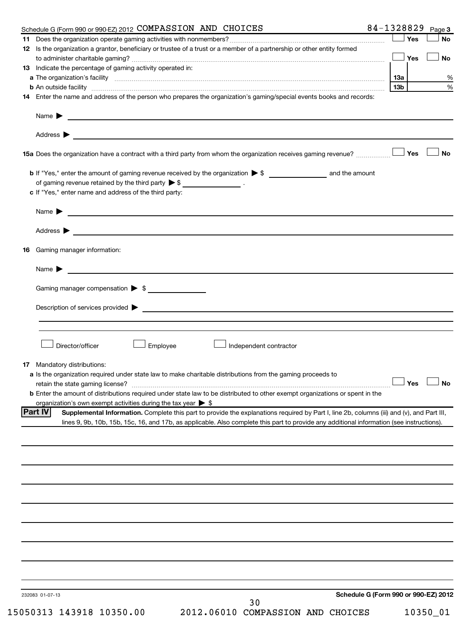| Schedule G (Form 990 or 990-EZ) 2012 COMPASSION AND CHOICES                            |                                                                                                                                                                                                                                | 84-1328829<br>Page 3                 |
|----------------------------------------------------------------------------------------|--------------------------------------------------------------------------------------------------------------------------------------------------------------------------------------------------------------------------------|--------------------------------------|
|                                                                                        |                                                                                                                                                                                                                                | Yes<br><b>No</b>                     |
|                                                                                        | 12 Is the organization a grantor, beneficiary or trustee of a trust or a member of a partnership or other entity formed                                                                                                        |                                      |
|                                                                                        |                                                                                                                                                                                                                                | Yes<br>No                            |
| <b>13</b> Indicate the percentage of gaming activity operated in:                      |                                                                                                                                                                                                                                |                                      |
|                                                                                        |                                                                                                                                                                                                                                | 13а                                  |
|                                                                                        | b An outside facility manufactured and contract and contract and contract and contract and contract and contract and contract and contract and contract and contract and contract and contract and contract and contract and c | 13 <sub>b</sub>                      |
|                                                                                        | 14 Enter the name and address of the person who prepares the organization's gaming/special events books and records:                                                                                                           |                                      |
|                                                                                        |                                                                                                                                                                                                                                |                                      |
|                                                                                        |                                                                                                                                                                                                                                |                                      |
| Address $\blacktriangleright$                                                          | <u> 1980 - Johann Stoff, amerikansk politiker (* 1900)</u>                                                                                                                                                                     |                                      |
|                                                                                        | 15a Does the organization have a contract with a third party from whom the organization receives gaming revenue?                                                                                                               | <b>No</b><br>Yes                     |
|                                                                                        |                                                                                                                                                                                                                                |                                      |
| of gaming revenue retained by the third party $\triangleright$ \$ ___________________. |                                                                                                                                                                                                                                |                                      |
| c If "Yes," enter name and address of the third party:                                 |                                                                                                                                                                                                                                |                                      |
|                                                                                        | Name $\blacktriangleright$ $\lrcorner$                                                                                                                                                                                         |                                      |
|                                                                                        |                                                                                                                                                                                                                                |                                      |
| Gaming manager information:<br>16                                                      |                                                                                                                                                                                                                                |                                      |
|                                                                                        |                                                                                                                                                                                                                                |                                      |
|                                                                                        |                                                                                                                                                                                                                                |                                      |
| Gaming manager compensation > \$                                                       |                                                                                                                                                                                                                                |                                      |
|                                                                                        |                                                                                                                                                                                                                                |                                      |
|                                                                                        |                                                                                                                                                                                                                                |                                      |
|                                                                                        |                                                                                                                                                                                                                                |                                      |
|                                                                                        |                                                                                                                                                                                                                                |                                      |
| Director/officer                                                                       | Employee<br>Independent contractor                                                                                                                                                                                             |                                      |
|                                                                                        |                                                                                                                                                                                                                                |                                      |
| Mandatory distributions:<br>17                                                         |                                                                                                                                                                                                                                |                                      |
|                                                                                        | a Is the organization required under state law to make charitable distributions from the gaming proceeds to                                                                                                                    |                                      |
|                                                                                        | retain the state gaming license? $\Box$ No                                                                                                                                                                                     |                                      |
|                                                                                        | <b>b</b> Enter the amount of distributions required under state law to be distributed to other exempt organizations or spent in the                                                                                            |                                      |
| organization's own exempt activities during the tax year $\triangleright$ \$           |                                                                                                                                                                                                                                |                                      |
| <b>Part IV</b>                                                                         | Supplemental Information. Complete this part to provide the explanations required by Part I, line 2b, columns (iii) and (v), and Part III,                                                                                     |                                      |
|                                                                                        |                                                                                                                                                                                                                                |                                      |
|                                                                                        | lines 9, 9b, 10b, 15b, 15c, 16, and 17b, as applicable. Also complete this part to provide any additional information (see instructions)                                                                                       |                                      |
|                                                                                        |                                                                                                                                                                                                                                |                                      |
|                                                                                        |                                                                                                                                                                                                                                |                                      |
|                                                                                        |                                                                                                                                                                                                                                |                                      |
|                                                                                        |                                                                                                                                                                                                                                |                                      |
|                                                                                        |                                                                                                                                                                                                                                |                                      |
|                                                                                        |                                                                                                                                                                                                                                |                                      |
|                                                                                        |                                                                                                                                                                                                                                |                                      |
|                                                                                        |                                                                                                                                                                                                                                |                                      |
|                                                                                        |                                                                                                                                                                                                                                |                                      |
|                                                                                        |                                                                                                                                                                                                                                |                                      |
|                                                                                        |                                                                                                                                                                                                                                |                                      |
|                                                                                        |                                                                                                                                                                                                                                |                                      |
|                                                                                        |                                                                                                                                                                                                                                |                                      |
|                                                                                        |                                                                                                                                                                                                                                |                                      |
|                                                                                        |                                                                                                                                                                                                                                |                                      |
|                                                                                        |                                                                                                                                                                                                                                |                                      |
| 232083 01-07-13                                                                        |                                                                                                                                                                                                                                |                                      |
|                                                                                        |                                                                                                                                                                                                                                | Schedule G (Form 990 or 990-EZ) 2012 |
| 15050313 143918 10350.00                                                               | 30<br>2012.06010 COMPASSION AND CHOICES                                                                                                                                                                                        | 10350_01                             |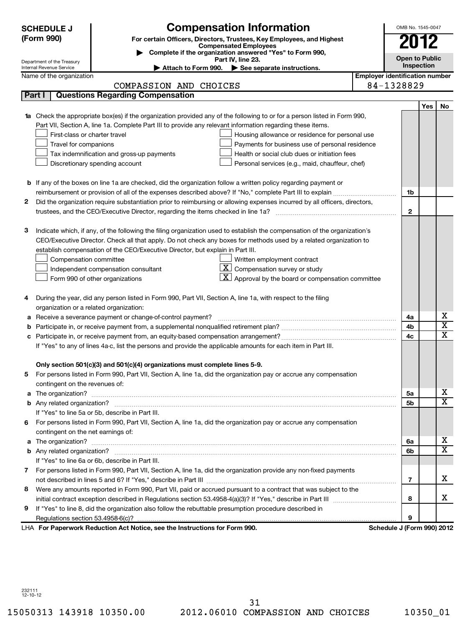|    | <b>SCHEDULE J</b><br>(Form 990)                        | <b>Compensation Information</b><br>For certain Officers, Directors, Trustees, Key Employees, and Highest<br><b>Compensated Employees</b>                                                                                                        |                                       | OMB No. 1545-0047<br>2012  |     |                         |
|----|--------------------------------------------------------|-------------------------------------------------------------------------------------------------------------------------------------------------------------------------------------------------------------------------------------------------|---------------------------------------|----------------------------|-----|-------------------------|
|    |                                                        | Complete if the organization answered "Yes" to Form 990,<br>Part IV, line 23.                                                                                                                                                                   |                                       | <b>Open to Public</b>      |     |                         |
|    | Department of the Treasury<br>Internal Revenue Service | Attach to Form 990. $\triangleright$ See separate instructions.                                                                                                                                                                                 |                                       | Inspection                 |     |                         |
|    | Name of the organization                               |                                                                                                                                                                                                                                                 | <b>Employer identification number</b> |                            |     |                         |
|    |                                                        | COMPASSION AND CHOICES                                                                                                                                                                                                                          |                                       | 84-1328829                 |     |                         |
|    | Part I                                                 | <b>Questions Regarding Compensation</b>                                                                                                                                                                                                         |                                       |                            |     |                         |
|    |                                                        |                                                                                                                                                                                                                                                 |                                       |                            | Yes | No                      |
|    |                                                        | <b>1a</b> Check the appropriate box(es) if the organization provided any of the following to or for a person listed in Form 990,                                                                                                                |                                       |                            |     |                         |
|    |                                                        | Part VII, Section A, line 1a. Complete Part III to provide any relevant information regarding these items.                                                                                                                                      |                                       |                            |     |                         |
|    | First-class or charter travel                          | Housing allowance or residence for personal use                                                                                                                                                                                                 |                                       |                            |     |                         |
|    | Travel for companions                                  | Payments for business use of personal residence                                                                                                                                                                                                 |                                       |                            |     |                         |
|    |                                                        | Tax indemnification and gross-up payments<br>Health or social club dues or initiation fees                                                                                                                                                      |                                       |                            |     |                         |
|    |                                                        | Discretionary spending account<br>Personal services (e.g., maid, chauffeur, chef)                                                                                                                                                               |                                       |                            |     |                         |
|    |                                                        |                                                                                                                                                                                                                                                 |                                       |                            |     |                         |
|    |                                                        | <b>b</b> If any of the boxes on line 1a are checked, did the organization follow a written policy regarding payment or                                                                                                                          |                                       |                            |     |                         |
|    |                                                        | reimbursement or provision of all of the expenses described above? If "No," complete Part III to explain                                                                                                                                        |                                       | 1b                         |     |                         |
| 2  |                                                        | Did the organization require substantiation prior to reimbursing or allowing expenses incurred by all officers, directors,                                                                                                                      |                                       |                            |     |                         |
|    |                                                        |                                                                                                                                                                                                                                                 |                                       | $\mathbf{2}$               |     |                         |
|    |                                                        |                                                                                                                                                                                                                                                 |                                       |                            |     |                         |
| з  |                                                        | Indicate which, if any, of the following the filing organization used to establish the compensation of the organization's<br>CEO/Executive Director. Check all that apply. Do not check any boxes for methods used by a related organization to |                                       |                            |     |                         |
|    |                                                        | establish compensation of the CEO/Executive Director, but explain in Part III.                                                                                                                                                                  |                                       |                            |     |                         |
|    | Compensation committee                                 | Written employment contract                                                                                                                                                                                                                     |                                       |                            |     |                         |
|    |                                                        | $\mathbf{X}$ Compensation survey or study<br>Independent compensation consultant                                                                                                                                                                |                                       |                            |     |                         |
|    |                                                        | $\lfloor \underline{\textbf{X}} \rfloor$ Approval by the board or compensation committee<br>Form 990 of other organizations                                                                                                                     |                                       |                            |     |                         |
|    |                                                        |                                                                                                                                                                                                                                                 |                                       |                            |     |                         |
| 4  |                                                        | During the year, did any person listed in Form 990, Part VII, Section A, line 1a, with respect to the filing                                                                                                                                    |                                       |                            |     |                         |
|    | organization or a related organization:                |                                                                                                                                                                                                                                                 |                                       |                            |     |                         |
|    |                                                        | a Receive a severance payment or change-of-control payment?                                                                                                                                                                                     |                                       | 4a                         |     | х                       |
|    |                                                        |                                                                                                                                                                                                                                                 |                                       | 4b                         |     | $\overline{\textbf{x}}$ |
|    |                                                        |                                                                                                                                                                                                                                                 |                                       | 4c                         |     | $\overline{\mathtt{x}}$ |
|    |                                                        | If "Yes" to any of lines 4a-c, list the persons and provide the applicable amounts for each item in Part III.                                                                                                                                   |                                       |                            |     |                         |
|    |                                                        |                                                                                                                                                                                                                                                 |                                       |                            |     |                         |
|    |                                                        | Only section 501(c)(3) and 501(c)(4) organizations must complete lines 5-9.                                                                                                                                                                     |                                       |                            |     |                         |
|    |                                                        | For persons listed in Form 990, Part VII, Section A, line 1a, did the organization pay or accrue any compensation                                                                                                                               |                                       |                            |     |                         |
|    | contingent on the revenues of:                         |                                                                                                                                                                                                                                                 |                                       |                            |     |                         |
|    |                                                        |                                                                                                                                                                                                                                                 |                                       | 5а                         |     | x                       |
|    |                                                        |                                                                                                                                                                                                                                                 |                                       | 5b                         |     | $\overline{\mathbf{x}}$ |
|    |                                                        | If "Yes" to line 5a or 5b, describe in Part III.                                                                                                                                                                                                |                                       |                            |     |                         |
| 6. |                                                        | For persons listed in Form 990, Part VII, Section A, line 1a, did the organization pay or accrue any compensation                                                                                                                               |                                       |                            |     |                         |
|    | contingent on the net earnings of:                     |                                                                                                                                                                                                                                                 |                                       |                            |     |                         |
|    |                                                        |                                                                                                                                                                                                                                                 |                                       | 6a                         |     | x                       |
|    |                                                        |                                                                                                                                                                                                                                                 |                                       | 6b                         |     | $\overline{\mathbf{X}}$ |
|    |                                                        | If "Yes" to line 6a or 6b, describe in Part III.                                                                                                                                                                                                |                                       |                            |     |                         |
| 7  |                                                        | For persons listed in Form 990, Part VII, Section A, line 1a, did the organization provide any non-fixed payments                                                                                                                               |                                       |                            |     |                         |
|    |                                                        |                                                                                                                                                                                                                                                 |                                       | $\overline{7}$             |     | x                       |
| 8  |                                                        | Were any amounts reported in Form 990, Part VII, paid or accrued pursuant to a contract that was subject to the                                                                                                                                 |                                       |                            |     |                         |
|    |                                                        |                                                                                                                                                                                                                                                 |                                       | 8                          |     | x                       |
| 9  |                                                        | If "Yes" to line 8, did the organization also follow the rebuttable presumption procedure described in                                                                                                                                          |                                       |                            |     |                         |
|    |                                                        |                                                                                                                                                                                                                                                 |                                       | 9                          |     |                         |
|    |                                                        | LHA For Paperwork Reduction Act Notice, see the Instructions for Form 990.                                                                                                                                                                      |                                       | Schedule J (Form 990) 2012 |     |                         |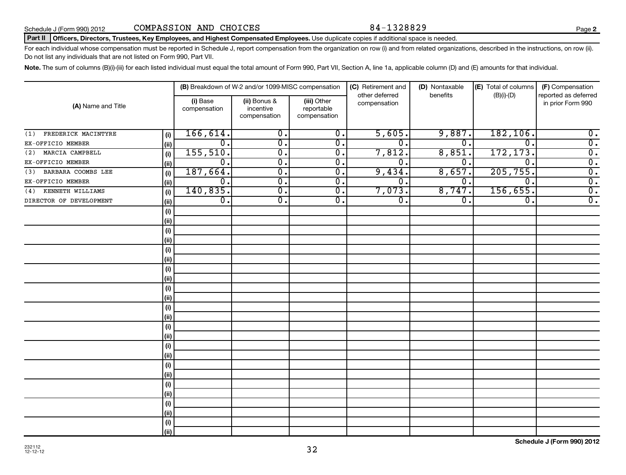#### Part II | Officers, Directors, Trustees, Key Employees, and Highest Compensated Employees. Use duplicate copies if additional space is needed.

For each individual whose compensation must be reported in Schedule J, report compensation from the organization on row (i) and from related organizations, described in the instructions, on row (ii). Do not list any individuals that are not listed on Form 990, Part VII.

Note. The sum of columns (B)(i)-(iii) for each listed individual must equal the total amount of Form 990, Part VII, Section A, line 1a, applicable column (D) and (E) amounts for that individual.

| (A) Name and Title         |      | (B) Breakdown of W-2 and/or 1099-MISC compensation |                                           |                                           | (C) Retirement and<br>other deferred | (D) Nontaxable<br>benefits | (E) Total of columns<br>$(B)(i)-(D)$ | (F) Compensation<br>reported as deferred |
|----------------------------|------|----------------------------------------------------|-------------------------------------------|-------------------------------------------|--------------------------------------|----------------------------|--------------------------------------|------------------------------------------|
|                            |      | (i) Base<br>compensation                           | (ii) Bonus &<br>incentive<br>compensation | (iii) Other<br>reportable<br>compensation | compensation                         |                            |                                      | in prior Form 990                        |
| FREDERICK MACINTYRE<br>(1) | (i)  | 166,614.                                           | $\overline{0}$ .                          | $\overline{0}$ .                          | 5,605.                               | 9,887.                     | 182, 106.                            | $\overline{0}$ .                         |
| EX-OFFICIO MEMBER          | (ii) | $\mathbf 0$ .                                      | $\overline{\mathfrak{o}}$ .               | $\overline{\mathfrak{o}}$ .               | $\overline{0}$ .                     | $\overline{0}$ .           | $\Omega$                             | $\overline{0}$ .                         |
| MARCIA CAMPBELL<br>(2)     | (i)  | 155, 510.                                          | σ.                                        | $\overline{0}$ .                          | 7,812.                               | 8,851                      | 172, 173.                            | $\overline{0}$ .                         |
| EX-OFFICIO MEMBER          | (ii) | 0.                                                 | σ.                                        | $\overline{0}$ .                          | 0                                    | 0.                         | $\Omega$                             | $\overline{0}$ .                         |
| BARBARA COOMBS LEE<br>(3)  | (i)  | 187,664.                                           | σ.                                        | $\overline{0}$ .                          | 9,434.                               | 8,657.                     | 205,755.                             | $\overline{\mathfrak{o}}$ .              |
| EX-OFFICIO MEMBER          | (ii) | 0.                                                 | $\overline{\mathfrak{o}}$ .               | 0.                                        | 0                                    | 0.                         | $\Omega$ .                           | $\overline{0}$ .                         |
| KENNETH WILLIAMS<br>(4)    | (i)  | 140,835.                                           | σ.                                        | $\overline{0}$ .                          | 7,073.                               | 8,747.                     | 156,655.                             | $\overline{0}$ .                         |
| DIRECTOR OF DEVELOPMENT    | (ii) | $\overline{0}$ .                                   | σ.                                        | $\overline{0}$ .                          | σ.                                   | $\overline{0}$ .           | $\overline{0}$ .                     | $\overline{0}$ .                         |
|                            | (i)  |                                                    |                                           |                                           |                                      |                            |                                      |                                          |
|                            | (ii) |                                                    |                                           |                                           |                                      |                            |                                      |                                          |
|                            | (i)  |                                                    |                                           |                                           |                                      |                            |                                      |                                          |
|                            | (ii) |                                                    |                                           |                                           |                                      |                            |                                      |                                          |
|                            | (i)  |                                                    |                                           |                                           |                                      |                            |                                      |                                          |
|                            | (ii) |                                                    |                                           |                                           |                                      |                            |                                      |                                          |
|                            | (i)  |                                                    |                                           |                                           |                                      |                            |                                      |                                          |
|                            | (ii) |                                                    |                                           |                                           |                                      |                            |                                      |                                          |
|                            | (i)  |                                                    |                                           |                                           |                                      |                            |                                      |                                          |
|                            | (ii) |                                                    |                                           |                                           |                                      |                            |                                      |                                          |
|                            | (i)  |                                                    |                                           |                                           |                                      |                            |                                      |                                          |
|                            | (ii) |                                                    |                                           |                                           |                                      |                            |                                      |                                          |
|                            | (i)  |                                                    |                                           |                                           |                                      |                            |                                      |                                          |
|                            | (ii) |                                                    |                                           |                                           |                                      |                            |                                      |                                          |
|                            | (i)  |                                                    |                                           |                                           |                                      |                            |                                      |                                          |
|                            | (ii) |                                                    |                                           |                                           |                                      |                            |                                      |                                          |
|                            | (i)  |                                                    |                                           |                                           |                                      |                            |                                      |                                          |
|                            | (ii) |                                                    |                                           |                                           |                                      |                            |                                      |                                          |
|                            | (i)  |                                                    |                                           |                                           |                                      |                            |                                      |                                          |
|                            | (ii) |                                                    |                                           |                                           |                                      |                            |                                      |                                          |
|                            | (i)  |                                                    |                                           |                                           |                                      |                            |                                      |                                          |
|                            | (ii) |                                                    |                                           |                                           |                                      |                            |                                      |                                          |
|                            | (i)  |                                                    |                                           |                                           |                                      |                            |                                      |                                          |
|                            | (ii) |                                                    |                                           |                                           |                                      |                            |                                      |                                          |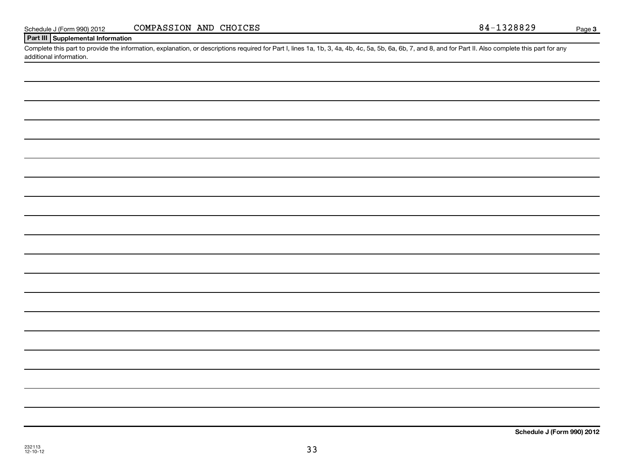| 32773 |
|-------|
| 11) - |

## **Part III Supplemental Information**

Complete this part to provide the information, explanation, or descriptions required for Part I, lines 1a, 1b, 3, 4a, 4b, 4c, 5a, 5b, 6a, 6b, 7, and 8, and for Part II. Also complete this part for any additional information.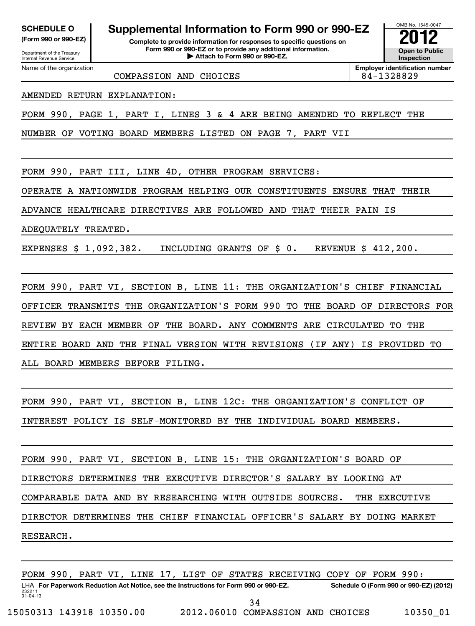# Department of the Treasury

Internal Revenue Service

## **SCHEDULE O Supplemental Information to Form 990 or 990-EZ 2012**

**(Form 990 or 990-EZ) Complete to provide information for responses to specific questions on Form 990 or 990-EZ or to provide any additional information.** <del>U</del> Open to Provide any additional information.<br>
→ Attach to Form 990 or 990-EZ.



**Employer identification number** COMPASSION AND CHOICES 84-1328829

Name of the organization

AMENDED RETURN EXPLANATION:

FORM 990, PAGE 1, PART I, LINES 3 & 4 ARE BEING AMENDED TO REFLECT THE

NUMBER OF VOTING BOARD MEMBERS LISTED ON PAGE 7, PART VII

FORM 990, PART III, LINE 4D, OTHER PROGRAM SERVICES:

OPERATE A NATIONWIDE PROGRAM HELPING OUR CONSTITUENTS ENSURE THAT THEIR

ADVANCE HEALTHCARE DIRECTIVES ARE FOLLOWED AND THAT THEIR PAIN IS

ADEQUATELY TREATED.

EXPENSES \$ 1,092,382. INCLUDING GRANTS OF \$ 0. REVENUE \$ 412,200.

FORM 990, PART VI, SECTION B, LINE 11: THE ORGANIZATION'S CHIEF FINANCIAL OFFICER TRANSMITS THE ORGANIZATION'S FORM 990 TO THE BOARD OF DIRECTORS FOR REVIEW BY EACH MEMBER OF THE BOARD. ANY COMMENTS ARE CIRCULATED TO THE ENTIRE BOARD AND THE FINAL VERSION WITH REVISIONS (IF ANY) IS PROVIDED TO ALL BOARD MEMBERS BEFORE FILING.

FORM 990, PART VI, SECTION B, LINE 12C: THE ORGANIZATION'S CONFLICT OF INTEREST POLICY IS SELF-MONITORED BY THE INDIVIDUAL BOARD MEMBERS.

FORM 990, PART VI, SECTION B, LINE 15: THE ORGANIZATION'S BOARD OF DIRECTORS DETERMINES THE EXECUTIVE DIRECTOR'S SALARY BY LOOKING AT COMPARABLE DATA AND BY RESEARCHING WITH OUTSIDE SOURCES. THE EXECUTIVE DIRECTOR DETERMINES THE CHIEF FINANCIAL OFFICER'S SALARY BY DOING MARKET RESEARCH.

232211 01-04-13 LHA For Paperwork Reduction Act Notice, see the Instructions for Form 990 or 990-EZ. Schedule O (Form 990 or 990-EZ) (2012) FORM 990, PART VI, LINE 17, LIST OF STATES RECEIVING COPY OF FORM 990: 34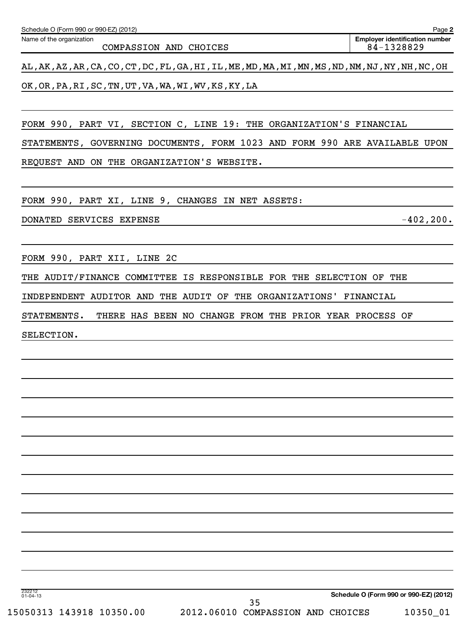| Schedule O (Form 990 or 990-EZ) (2012) | Page 2                                |
|----------------------------------------|---------------------------------------|
| Name of the organization               | <b>Emplover identification number</b> |
| COMPASSION AND CHOICES                 | 84-1328829                            |

AL,AK,AZ,AR,CA,CO,CT,DC,FL,GA,HI,IL,ME,MD,MA,MI,MN,MS,ND,NM,NJ,NY,NH,NC,OH OK,OR,PA,RI,SC,TN,UT,VA,WA,WI,WV,KS,KY,LA

FORM 990, PART VI, SECTION C, LINE 19: THE ORGANIZATION'S FINANCIAL

STATEMENTS, GOVERNING DOCUMENTS, FORM 1023 AND FORM 990 ARE AVAILABLE UPON REQUEST AND ON THE ORGANIZATION'S WEBSITE.

FORM 990, PART XI, LINE 9, CHANGES IN NET ASSETS:

DONATED SERVICES EXPENSE -402,200.

FORM 990, PART XII, LINE 2C

THE AUDIT/FINANCE COMMITTEE IS RESPONSIBLE FOR THE SELECTION OF THE

INDEPENDENT AUDITOR AND THE AUDIT OF THE ORGANIZATIONS' FINANCIAL

STATEMENTS. THERE HAS BEEN NO CHANGE FROM THE PRIOR YEAR PROCESS OF

SELECTION.

**Schedule O (Form 990 or 990-EZ) (2012)**

232212 01-04-13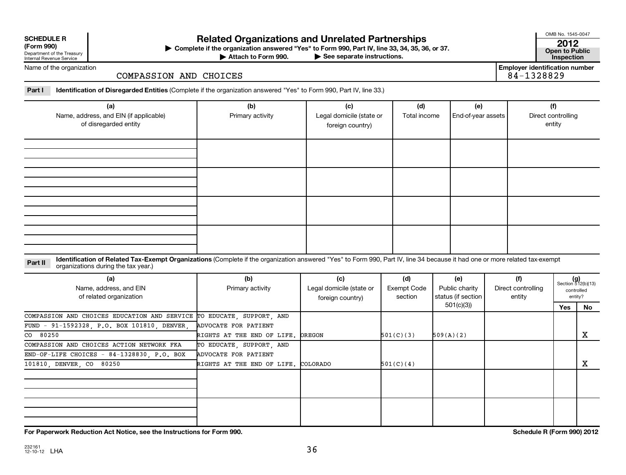| <b>SCHEDULE R</b> |  |  |
|-------------------|--|--|
|                   |  |  |

Department of the Treasury Internal Revenue Service

# **Related Organizations and Unrelated Partnerships <sup>2012</sup>**

**(Form 990) Complete if the organization answered "Yes" to Form 990, Part IV, line 33, 34, 35, 36, or 37. Open to Public** | **At to Form 990. Part IV, line 33, 34, 35, 36, or 37.**<br>See separate instructions. **Inspection**<br>Inspection

Attach to Form 990.

OMB No. 1545-0047

**Employer identification number**

Name of the organization

### COMPASSION AND CHOICES

**Part I Identification of Disregarded Entities**  (Complete if the organization answered "Yes" to Form 990, Part IV, line 33.)

| (a)<br>Name, address, and EIN (if applicable)<br>of disregarded entity | (b)<br>Primary activity | (c)<br>Legal domicile (state or<br>foreign country) | (d)<br>Total income | (e)<br>End-of-year assets | (f)<br>Direct controlling<br>entity |
|------------------------------------------------------------------------|-------------------------|-----------------------------------------------------|---------------------|---------------------------|-------------------------------------|
|                                                                        |                         |                                                     |                     |                           |                                     |
|                                                                        |                         |                                                     |                     |                           |                                     |
|                                                                        |                         |                                                     |                     |                           |                                     |
|                                                                        |                         |                                                     |                     |                           |                                     |

#### Part II ldentification of Related Tax-Exempt Organizations (Complete if the organization answered "Yes" to Form 990, Part IV, line 34 because it had one or more related tax-exempt<br>example: croanizations during the tax veas organizations during the tax year.)

| (a)<br>Name, address, and EIN<br>of related organization              | (b)<br>Primary activity             | (c)<br>Legal domicile (state or<br>foreign country) | (d)<br>Exempt Code<br>section | (e)<br>Public charity<br>status (if section | (f)<br>Direct controlling<br>entity | Section 512(b)(13) | controlled<br>entity? |
|-----------------------------------------------------------------------|-------------------------------------|-----------------------------------------------------|-------------------------------|---------------------------------------------|-------------------------------------|--------------------|-----------------------|
|                                                                       |                                     |                                                     |                               | 501(c)(3))                                  |                                     | Yes                | No                    |
| COMPASSION AND CHOICES EDUCATION AND SERVICE TO EDUCATE, SUPPORT, AND |                                     |                                                     |                               |                                             |                                     |                    |                       |
| FUND - 91-1592328, P.O. BOX 101810, DENVER,                           | ADVOCATE FOR PATIENT                |                                                     |                               |                                             |                                     |                    |                       |
| CO 80250                                                              | RIGHTS AT THE END OF LIFE. OREGON   |                                                     | 501(C)(3)                     | 509(A)(2)                                   |                                     |                    | x                     |
| COMPASSION AND CHOICES ACTION NETWORK FKA                             | TO EDUCATE, SUPPORT, AND            |                                                     |                               |                                             |                                     |                    |                       |
| END-OF-LIFE CHOICES - $84-1328830$ , $P.O.$ BOX                       | ADVOCATE FOR PATIENT                |                                                     |                               |                                             |                                     |                    |                       |
| 101810, DENVER, CO 80250                                              | RIGHTS AT THE END OF LIFE. COLORADO |                                                     | 501(C)(4)                     |                                             |                                     |                    | х                     |
|                                                                       |                                     |                                                     |                               |                                             |                                     |                    |                       |
|                                                                       |                                     |                                                     |                               |                                             |                                     |                    |                       |
|                                                                       |                                     |                                                     |                               |                                             |                                     |                    |                       |
|                                                                       |                                     |                                                     |                               |                                             |                                     |                    |                       |
|                                                                       |                                     |                                                     |                               |                                             |                                     |                    |                       |

**For Paperwork Reduction Act Notice, see the Instructions for Form 990. Schedule R (Form 990) 2012**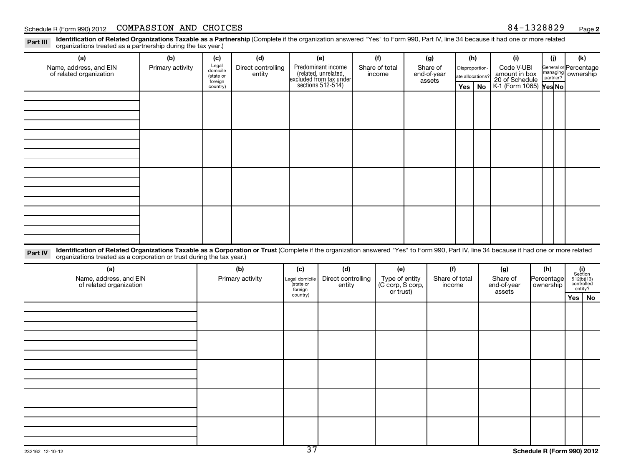Part III Identification of Related Organizations Taxable as a Partnership (Complete if the organization answered "Yes" to Form 990, Part IV, line 34 because it had one or more related<br>Read to reconizations tracted as a par organizations treated as a partnership during the tax year.)

| (a)                                                                                                                                                                                                                                                                         | (b)              | (c)                  | (d)                          |                          | (e)                                                                                        |  | (f)                      |                                              | (g)                     | (h)              |             | (i)                                           |                         | (i)      | (k)                                                     |           |
|-----------------------------------------------------------------------------------------------------------------------------------------------------------------------------------------------------------------------------------------------------------------------------|------------------|----------------------|------------------------------|--------------------------|--------------------------------------------------------------------------------------------|--|--------------------------|----------------------------------------------|-------------------------|------------------|-------------|-----------------------------------------------|-------------------------|----------|---------------------------------------------------------|-----------|
| Name, address, and EIN<br>of related organization                                                                                                                                                                                                                           | Primary activity | Legal<br>domicile    | Direct controlling<br>entity |                          | Predominant income<br>(related, unrelated,<br>excluded from tax under<br>sections 512-514) |  | Share of total<br>income |                                              | Share of<br>end-of-year | Disproportion-   |             | Code V-UBI<br>amount in box<br>20 of Schedule |                         |          | General or Percentage<br>managing ownership             |           |
|                                                                                                                                                                                                                                                                             |                  | (state or<br>foreign |                              |                          |                                                                                            |  |                          |                                              | assets                  | ate allocations? |             |                                               |                         | partner? |                                                         |           |
|                                                                                                                                                                                                                                                                             |                  | country)             |                              |                          |                                                                                            |  |                          |                                              |                         | Yes              | <b>No</b>   | K-1 (Form 1065) <b>Yes No</b>                 |                         |          |                                                         |           |
|                                                                                                                                                                                                                                                                             |                  |                      |                              |                          |                                                                                            |  |                          |                                              |                         |                  |             |                                               |                         |          |                                                         |           |
|                                                                                                                                                                                                                                                                             |                  |                      |                              |                          |                                                                                            |  |                          |                                              |                         |                  |             |                                               |                         |          |                                                         |           |
|                                                                                                                                                                                                                                                                             |                  |                      |                              |                          |                                                                                            |  |                          |                                              |                         |                  |             |                                               |                         |          |                                                         |           |
|                                                                                                                                                                                                                                                                             |                  |                      |                              |                          |                                                                                            |  |                          |                                              |                         |                  |             |                                               |                         |          |                                                         |           |
|                                                                                                                                                                                                                                                                             |                  |                      |                              |                          |                                                                                            |  |                          |                                              |                         |                  |             |                                               |                         |          |                                                         |           |
|                                                                                                                                                                                                                                                                             |                  |                      |                              |                          |                                                                                            |  |                          |                                              |                         |                  |             |                                               |                         |          |                                                         |           |
|                                                                                                                                                                                                                                                                             |                  |                      |                              |                          |                                                                                            |  |                          |                                              |                         |                  |             |                                               |                         |          |                                                         |           |
|                                                                                                                                                                                                                                                                             |                  |                      |                              |                          |                                                                                            |  |                          |                                              |                         |                  |             |                                               |                         |          |                                                         |           |
|                                                                                                                                                                                                                                                                             |                  |                      |                              |                          |                                                                                            |  |                          |                                              |                         |                  |             |                                               |                         |          |                                                         |           |
|                                                                                                                                                                                                                                                                             |                  |                      |                              |                          |                                                                                            |  |                          |                                              |                         |                  |             |                                               |                         |          |                                                         |           |
|                                                                                                                                                                                                                                                                             |                  |                      |                              |                          |                                                                                            |  |                          |                                              |                         |                  |             |                                               |                         |          |                                                         |           |
|                                                                                                                                                                                                                                                                             |                  |                      |                              |                          |                                                                                            |  |                          |                                              |                         |                  |             |                                               |                         |          |                                                         |           |
|                                                                                                                                                                                                                                                                             |                  |                      |                              |                          |                                                                                            |  |                          |                                              |                         |                  |             |                                               |                         |          |                                                         |           |
|                                                                                                                                                                                                                                                                             |                  |                      |                              |                          |                                                                                            |  |                          |                                              |                         |                  |             |                                               |                         |          |                                                         |           |
| Identification of Related Organizations Taxable as a Corporation or Trust (Complete if the organization answered "Yes" to Form 990, Part IV, line 34 because it had one or more related<br>Part IV<br>organizations treated as a corporation or trust during the tax year.) |                  |                      |                              |                          |                                                                                            |  |                          |                                              |                         |                  |             |                                               |                         |          |                                                         |           |
|                                                                                                                                                                                                                                                                             |                  |                      |                              |                          |                                                                                            |  |                          |                                              |                         |                  |             |                                               |                         |          |                                                         |           |
| (a)<br>Name, address, and EIN                                                                                                                                                                                                                                               |                  |                      | (b)                          | (c)<br>Legal domicile    | (d)<br>Direct controlling                                                                  |  | (e)                      |                                              | (f)<br>Share of total   |                  |             | (g)<br>Share of                               | (h)                     |          | $(i)$<br>Section<br>512(b)(13)<br>controlled<br>entity? |           |
| of related organization                                                                                                                                                                                                                                                     |                  | Primary activity     |                              | state or<br>foreign      | entity                                                                                     |  |                          | Type of entity<br>(C corp, S corp,<br>income |                         |                  | end-of-year |                                               | Percentage<br>ownership |          |                                                         |           |
|                                                                                                                                                                                                                                                                             |                  |                      |                              | country)                 |                                                                                            |  | or trust)                |                                              |                         |                  |             | assets                                        |                         |          | Yes                                                     | <b>No</b> |
|                                                                                                                                                                                                                                                                             |                  |                      |                              |                          |                                                                                            |  |                          |                                              |                         |                  |             |                                               |                         |          |                                                         |           |
|                                                                                                                                                                                                                                                                             |                  |                      |                              |                          |                                                                                            |  |                          |                                              |                         |                  |             |                                               |                         |          |                                                         |           |
|                                                                                                                                                                                                                                                                             |                  |                      |                              |                          |                                                                                            |  |                          |                                              |                         |                  |             |                                               |                         |          |                                                         |           |
|                                                                                                                                                                                                                                                                             |                  |                      |                              |                          |                                                                                            |  |                          |                                              |                         |                  |             |                                               |                         |          |                                                         |           |
|                                                                                                                                                                                                                                                                             |                  |                      |                              |                          |                                                                                            |  |                          |                                              |                         |                  |             |                                               |                         |          |                                                         |           |
|                                                                                                                                                                                                                                                                             |                  |                      |                              |                          |                                                                                            |  |                          |                                              |                         |                  |             |                                               |                         |          |                                                         |           |
|                                                                                                                                                                                                                                                                             |                  |                      |                              |                          |                                                                                            |  |                          |                                              |                         |                  |             |                                               |                         |          |                                                         |           |
|                                                                                                                                                                                                                                                                             |                  |                      |                              |                          |                                                                                            |  |                          |                                              |                         |                  |             |                                               |                         |          |                                                         |           |
|                                                                                                                                                                                                                                                                             |                  |                      |                              |                          |                                                                                            |  |                          |                                              |                         |                  |             |                                               |                         |          |                                                         |           |
|                                                                                                                                                                                                                                                                             |                  |                      |                              |                          |                                                                                            |  |                          |                                              |                         |                  |             |                                               |                         |          |                                                         |           |
|                                                                                                                                                                                                                                                                             |                  |                      |                              |                          |                                                                                            |  |                          |                                              |                         |                  |             |                                               |                         |          |                                                         |           |
|                                                                                                                                                                                                                                                                             |                  |                      |                              |                          |                                                                                            |  |                          |                                              |                         |                  |             |                                               |                         |          |                                                         |           |
|                                                                                                                                                                                                                                                                             |                  |                      |                              |                          |                                                                                            |  |                          |                                              |                         |                  |             |                                               |                         |          |                                                         |           |
|                                                                                                                                                                                                                                                                             |                  |                      |                              | $\overline{\mathcal{F}}$ |                                                                                            |  |                          |                                              |                         |                  |             |                                               |                         |          |                                                         |           |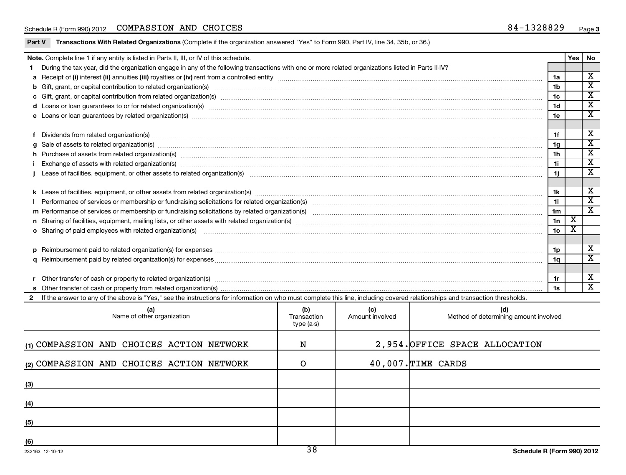|  |  |  | <b>Part V</b> T <b>ransactions With Related Organizations</b> (Complete if the organization answered "Yes" to Form 990, Part IV, line 34, 35b, or 36.) |
|--|--|--|--------------------------------------------------------------------------------------------------------------------------------------------------------|
|--|--|--|--------------------------------------------------------------------------------------------------------------------------------------------------------|

|     | Note. Complete line 1 if any entity is listed in Parts II, III, or IV of this schedule.                                                                                                                                                                 |             |                 |                                       |     | <b>Yes</b> | No                                                 |  |  |  |  |
|-----|---------------------------------------------------------------------------------------------------------------------------------------------------------------------------------------------------------------------------------------------------------|-------------|-----------------|---------------------------------------|-----|------------|----------------------------------------------------|--|--|--|--|
|     | During the tax year, did the organization engage in any of the following transactions with one or more related organizations listed in Parts II-IV?                                                                                                     |             |                 |                                       |     |            | $\overline{\mathbf{X}}$                            |  |  |  |  |
|     |                                                                                                                                                                                                                                                         |             |                 |                                       |     |            |                                                    |  |  |  |  |
|     |                                                                                                                                                                                                                                                         |             |                 |                                       | 1b  |            | $\overline{\mathbf{x}}$                            |  |  |  |  |
|     |                                                                                                                                                                                                                                                         |             |                 |                                       | 1c  |            | $\overline{\mathbf{x}}$<br>$\overline{\mathbf{x}}$ |  |  |  |  |
|     |                                                                                                                                                                                                                                                         |             |                 |                                       |     |            |                                                    |  |  |  |  |
|     |                                                                                                                                                                                                                                                         |             |                 |                                       |     |            |                                                    |  |  |  |  |
|     |                                                                                                                                                                                                                                                         |             |                 |                                       |     |            |                                                    |  |  |  |  |
|     | Dividends from related organization(s) material contents and content and content and content and content and content and content and content and content and content and content and content and content and content and conte                          |             |                 |                                       | 1f  |            | X<br>$\overline{\mathbf{x}}$                       |  |  |  |  |
|     |                                                                                                                                                                                                                                                         |             |                 |                                       |     |            |                                                    |  |  |  |  |
|     | h Purchase of assets from related organization(s) manufactured content to the content of the content of the content of the content of the content of the content of the content of the content of the content of the content o                          |             |                 |                                       | 1h  |            | $\overline{\textbf{x}}$                            |  |  |  |  |
|     | i Exchange of assets with related organization(s) manufactured and content and content and content and content and content and content and content and content and content and content and content and content and content and                          |             |                 |                                       | 1i  |            | $\overline{\textbf{x}}$                            |  |  |  |  |
|     |                                                                                                                                                                                                                                                         |             |                 |                                       | 1i. |            | $\overline{\texttt{x}}$                            |  |  |  |  |
|     |                                                                                                                                                                                                                                                         |             |                 |                                       |     |            |                                                    |  |  |  |  |
|     |                                                                                                                                                                                                                                                         |             |                 |                                       | 1k  |            | X                                                  |  |  |  |  |
|     |                                                                                                                                                                                                                                                         |             |                 |                                       | 11  |            | $\overline{\texttt{x}}$<br>$\overline{\text{x}}$   |  |  |  |  |
|     | 1 <sub>m</sub>                                                                                                                                                                                                                                          |             |                 |                                       |     |            |                                                    |  |  |  |  |
|     |                                                                                                                                                                                                                                                         |             |                 |                                       |     |            |                                                    |  |  |  |  |
|     | 1n<br>10 <sub>o</sub><br>o Sharing of paid employees with related organization(s) manufactured and content to the content of the content of the content of the content of the content of the content of the content of the content of the content of th |             |                 |                                       |     |            |                                                    |  |  |  |  |
|     |                                                                                                                                                                                                                                                         |             |                 |                                       |     |            |                                                    |  |  |  |  |
|     |                                                                                                                                                                                                                                                         |             |                 |                                       |     |            |                                                    |  |  |  |  |
|     |                                                                                                                                                                                                                                                         |             |                 |                                       | 1q  |            | $\overline{\text{x}}$                              |  |  |  |  |
|     |                                                                                                                                                                                                                                                         |             |                 |                                       |     |            |                                                    |  |  |  |  |
|     |                                                                                                                                                                                                                                                         |             |                 |                                       | 1r  |            | Х                                                  |  |  |  |  |
|     |                                                                                                                                                                                                                                                         |             |                 |                                       | 1s  |            | $\overline{\texttt{x}}$                            |  |  |  |  |
|     | If the answer to any of the above is "Yes," see the instructions for information on who must complete this line, including covered relationships and transaction thresholds.                                                                            |             |                 |                                       |     |            |                                                    |  |  |  |  |
|     | (a)                                                                                                                                                                                                                                                     | (b)         | (c)             | (d)                                   |     |            |                                                    |  |  |  |  |
|     | Name of other organization                                                                                                                                                                                                                              | Transaction | Amount involved | Method of determining amount involved |     |            |                                                    |  |  |  |  |
|     |                                                                                                                                                                                                                                                         | type (a-s)  |                 |                                       |     |            |                                                    |  |  |  |  |
|     |                                                                                                                                                                                                                                                         |             |                 |                                       |     |            |                                                    |  |  |  |  |
|     | (1) COMPASSION AND CHOICES ACTION NETWORK                                                                                                                                                                                                               | N           |                 | 2,954. OFFICE SPACE ALLOCATION        |     |            |                                                    |  |  |  |  |
|     |                                                                                                                                                                                                                                                         |             |                 | 40,007. TIME CARDS                    |     |            |                                                    |  |  |  |  |
|     | (2) COMPASSION AND CHOICES ACTION NETWORK                                                                                                                                                                                                               | O           |                 |                                       |     |            |                                                    |  |  |  |  |
| (3) |                                                                                                                                                                                                                                                         |             |                 |                                       |     |            |                                                    |  |  |  |  |
|     |                                                                                                                                                                                                                                                         |             |                 |                                       |     |            |                                                    |  |  |  |  |
| (4) |                                                                                                                                                                                                                                                         |             |                 |                                       |     |            |                                                    |  |  |  |  |
|     |                                                                                                                                                                                                                                                         |             |                 |                                       |     |            |                                                    |  |  |  |  |
| (5) |                                                                                                                                                                                                                                                         |             |                 |                                       |     |            |                                                    |  |  |  |  |
|     |                                                                                                                                                                                                                                                         |             |                 |                                       |     |            |                                                    |  |  |  |  |
| (6) |                                                                                                                                                                                                                                                         |             |                 |                                       |     |            |                                                    |  |  |  |  |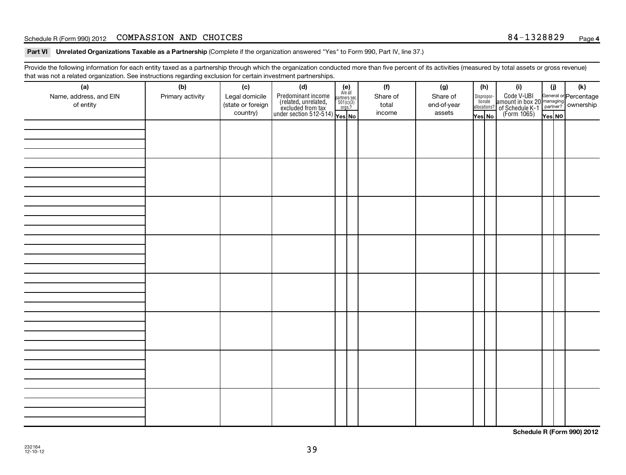#### Schedule R (Form 990) 2012 COMPASSION AND CHOICES 84-1328829 <sub>Page</sub>

Part VI Unrelated Organizations Taxable as a Partnership (Complete if the organization answered "Yes" to Form 990, Part IV, line 37.)

Provide the following information for each entity taxed as a partnership through which the organization conducted more than five percent of its activities (measured by total assets or gross revenue) that was not a related organization. See instructions regarding exclusion for certain investment partnerships.

| (a)<br>Name, address, and EIN<br>of entity | (b)<br>Primary activity | (c)<br>Legal domicile<br>(state or foreign<br>country) | (d)<br>$\begin{array}{ l l } \hline \text{Predominant income} & \text{Area} \\ \hline \text{(related, unrelated,} & \text{501(c)(3)} \\ \text{excluded from tax} & \text{501(c)(3)} \\ \text{under section 512-514)} & \text{Yes. No} \\\hline \end{array}$ | $(e)$<br>Are all<br>partners sec.<br>$501(c)(3)$<br>orgs.? | (f)<br>Share of<br>total<br>income | (g)<br>Share of<br>end-of-year<br>assets | (h)<br>Yes No | (i)<br>Dispropor-<br>Code V-UBI<br>dionate amount in box 20 managing<br>allocations? of Schedule K-1<br>Yes No (Form 1065)<br>Yes No | (i)<br>Yes NO | (k) |
|--------------------------------------------|-------------------------|--------------------------------------------------------|-------------------------------------------------------------------------------------------------------------------------------------------------------------------------------------------------------------------------------------------------------------|------------------------------------------------------------|------------------------------------|------------------------------------------|---------------|--------------------------------------------------------------------------------------------------------------------------------------|---------------|-----|
|                                            |                         |                                                        |                                                                                                                                                                                                                                                             |                                                            |                                    |                                          |               |                                                                                                                                      |               |     |
|                                            |                         |                                                        |                                                                                                                                                                                                                                                             |                                                            |                                    |                                          |               |                                                                                                                                      |               |     |
|                                            |                         |                                                        |                                                                                                                                                                                                                                                             |                                                            |                                    |                                          |               |                                                                                                                                      |               |     |
|                                            |                         |                                                        |                                                                                                                                                                                                                                                             |                                                            |                                    |                                          |               |                                                                                                                                      |               |     |
|                                            |                         |                                                        |                                                                                                                                                                                                                                                             |                                                            |                                    |                                          |               |                                                                                                                                      |               |     |
|                                            |                         |                                                        |                                                                                                                                                                                                                                                             |                                                            |                                    |                                          |               |                                                                                                                                      |               |     |
|                                            |                         |                                                        |                                                                                                                                                                                                                                                             |                                                            |                                    |                                          |               |                                                                                                                                      |               |     |
|                                            |                         |                                                        |                                                                                                                                                                                                                                                             |                                                            |                                    |                                          |               |                                                                                                                                      |               |     |

**Schedule R (Form 990) 2012**